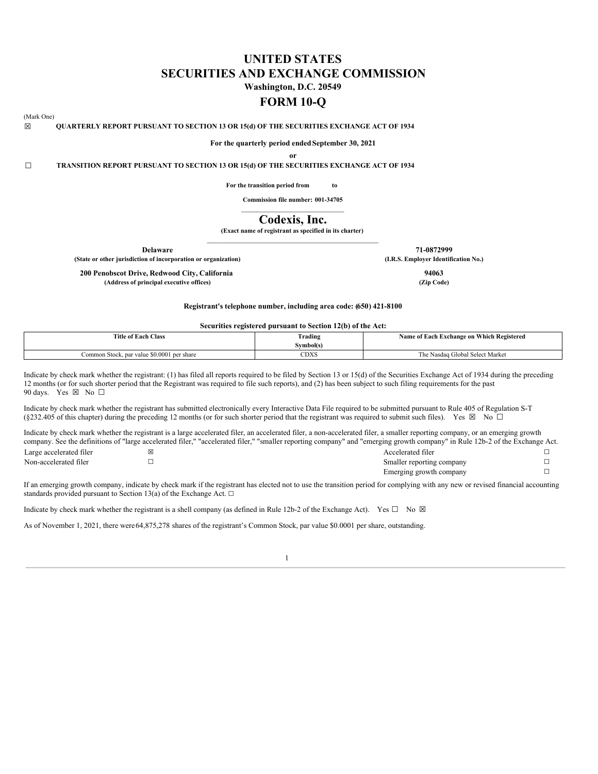# **UNITED STATES SECURITIES AND EXCHANGE COMMISSION**

**Washington, D.C. 20549**

# **FORM 10-Q**

## (Mark One)

☒ **QUARTERLY REPORT PURSUANT TO SECTION 13 OR 15(d) OF THE SECURITIES EXCHANGE ACT OF 1934**

**For the quarterly period endedSeptember 30, 2021 or**

☐ **TRANSITION REPORT PURSUANT TO SECTION 13 OR 15(d) OF THE SECURITIES EXCHANGE ACT OF 1934**

**For the transition period from to**

**Commission file number: 001-34705**  $\mathcal{L}_\text{max}$  and  $\mathcal{L}_\text{max}$  and  $\mathcal{L}_\text{max}$  and  $\mathcal{L}_\text{max}$ 

# **Codexis, Inc.**

**(Exact name of registrant as specified in its charter)**

| <b>Delaware</b>                                                | 71-0872999                           |
|----------------------------------------------------------------|--------------------------------------|
| (State or other jurisdiction of incorporation or organization) | (I.R.S. Employer Identification No.) |
| 200 Penobscot Drive, Redwood City, California                  | 94063                                |
| (Address of principal executive offices)                       | (Zip Code)                           |

**Registrant's telephone number, including area code: (650) 421-8100**

#### **Securities registered pursuant to Section 12(b) of the Act:**

| <b>Title of Each Class</b>                 | no.<br>Trading | Name of Each Exchange on Which Registered |
|--------------------------------------------|----------------|-------------------------------------------|
|                                            | Symbol(s)      |                                           |
| Common Stock, par value \$0,0001 per share | $2$ DXS        | The Nasdag Global Select Market           |

Indicate by check mark whether the registrant: (1) has filed all reports required to be filed by Section 13 or 15(d) of the Securities Exchange Act of 1934 during the preceding 12 months (or for such shorter period that the Registrant was required to file such reports), and (2) has been subject to such filing requirements for the past 90 days. Yes  $\boxtimes$  No  $\Box$ 

Indicate by check mark whether the registrant has submitted electronically every Interactive Data File required to be submitted pursuant to Rule 405 of Regulation S-T (§232.405 of this chapter) during the preceding 12 months (or for such shorter period that the registrant was required to submit such files). Yes  $\boxtimes$  No  $\Box$ 

Indicate by check mark whether the registrant is a large accelerated filer, an accelerated filer, a non-accelerated filer, a smaller reporting company, or an emerging growth company. See the definitions of "large accelerated filer," "accelerated filer," "smaller reporting company" and "emerging growth company" in Rule 12b-2 of the Exchange Act. Large accelerated filer ☒ Accelerated filer ☐

| Non-accelerated filer | Smaller reporting company |
|-----------------------|---------------------------|
|                       | Emerging growth company   |
|                       |                           |

If an emerging growth company, indicate by check mark if the registrant has elected not to use the transition period for complying with any new or revised financial accounting standards provided pursuant to Section 13(a) of the Exchange Act.  $\Box$ 

Indicate by check mark whether the registrant is a shell company (as defined in Rule 12b-2 of the Exchange Act). Yes  $\square$  No  $\boxtimes$ 

As of November 1, 2021, there were64,875,278 shares of the registrant's Common Stock, par value \$0.0001 per share, outstanding.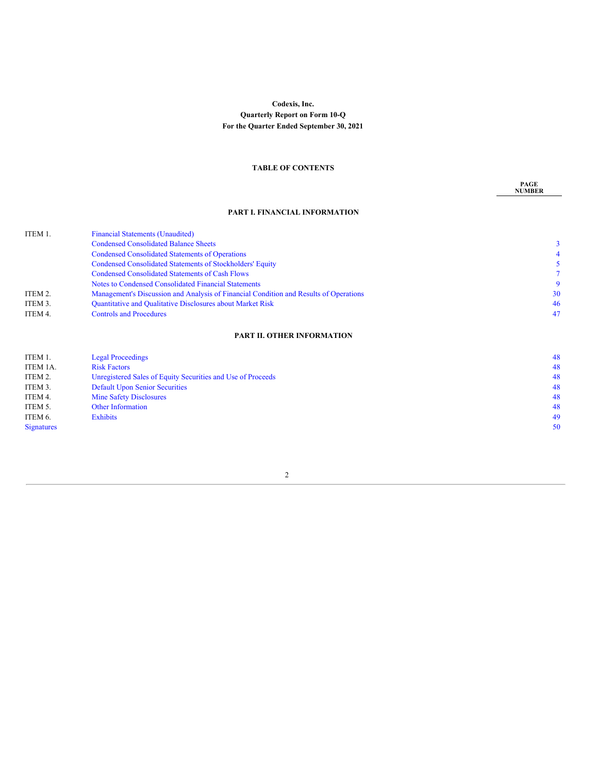# **Codexis, Inc. Quarterly Report on Form 10-Q For the Quarter Ended September 30, 2021**

# **TABLE OF CONTENTS**

**PAGE NUMBER**

# **PART I. FINANCIAL INFORMATION**

| $\tau$ |
|--------|
| 9      |
| 30     |
| 46     |
| 47     |
|        |

# **PART II. OTHER [INFORMATION](#page-46-0)**

<span id="page-1-0"></span>

| ITEM 1.           | <b>Legal Proceedings</b>                                    | 48 |
|-------------------|-------------------------------------------------------------|----|
| ITEM 1A.          | <b>Risk Factors</b>                                         | 48 |
| ITEM 2.           | Unregistered Sales of Equity Securities and Use of Proceeds | 48 |
| ITEM 3.           | <b>Default Upon Senior Securities</b>                       | 48 |
| ITEM 4.           | <b>Mine Safety Disclosures</b>                              | 48 |
| ITEM 5.           | <b>Other Information</b>                                    | 48 |
| ITEM 6.           | <b>Exhibits</b>                                             | 49 |
| <b>Signatures</b> |                                                             | 50 |
|                   |                                                             |    |

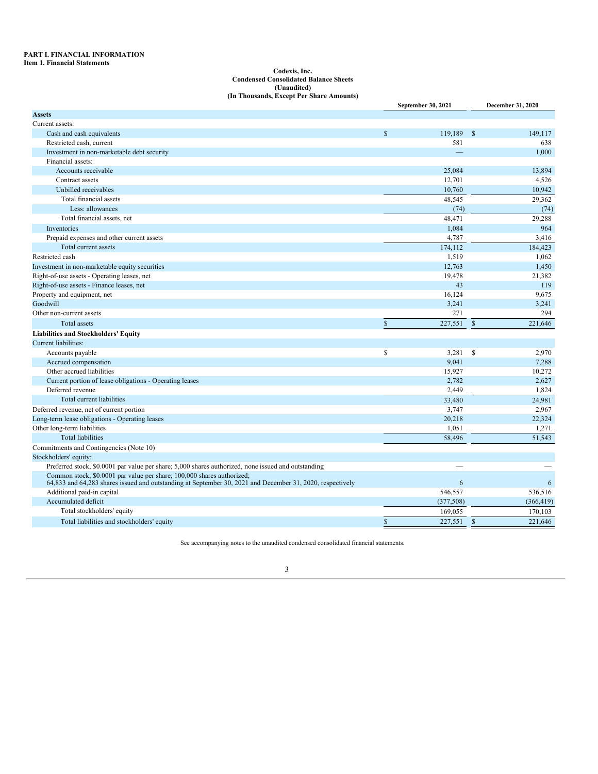#### **PART I. FINANCIAL INFORMATION Item 1. Financial Statements**

#### **Codexis, Inc. Condensed Consolidated Balance Sheets (Unaudited) (In Thousands, Except Per Share Amounts)**

|                                                                                                                                                                                     | September 30, 2021 |               | December 31, 2020 |
|-------------------------------------------------------------------------------------------------------------------------------------------------------------------------------------|--------------------|---------------|-------------------|
| <b>Assets</b>                                                                                                                                                                       |                    |               |                   |
| Current assets:                                                                                                                                                                     |                    |               |                   |
| Cash and cash equivalents                                                                                                                                                           | \$<br>119,189      | $\mathbb{S}$  | 149,117           |
| Restricted cash, current                                                                                                                                                            | 581                |               | 638               |
| Investment in non-marketable debt security                                                                                                                                          |                    |               | 1.000             |
| Financial assets:                                                                                                                                                                   |                    |               |                   |
| Accounts receivable                                                                                                                                                                 | 25,084             |               | 13.894            |
| Contract assets                                                                                                                                                                     | 12,701             |               | 4,526             |
| Unbilled receivables                                                                                                                                                                | 10,760             |               | 10,942            |
| Total financial assets                                                                                                                                                              | 48,545             |               | 29,362            |
| Less: allowances                                                                                                                                                                    | (74)               |               | (74)              |
| Total financial assets, net                                                                                                                                                         | 48,471             |               | 29,288            |
| Inventories                                                                                                                                                                         | 1,084              |               | 964               |
| Prepaid expenses and other current assets                                                                                                                                           | 4,787              |               | 3,416             |
| Total current assets                                                                                                                                                                | 174,112            |               | 184,423           |
| Restricted cash                                                                                                                                                                     | 1,519              |               | 1,062             |
| Investment in non-marketable equity securities                                                                                                                                      | 12,763             |               | 1,450             |
| Right-of-use assets - Operating leases, net                                                                                                                                         | 19,478             |               | 21,382            |
| Right-of-use assets - Finance leases, net                                                                                                                                           | 43                 |               | 119               |
| Property and equipment, net                                                                                                                                                         | 16,124             |               | 9,675             |
| Goodwill                                                                                                                                                                            | 3,241              |               | 3,241             |
| Other non-current assets                                                                                                                                                            | 271                |               | 294               |
| <b>Total</b> assets                                                                                                                                                                 | \$<br>227,551      | $\mathbb{S}$  | 221,646           |
| <b>Liabilities and Stockholders' Equity</b>                                                                                                                                         |                    |               |                   |
| Current liabilities:                                                                                                                                                                |                    |               |                   |
| Accounts payable                                                                                                                                                                    | \$<br>3,281        | \$            | 2,970             |
| Accrued compensation                                                                                                                                                                | 9,041              |               | 7,288             |
| Other accrued liabilities                                                                                                                                                           | 15,927             |               | 10,272            |
| Current portion of lease obligations - Operating leases                                                                                                                             | 2,782              |               | 2,627             |
| Deferred revenue                                                                                                                                                                    | 2,449              |               | 1,824             |
| Total current liabilities                                                                                                                                                           | 33,480             |               | 24.981            |
| Deferred revenue, net of current portion                                                                                                                                            | 3,747              |               | 2,967             |
| Long-term lease obligations - Operating leases                                                                                                                                      | 20,218             |               | 22,324            |
| Other long-term liabilities                                                                                                                                                         | 1,051              |               | 1,271             |
| <b>Total liabilities</b>                                                                                                                                                            | 58,496             |               | 51,543            |
| Commitments and Contingencies (Note 10)                                                                                                                                             |                    |               |                   |
| Stockholders' equity:                                                                                                                                                               |                    |               |                   |
| Preferred stock, \$0.0001 par value per share; 5,000 shares authorized, none issued and outstanding                                                                                 |                    |               |                   |
| Common stock, \$0.0001 par value per share; 100,000 shares authorized;<br>64,833 and 64,283 shares issued and outstanding at September 30, 2021 and December 31, 2020, respectively | 6                  |               | 6                 |
| Additional paid-in capital                                                                                                                                                          | 546,557            |               | 536,516           |
| Accumulated deficit                                                                                                                                                                 | (377,508)          |               | (366, 419)        |
| Total stockholders' equity                                                                                                                                                          | 169,055            |               | 170,103           |
| Total liabilities and stockholders' equity                                                                                                                                          | \$<br>227,551      | $\mathcal{S}$ | 221,646           |

<span id="page-2-0"></span>See accompanying notes to the unaudited condensed consolidated financial statements.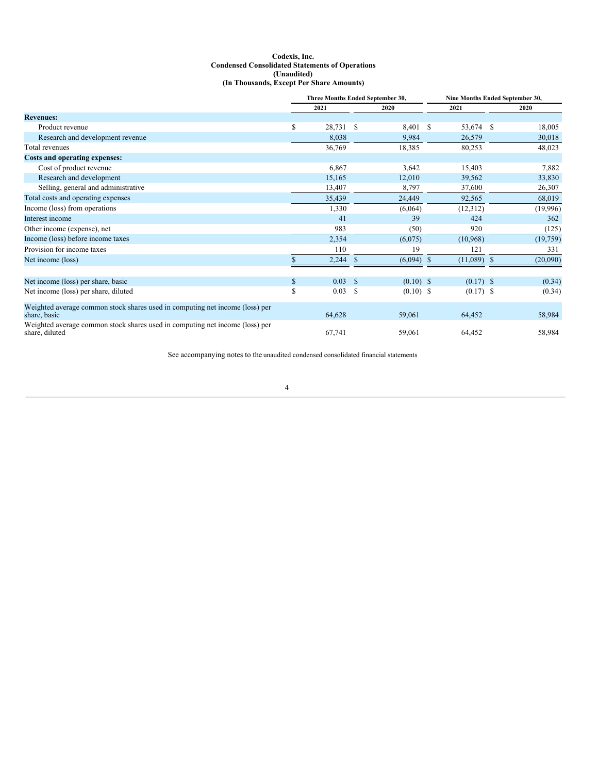# **Codexis, Inc. Condensed Consolidated Statements of Operations (Unaudited) (In Thousands, Except Per Share Amounts)**

|                                                                                                | Three Months Ended September 30, |                 |    |             | Nine Months Ended September 30, |             |               |          |
|------------------------------------------------------------------------------------------------|----------------------------------|-----------------|----|-------------|---------------------------------|-------------|---------------|----------|
|                                                                                                |                                  | 2021            |    | 2020        |                                 | 2021        |               | 2020     |
| <b>Revenues:</b>                                                                               |                                  |                 |    |             |                                 |             |               |          |
| Product revenue                                                                                | \$                               | 28,731 \$       |    | 8,401 \$    |                                 | 53,674 \$   |               | 18,005   |
| Research and development revenue                                                               |                                  | 8,038           |    | 9,984       |                                 | 26,579      |               | 30,018   |
| Total revenues                                                                                 |                                  | 36,769          |    | 18,385      |                                 | 80,253      |               | 48,023   |
| Costs and operating expenses:                                                                  |                                  |                 |    |             |                                 |             |               |          |
| Cost of product revenue                                                                        |                                  | 6,867           |    | 3,642       |                                 | 15,403      |               | 7,882    |
| Research and development                                                                       |                                  | 15,165          |    | 12,010      |                                 | 39,562      |               | 33,830   |
| Selling, general and administrative                                                            |                                  | 13,407          |    | 8,797       |                                 | 37,600      |               | 26,307   |
| Total costs and operating expenses                                                             |                                  | 35,439          |    | 24,449      |                                 | 92,565      |               | 68,019   |
| Income (loss) from operations                                                                  |                                  | 1,330           |    | (6,064)     |                                 | (12, 312)   |               | (19,996) |
| Interest income                                                                                |                                  | 41              |    | 39          |                                 | 424         |               | 362      |
| Other income (expense), net                                                                    |                                  | 983             |    | (50)        |                                 | 920         |               | (125)    |
| Income (loss) before income taxes                                                              |                                  | 2,354           |    | (6,075)     |                                 | (10,968)    |               | (19,759) |
| Provision for income taxes                                                                     |                                  | 110             |    | 19          |                                 | 121         |               | 331      |
| Net income (loss)                                                                              |                                  | 2,244           | S  | (6,094)     | $\mathbf S$                     | (11,089)    | <sup>\$</sup> | (20,090) |
|                                                                                                |                                  |                 |    |             |                                 |             |               |          |
| Net income (loss) per share, basic                                                             | \$                               | $0.03 \quad$ \$ |    | $(0.10)$ \$ |                                 | $(0.17)$ \$ |               | (0.34)   |
| Net income (loss) per share, diluted                                                           | \$                               | 0.03            | -S | $(0.10)$ \$ |                                 | $(0.17)$ \$ |               | (0.34)   |
| Weighted average common stock shares used in computing net income (loss) per<br>share, basic   |                                  | 64,628          |    | 59,061      |                                 | 64,452      |               | 58,984   |
| Weighted average common stock shares used in computing net income (loss) per<br>share, diluted |                                  | 67,741          |    | 59,061      |                                 | 64,452      |               | 58,984   |

<span id="page-3-0"></span>See accompanying notes to the unaudited condensed consolidated financial statements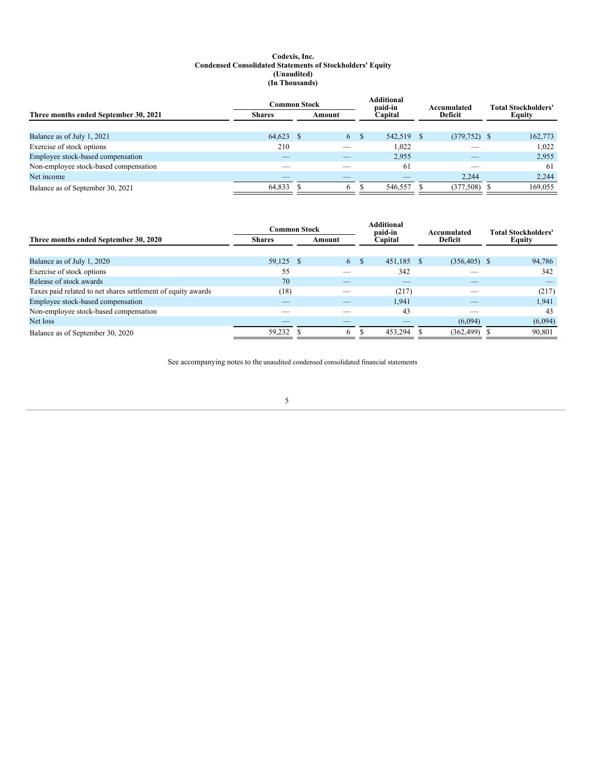# **Codexis, Inc. Condensed Consolidated Statements of Stockholders' Equity (Unaudited) (In Thousands)**

|                                       | Common Stock  |  |        |      | Additional<br>paid-in |  | Accumulated    |  | <b>Total Stockholders'</b> |  |
|---------------------------------------|---------------|--|--------|------|-----------------------|--|----------------|--|----------------------------|--|
| Three months ended September 30, 2021 | <b>Shares</b> |  | Amount |      | Capital               |  | Deficit        |  | Equity                     |  |
|                                       |               |  |        |      |                       |  |                |  |                            |  |
| Balance as of July 1, 2021            | 64,623 \$     |  | 6      | - \$ | 542,519 \$            |  | $(379,752)$ \$ |  | 162,773                    |  |
| Exercise of stock options             | 210           |  |        |      | 1.022                 |  |                |  | 1,022                      |  |
| Employee stock-based compensation     |               |  |        |      | 2,955                 |  |                |  | 2,955                      |  |
| Non-employee stock-based compensation |               |  |        |      | 61                    |  |                |  | 61                         |  |
| Net income                            |               |  |        |      |                       |  | 2,244          |  | 2,244                      |  |
| Balance as of September 30, 2021      | 64,833        |  | 6.     |      | 546,557               |  | (377, 508)     |  | 169,055                    |  |

|                                                              | <b>Common Stock</b> |  |        |    | <b>Additional</b><br>paid-in | Accumulated |                 | <b>Total Stockholders'</b> |               |
|--------------------------------------------------------------|---------------------|--|--------|----|------------------------------|-------------|-----------------|----------------------------|---------------|
| Three months ended September 30, 2020                        | <b>Shares</b>       |  | Amount |    | Capital                      |             | <b>Deficit</b>  |                            | <b>Equity</b> |
|                                                              |                     |  |        |    |                              |             |                 |                            |               |
| Balance as of July 1, 2020                                   | 59,125 \$           |  | 6      | -8 | 451.185                      | - \$        | $(356, 405)$ \$ |                            | 94,786        |
| Exercise of stock options                                    | 55                  |  |        |    | 342                          |             |                 |                            | 342           |
| Release of stock awards                                      | 70                  |  |        |    | $-$                          |             |                 |                            | _             |
| Taxes paid related to net shares settlement of equity awards | (18)                |  |        |    | (217)                        |             |                 |                            | (217)         |
| Employee stock-based compensation                            |                     |  |        |    | 1,941                        |             |                 |                            | 1,941         |
| Non-employee stock-based compensation                        | __                  |  |        |    | 43                           |             |                 |                            | 43            |
| Net loss                                                     |                     |  |        |    |                              |             | (6,094)         |                            | (6,094)       |
| Balance as of September 30, 2020                             | 59.232              |  | 6      |    | 453.294                      |             | (362, 499)      |                            | 90,801        |

See accompanying notes to the unaudited condensed consolidated financial statements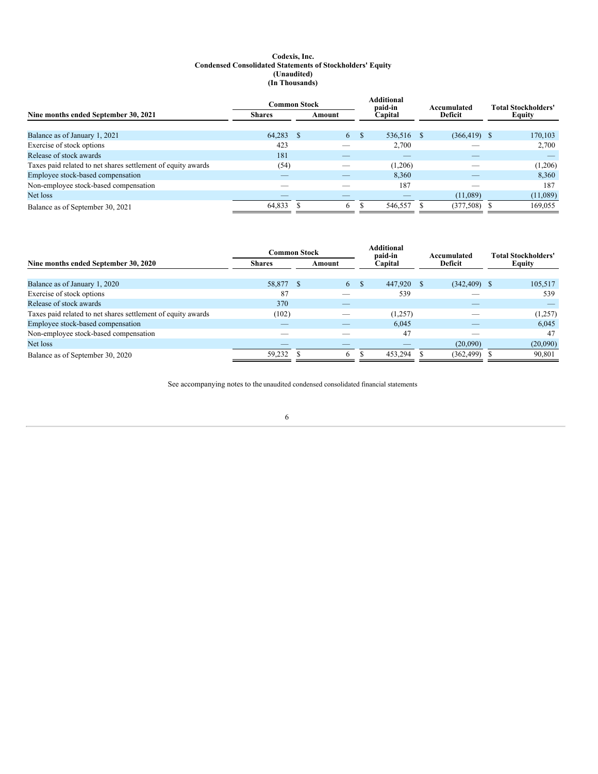# **Codexis, Inc. Condensed Consolidated Statements of Stockholders' Equity (Unaudited) (In Thousands)**

|                                                              | <b>Common Stock</b> |        |   |         | <b>Additional</b><br>paid-in |         | Accumulated     |  | <b>Total Stockholders'</b> |  |
|--------------------------------------------------------------|---------------------|--------|---|---------|------------------------------|---------|-----------------|--|----------------------------|--|
| Nine months ended September 30, 2021                         | <b>Shares</b>       | Amount |   | Capital |                              | Deficit |                 |  | Equity                     |  |
|                                                              |                     |        |   |         |                              |         |                 |  |                            |  |
| Balance as of January 1, 2021                                | 64,283              | -S     | 6 | -S      | 536,516                      |         | $(366, 419)$ \$ |  | 170,103                    |  |
| Exercise of stock options                                    | 423                 |        |   |         | 2.700                        |         |                 |  | 2,700                      |  |
| Release of stock awards                                      | 181                 |        |   |         |                              |         |                 |  |                            |  |
| Taxes paid related to net shares settlement of equity awards | (54)                |        |   |         | (1,206)                      |         |                 |  | (1,206)                    |  |
| Employee stock-based compensation                            |                     |        |   |         | 8.360                        |         |                 |  | 8,360                      |  |
| Non-employee stock-based compensation                        |                     |        |   |         | 187                          |         |                 |  | 187                        |  |
| Net loss                                                     |                     |        |   |         |                              |         | (11,089)        |  | (11,089)                   |  |
| Balance as of September 30, 2021                             | 64,833              |        | 6 |         | 546,557                      |         | (377, 508)      |  | 169,055                    |  |

|                                                              | <b>Common Stock</b> |  |        |          | <b>Additional</b><br>paid-in |  | Accumulated     |  | <b>Total Stockholders'</b> |  |
|--------------------------------------------------------------|---------------------|--|--------|----------|------------------------------|--|-----------------|--|----------------------------|--|
| Nine months ended September 30, 2020                         | <b>Shares</b>       |  | Amount |          | Capital                      |  | <b>Deficit</b>  |  | <b>Equity</b>              |  |
|                                                              |                     |  |        |          |                              |  |                 |  |                            |  |
| Balance as of January 1, 2020                                | 58,877 \$           |  | 6      | <b>S</b> | 447,920                      |  | $(342, 409)$ \$ |  | 105,517                    |  |
| Exercise of stock options                                    | 87                  |  |        |          | 539                          |  |                 |  | 539                        |  |
| Release of stock awards                                      | 370                 |  |        |          |                              |  |                 |  |                            |  |
| Taxes paid related to net shares settlement of equity awards | (102)               |  |        |          | (1,257)                      |  |                 |  | (1,257)                    |  |
| Employee stock-based compensation                            |                     |  |        |          | 6.045                        |  |                 |  | 6,045                      |  |
| Non-employee stock-based compensation                        |                     |  |        |          | 47                           |  |                 |  | 47                         |  |
| Net loss                                                     |                     |  |        |          |                              |  | (20,090)        |  | (20,090)                   |  |
| Balance as of September 30, 2020                             | 59.232              |  | 6      |          | 453,294                      |  | (362, 499)      |  | 90,801                     |  |

<span id="page-5-0"></span>See accompanying notes to the unaudited condensed consolidated financial statements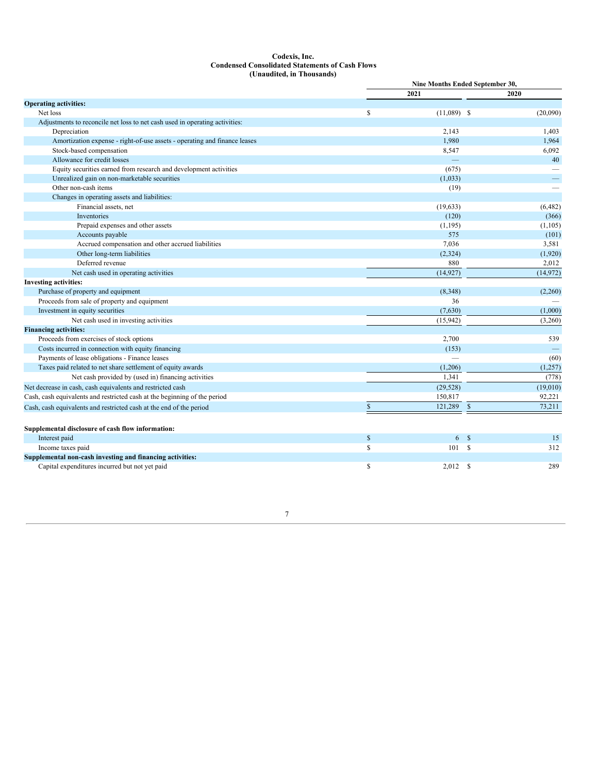# **Codexis, Inc. Condensed Consolidated Statements of Cash Flows (Unaudited, in Thousands)**

|                                                                             |    | Nine Months Ended September 30, |              |          |
|-----------------------------------------------------------------------------|----|---------------------------------|--------------|----------|
|                                                                             |    | 2021                            |              | 2020     |
| <b>Operating activities:</b>                                                |    |                                 |              |          |
| Net loss                                                                    | S  | $(11,089)$ \$                   |              | (20,090) |
| Adjustments to reconcile net loss to net cash used in operating activities: |    |                                 |              |          |
| Depreciation                                                                |    | 2,143                           |              | 1,403    |
| Amortization expense - right-of-use assets - operating and finance leases   |    | 1,980                           |              | 1,964    |
| Stock-based compensation                                                    |    | 8,547                           |              | 6,092    |
| Allowance for credit losses                                                 |    |                                 |              | 40       |
| Equity securities earned from research and development activities           |    | (675)                           |              |          |
| Unrealized gain on non-marketable securities                                |    | (1,033)                         |              |          |
| Other non-cash items                                                        |    | (19)                            |              |          |
| Changes in operating assets and liabilities:                                |    |                                 |              |          |
| Financial assets, net                                                       |    | (19, 633)                       |              | (6, 482) |
| Inventories                                                                 |    | (120)                           |              | (366)    |
| Prepaid expenses and other assets                                           |    | (1,195)                         |              | (1,105)  |
| Accounts payable                                                            |    | 575                             |              | (101)    |
| Accrued compensation and other accrued liabilities                          |    | 7,036                           |              | 3,581    |
| Other long-term liabilities                                                 |    | (2,324)                         |              | (1,920)  |
| Deferred revenue                                                            |    | 880                             |              | 2,012    |
| Net cash used in operating activities                                       |    | (14, 927)                       |              | (14,972) |
| <b>Investing activities:</b>                                                |    |                                 |              |          |
| Purchase of property and equipment                                          |    | (8,348)                         |              | (2,260)  |
| Proceeds from sale of property and equipment                                |    | 36                              |              |          |
| Investment in equity securities                                             |    | (7,630)                         |              | (1,000)  |
| Net cash used in investing activities                                       |    | (15,942)                        |              | (3,260)  |
| <b>Financing activities:</b>                                                |    |                                 |              |          |
| Proceeds from exercises of stock options                                    |    | 2,700                           |              | 539      |
| Costs incurred in connection with equity financing                          |    | (153)                           |              |          |
| Payments of lease obligations - Finance leases                              |    |                                 |              | (60)     |
| Taxes paid related to net share settlement of equity awards                 |    | (1,206)                         |              | (1,257)  |
| Net cash provided by (used in) financing activities                         |    | 1,341                           |              | (778)    |
| Net decrease in cash, cash equivalents and restricted cash                  |    | (29, 528)                       |              | (19,010) |
| Cash, cash equivalents and restricted cash at the beginning of the period   |    | 150,817                         |              | 92,221   |
| Cash, cash equivalents and restricted cash at the end of the period         | S  | 121,289 \$                      |              | 73,211   |
|                                                                             |    |                                 |              |          |
| Supplemental disclosure of cash flow information:                           |    |                                 |              |          |
| Interest paid                                                               | \$ | 6S                              |              | 15       |
| Income taxes paid                                                           | \$ | 101S                            |              | 312      |
| Supplemental non-cash investing and financing activities:                   |    |                                 |              |          |
| Capital expenditures incurred but not yet paid                              | S  | 2,012                           | <sup>S</sup> | 289      |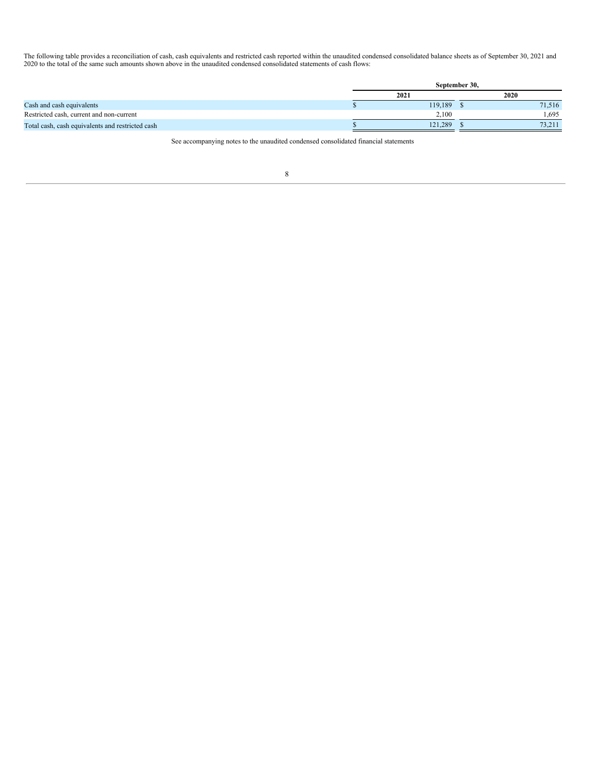The following table provides a reconciliation of cash, cash equivalents and restricted cash reported within the unaudited condensed consolidated balance sheets as of September 30, 2021 and 2020 to the total of the same such amounts shown above in the unaudited condensed consolidated statements of cash flows:

<span id="page-7-0"></span>

|                                                  | September 30. |         |  |        |  |  |  |
|--------------------------------------------------|---------------|---------|--|--------|--|--|--|
|                                                  | 2021          |         |  | 2020   |  |  |  |
| Cash and cash equivalents                        |               | 119,189 |  | 71.516 |  |  |  |
| Restricted cash, current and non-current         |               | 2.100   |  | .695   |  |  |  |
| Total cash, cash equivalents and restricted cash |               | 121,289 |  | 73,211 |  |  |  |

See accompanying notes to the unaudited condensed consolidated financial statements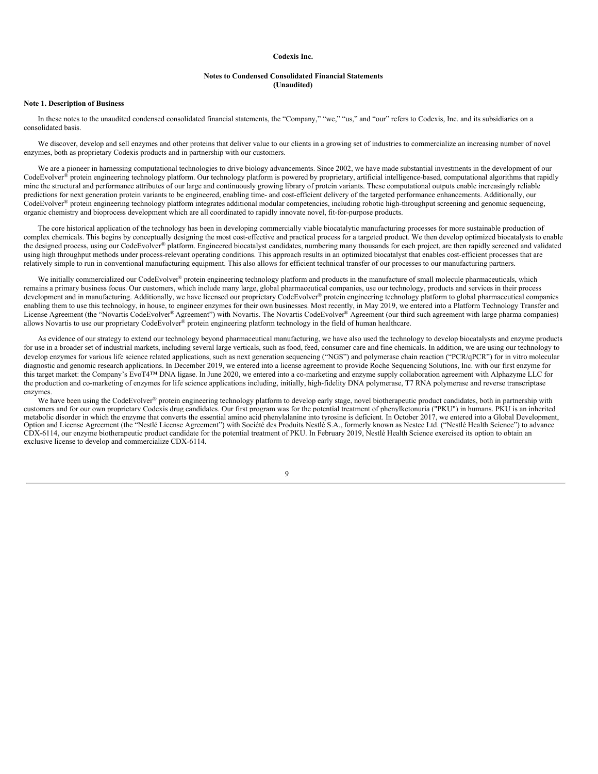#### **Codexis Inc.**

# **Notes to Condensed Consolidated Financial Statements (Unaudited)**

# **Note 1. Description of Business**

In these notes to the unaudited condensed consolidated financial statements, the "Company," "we," "us," and "our" refers to Codexis, Inc. and its subsidiaries on a consolidated basis.

We discover, develop and sell enzymes and other proteins that deliver value to our clients in a growing set of industries to commercialize an increasing number of novel enzymes, both as proprietary Codexis products and in partnership with our customers.

We are a pioneer in harnessing computational technologies to drive biology advancements. Since 2002, we have made substantial investments in the development of our CodeEvolver® protein engineering technology platform. Our technology platform is powered by proprietary, artificial intelligence-based, computational algorithms that rapidly mine the structural and performance attributes of our large and continuously growing library of protein variants. These computational outputs enable increasingly reliable predictions for next generation protein variants to be engineered, enabling time- and cost-efficient delivery of the targeted performance enhancements. Additionally, our CodeEvolver® protein engineering technology platform integrates additional modular competencies, including robotic high-throughput screening and genomic sequencing, organic chemistry and bioprocess development which are all coordinated to rapidly innovate novel, fit-for-purpose products.

The core historical application of the technology has been in developing commercially viable biocatalytic manufacturing processes for more sustainable production of complex chemicals. This begins by conceptually designing the most cost-effective and practical process for a targeted product. We then develop optimized biocatalysts to enable the designed process, using our CodeEvolver® platform. Engineered biocatalyst candidates, numbering many thousands for each project, are then rapidly screened and validated using high throughput methods under process-relevant operating conditions. This approach results in an optimized biocatalyst that enables cost-efficient processes that are relatively simple to run in conventional manufacturing equipment. This also allows for efficient technical transfer of our processes to our manufacturing partners.

We initially commercialized our CodeEvolver® protein engineering technology platform and products in the manufacture of small molecule pharmaceuticals, which remains a primary business focus. Our customers, which include many large, global pharmaceutical companies, use our technology, products and services in their process development and in manufacturing. Additionally, we have licensed our proprietary CodeEvolver® protein engineering technology platform to global pharmaceutical companies enabling them to use this technology, in house, to engineer enzymes for their own businesses. Most recently, in May 2019, we entered into a Platform Technology Transfer and License Agreement (the "Novartis CodeEvolver® Agreement") with Novartis. The Novartis CodeEvolver® Agreement (our third such agreement with large pharma companies) allows Novartis to use our proprietary CodeEvolver<sup>®</sup> protein engineering platform technology in the field of human healthcare.

As evidence of our strategy to extend our technology beyond pharmaceutical manufacturing, we have also used the technology to develop biocatalysts and enzyme products for use in a broader set of industrial markets, including several large verticals, such as food, feed, consumer care and fine chemicals. In addition, we are using our technology to develop enzymes for various life science related applications, such as next generation sequencing ("NGS") and polymerase chain reaction ("PCR/qPCR") for in vitro molecular diagnostic and genomic research applications. In December 2019, we entered into a license agreement to provide Roche Sequencing Solutions, Inc. with our first enzyme for this target market: the Company's EvoT4™ DNA ligase. In June 2020, we entered into a co-marketing and enzyme supply collaboration agreement with Alphazyme LLC for the production and co-marketing of enzymes for life science applications including, initially, high-fidelity DNA polymerase, T7 RNA polymerase and reverse transcriptase enzymes.

We have been using the CodeEvolver® protein engineering technology platform to develop early stage, novel biotherapeutic product candidates, both in partnership with customers and for our own proprietary Codexis drug candidates. Our first program was for the potential treatment of phenylketonuria ("PKU") in humans. PKU is an inherited metabolic disorder in which the enzyme that converts the essential amino acid phenylalanine into tyrosine is deficient. In October 2017, we entered into a Global Development, Option and License Agreement (the "Nestlé License Agreement") with Société des Produits Nestlé S.A., formerly known as Nestec Ltd. ("Nestlé Health Science") to advance CDX-6114, our enzyme biotherapeutic product candidate for the potential treatment of PKU. In February 2019, Nestlé Health Science exercised its option to obtain an exclusive license to develop and commercialize CDX-6114.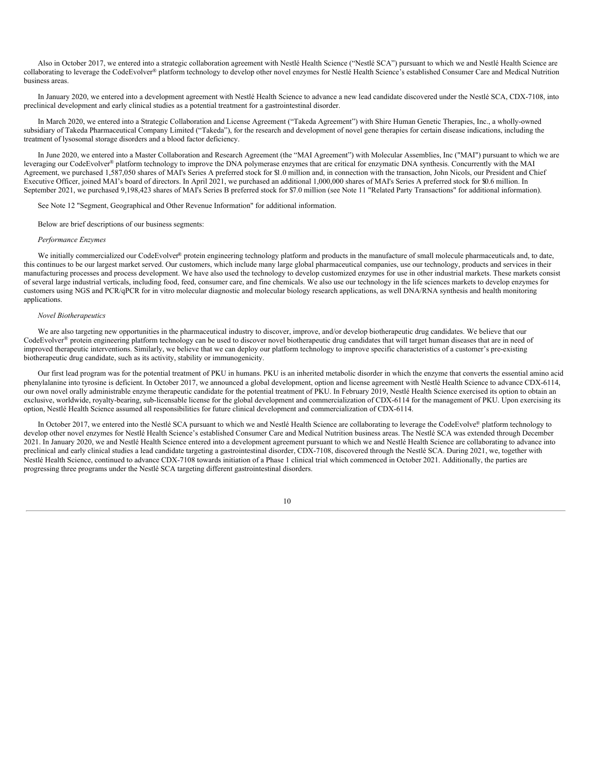Also in October 2017, we entered into a strategic collaboration agreement with Nestlé Health Science ("Nestlé SCA") pursuant to which we and Nestlé Health Science are collaborating to leverage the CodeEvolver® platform technology to develop other novel enzymes for Nestlé Health Science's established Consumer Care and Medical Nutrition business areas.

In January 2020, we entered into a development agreement with Nestlé Health Science to advance a new lead candidate discovered under the Nestlé SCA, CDX-7108, into preclinical development and early clinical studies as a potential treatment for a gastrointestinal disorder.

In March 2020, we entered into a Strategic Collaboration and License Agreement ("Takeda Agreement") with Shire Human Genetic Therapies, Inc., a wholly-owned subsidiary of Takeda Pharmaceutical Company Limited ("Takeda"), for the research and development of novel gene therapies for certain disease indications, including the treatment of lysosomal storage disorders and a blood factor deficiency.

In June 2020, we entered into a Master Collaboration and Research Agreement (the "MAI Agreement") with Molecular Assemblies, Inc ("MAI") pursuant to which we are leveraging our CodeEvolver® platform technology to improve the DNA polymerase enzymes that are critical for enzymatic DNA synthesis. Concurrently with the MAI Agreement, we purchased 1,587,050 shares of MAI's Series A preferred stock for \$1.0 million and, in connection with the transaction, John Nicols, our President and Chief Executive Officer, joined MAI's board of directors. In April 2021, we purchased an additional 1,000,000 shares of MAI's Series A preferred stock for \$0.6 million. In September 2021, we purchased 9,198,423 shares of MAI's Series B preferred stock for \$7.0 million (see Note 11 "Related Party Transactions" for additional information).

See Note 12 "Segment, Geographical and Other Revenue Information" for additional information.

Below are brief descriptions of our business segments:

### *Performance Enzymes*

We initially commercialized our CodeEvolver® protein engineering technology platform and products in the manufacture of small molecule pharmaceuticals and, to date, this continues to be our largest market served. Our customers, which include many large global pharmaceutical companies, use our technology, products and services in their manufacturing processes and process development. We have also used the technology to develop customized enzymes for use in other industrial markets. These markets consist of several large industrial verticals, including food, feed, consumer care, and fine chemicals. We also use our technology in the life sciences markets to develop enzymes for customers using NGS and PCR/qPCR for in vitro molecular diagnostic and molecular biology research applications, as well DNA/RNA synthesis and health monitoring applications.

# *Novel Biotherapeutics*

We are also targeting new opportunities in the pharmaceutical industry to discover, improve, and/or develop biotherapeutic drug candidates. We believe that our CodeEvolver® protein engineering platform technology can be used to discover novel biotherapeutic drug candidates that will target human diseases that are in need of improved therapeutic interventions. Similarly, we believe that we can deploy our platform technology to improve specific characteristics of a customer's pre-existing biotherapeutic drug candidate, such as its activity, stability or immunogenicity.

Our first lead program was for the potential treatment of PKU in humans. PKU is an inherited metabolic disorder in which the enzyme that converts the essential amino acid phenylalanine into tyrosine is deficient. In October 2017, we announced a global development, option and license agreement with Nestlé Health Science to advance CDX-6114, our own novel orally administrable enzyme therapeutic candidate for the potential treatment of PKU. In February 2019, Nestlé Health Science exercised its option to obtain an exclusive, worldwide, royalty-bearing, sub-licensable license for the global development and commercialization of CDX-6114 for the management of PKU. Upon exercising its option, Nestlé Health Science assumed all responsibilities for future clinical development and commercialization of CDX-6114.

In October 2017, we entered into the Nestlé SCA pursuant to which we and Nestlé Health Science are collaborating to leverage the CodeEvolver platform technology to develop other novel enzymes for Nestlé Health Science's established Consumer Care and Medical Nutrition business areas. The Nestlé SCA was extended through December 2021. In January 2020, we and Nestlé Health Science entered into a development agreement pursuant to which we and Nestlé Health Science are collaborating to advance into preclinical and early clinical studies a lead candidate targeting a gastrointestinal disorder, CDX-7108, discovered through the Nestlé SCA. During 2021, we, together with Nestlé Health Science, continued to advance CDX-7108 towards initiation of a Phase 1 clinical trial which commenced in October 2021. Additionally, the parties are progressing three programs under the Nestlé SCA targeting different gastrointestinal disorders.

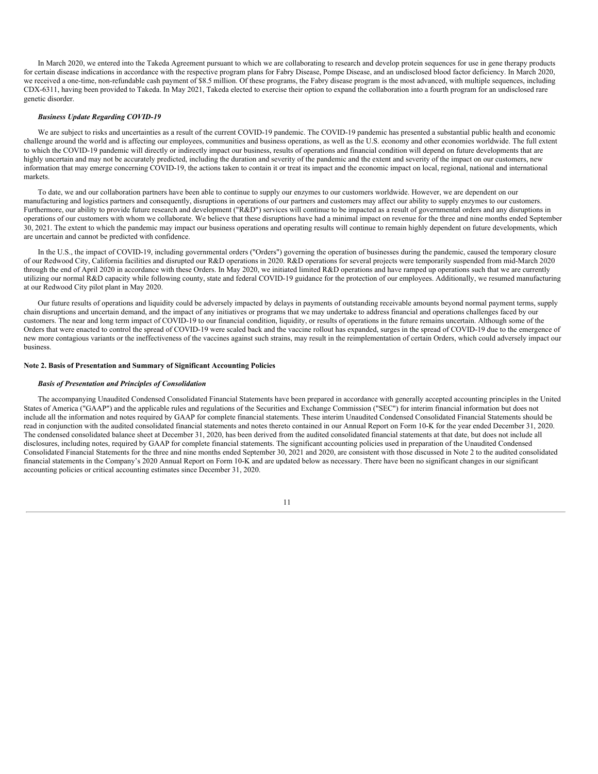In March 2020, we entered into the Takeda Agreement pursuant to which we are collaborating to research and develop protein sequences for use in gene therapy products for certain disease indications in accordance with the respective program plans for Fabry Disease, Pompe Disease, and an undisclosed blood factor deficiency. In March 2020, we received a one-time, non-refundable cash payment of \$8.5 million. Of these programs, the Fabry disease program is the most advanced, with multiple sequences, including CDX-6311, having been provided to Takeda. In May 2021, Takeda elected to exercise their option to expand the collaboration into a fourth program for an undisclosed rare genetic disorder.

## *Business Update Regarding COVID-19*

We are subject to risks and uncertainties as a result of the current COVID-19 pandemic. The COVID-19 pandemic has presented a substantial public health and economic challenge around the world and is affecting our employees, communities and business operations, as well as the U.S. economy and other economies worldwide. The full extent to which the COVID-19 pandemic will directly or indirectly impact our business, results of operations and financial condition will depend on future developments that are highly uncertain and may not be accurately predicted, including the duration and severity of the pandemic and the extent and severity of the impact on our customers, new information that may emerge concerning COVID-19, the actions taken to contain it or treat its impact and the economic impact on local, regional, national and international markets.

To date, we and our collaboration partners have been able to continue to supply our enzymes to our customers worldwide. However, we are dependent on our manufacturing and logistics partners and consequently, disruptions in operations of our partners and customers may affect our ability to supply enzymes to our customers. Furthermore, our ability to provide future research and development ("R&D") services will continue to be impacted as a result of governmental orders and any disruptions in operations of our customers with whom we collaborate. We believe that these disruptions have had a minimal impact on revenue for the three and nine months ended September 30, 2021. The extent to which the pandemic may impact our business operations and operating results will continue to remain highly dependent on future developments, which are uncertain and cannot be predicted with confidence.

In the U.S., the impact of COVID-19, including governmental orders ("Orders") governing the operation of businesses during the pandemic, caused the temporary closure of our Redwood City, California facilities and disrupted our R&D operations in 2020. R&D operations for several projects were temporarily suspended from mid-March 2020 through the end of April 2020 in accordance with these Orders. In May 2020, we initiated limited R&D operations and have ramped up operations such that we are currently utilizing our normal R&D capacity while following county, state and federal COVID-19 guidance for the protection of our employees. Additionally, we resumed manufacturing at our Redwood City pilot plant in May 2020.

Our future results of operations and liquidity could be adversely impacted by delays in payments of outstanding receivable amounts beyond normal payment terms, supply chain disruptions and uncertain demand, and the impact of any initiatives or programs that we may undertake to address financial and operations challenges faced by our customers. The near and long term impact of COVID-19 to our financial condition, liquidity, or results of operations in the future remains uncertain. Although some of the Orders that were enacted to control the spread of COVID-19 were scaled back and the vaccine rollout has expanded, surges in the spread of COVID-19 due to the emergence of new more contagious variants or the ineffectiveness of the vaccines against such strains, may result in the reimplementation of certain Orders, which could adversely impact our business.

# **Note 2. Basis of Presentation and Summary of Significant Accounting Policies**

#### *Basis of Presentation and Principles of Consolidation*

The accompanying Unaudited Condensed Consolidated Financial Statements have been prepared in accordance with generally accepted accounting principles in the United States of America ("GAAP") and the applicable rules and regulations of the Securities and Exchange Commission ("SEC") for interim financial information but does not include all the information and notes required by GAAP for complete financial statements. These interim Unaudited Condensed Consolidated Financial Statements should be read in conjunction with the audited consolidated financial statements and notes thereto contained in our Annual Report on Form 10-K for the year ended December 31, 2020. The condensed consolidated balance sheet at December 31, 2020, has been derived from the audited consolidated financial statements at that date, but does not include all disclosures, including notes, required by GAAP for complete financial statements. The significant accounting policies used in preparation of the Unaudited Condensed Consolidated Financial Statements for the three and nine months ended September 30, 2021 and 2020, are consistent with those discussed in Note 2 to the audited consolidated financial statements in the Company's 2020 Annual Report on Form 10-K and are updated below as necessary. There have been no significant changes in our significant accounting policies or critical accounting estimates since December 31, 2020.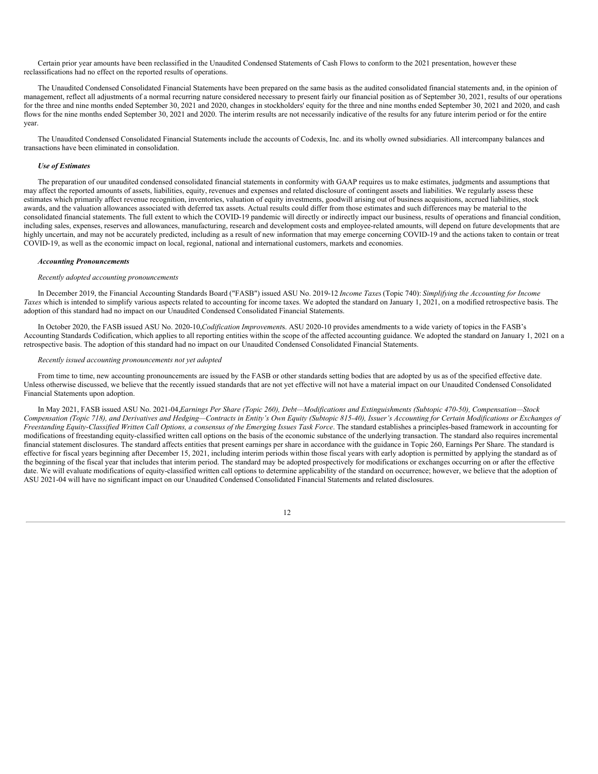Certain prior year amounts have been reclassified in the Unaudited Condensed Statements of Cash Flows to conform to the 2021 presentation, however these reclassifications had no effect on the reported results of operations.

The Unaudited Condensed Consolidated Financial Statements have been prepared on the same basis as the audited consolidated financial statements and, in the opinion of management, reflect all adjustments of a normal recurring nature considered necessary to present fairly our financial position as of September 30, 2021, results of our operations for the three and nine months ended September 30, 2021 and 2020, changes in stockholders' equity for the three and nine months ended September 30, 2021 and 2020, and cash flows for the nine months ended September 30, 2021 and 2020. The interim results are not necessarily indicative of the results for any future interim period or for the entire year.

The Unaudited Condensed Consolidated Financial Statements include the accounts of Codexis, Inc. and its wholly owned subsidiaries. All intercompany balances and transactions have been eliminated in consolidation.

# *Use of Estimates*

The preparation of our unaudited condensed consolidated financial statements in conformity with GAAP requires us to make estimates, judgments and assumptions that may affect the reported amounts of assets, liabilities, equity, revenues and expenses and related disclosure of contingent assets and liabilities. We regularly assess these estimates which primarily affect revenue recognition, inventories, valuation of equity investments, goodwill arising out of business acquisitions, accrued liabilities, stock awards, and the valuation allowances associated with deferred tax assets. Actual results could differ from those estimates and such differences may be material to the consolidated financial statements. The full extent to which the COVID-19 pandemic will directly or indirectly impact our business, results of operations and financial condition, including sales, expenses, reserves and allowances, manufacturing, research and development costs and employee-related amounts, will depend on future developments that are highly uncertain, and may not be accurately predicted, including as a result of new information that may emerge concerning COVID-19 and the actions taken to contain or treat COVID-19, as well as the economic impact on local, regional, national and international customers, markets and economies.

# *Accounting Pronouncements*

#### *Recently adopted accounting pronouncements*

In December 2019, the Financial Accounting Standards Board ("FASB") issued ASU No. 2019-12,*Income Taxes*(Topic 740): *Simplifying the Accounting for Income Taxes* which is intended to simplify various aspects related to accounting for income taxes. We adopted the standard on January 1, 2021, on a modified retrospective basis. The adoption of this standard had no impact on our Unaudited Condensed Consolidated Financial Statements.

In October 2020, the FASB issued ASU No. 2020-10,*Codification Improvement*s. ASU 2020-10 provides amendments to a wide variety of topics in the FASB's Accounting Standards Codification, which applies to all reporting entities within the scope of the affected accounting guidance. We adopted the standard on January 1, 2021 on a retrospective basis. The adoption of this standard had no impact on our Unaudited Condensed Consolidated Financial Statements.

#### *Recently issued accounting pronouncements not yet adopted*

From time to time, new accounting pronouncements are issued by the FASB or other standards setting bodies that are adopted by us as of the specified effective date. Unless otherwise discussed, we believe that the recently issued standards that are not yet effective will not have a material impact on our Unaudited Condensed Consolidated Financial Statements upon adoption.

In May 2021, FASB issued ASU No. 2021-04, Earnings Per Share (Topic 260), Debt-Modifications and Extinguishments (Subtopic 470-50), Compensation-Stock Compensation (Topic 718), and Derivatives and Hedging-Contracts in Entity's Own Equity (Subtopic 815-40), Issuer's Accounting for Certain Modifications or Exchanges of Freestanding Equity-Classified Written Call Options, a consensus of the Emerging Issues Task Force. The standard establishes a principles-based framework in accounting for modifications of freestanding equity-classified written call options on the basis of the economic substance of the underlying transaction. The standard also requires incremental financial statement disclosures. The standard affects entities that present earnings per share in accordance with the guidance in Topic 260, Earnings Per Share. The standard is effective for fiscal years beginning after December 15, 2021, including interim periods within those fiscal years with early adoption is permitted by applying the standard as of the beginning of the fiscal year that includes that interim period. The standard may be adopted prospectively for modifications or exchanges occurring on or after the effective date. We will evaluate modifications of equity-classified written call options to determine applicability of the standard on occurrence; however, we believe that the adoption of ASU 2021-04 will have no significant impact on our Unaudited Condensed Consolidated Financial Statements and related disclosures.

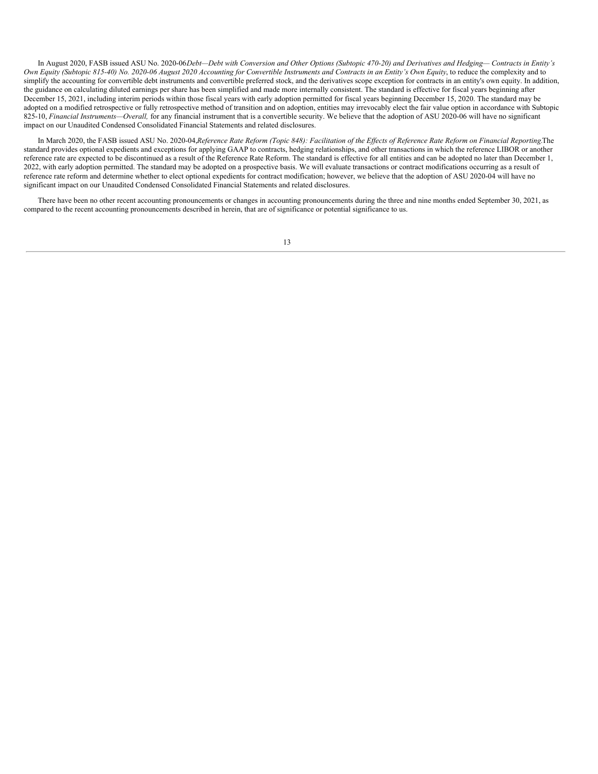In August 2020, FASB issued ASU No. 2020-06Debt-Debt with Conversion and Other Options (Subtopic 470-20) and Derivatives and Hedging-Contracts in Entity's Own Equity (Subtopic 815-40) No. 2020-06 August 2020 Accounting for Convertible Instruments and Contracts in an Entity's Own Equity, to reduce the complexity and to simplify the accounting for convertible debt instruments and convertible preferred stock, and the derivatives scope exception for contracts in an entity's own equity. In addition, the guidance on calculating diluted earnings per share has been simplified and made more internally consistent. The standard is effective for fiscal years beginning after December 15, 2021, including interim periods within those fiscal years with early adoption permitted for fiscal years beginning December 15, 2020. The standard may be adopted on a modified retrospective or fully retrospective method of transition and on adoption, entities may irrevocably elect the fair value option in accordance with Subtopic 825-10, *Financial Instruments—Overall,* for any financial instrument that is a convertible security. We believe that the adoption of ASU 2020-06 will have no significant impact on our Unaudited Condensed Consolidated Financial Statements and related disclosures.

In March 2020, the FASB issued ASU No. 2020-04, Reference Rate Reform (Topic 848): Facilitation of the Effects of Reference Rate Reform on Financial Reporting.The standard provides optional expedients and exceptions for applying GAAP to contracts, hedging relationships, and other transactions in which the reference LIBOR or another reference rate are expected to be discontinued as a result of the Reference Rate Reform. The standard is effective for all entities and can be adopted no later than December 1, 2022, with early adoption permitted. The standard may be adopted on a prospective basis. We will evaluate transactions or contract modifications occurring as a result of reference rate reform and determine whether to elect optional expedients for contract modification; however, we believe that the adoption of ASU 2020-04 will have no significant impact on our Unaudited Condensed Consolidated Financial Statements and related disclosures.

There have been no other recent accounting pronouncements or changes in accounting pronouncements during the three and nine months ended September 30, 2021, as compared to the recent accounting pronouncements described in herein, that are of significance or potential significance to us.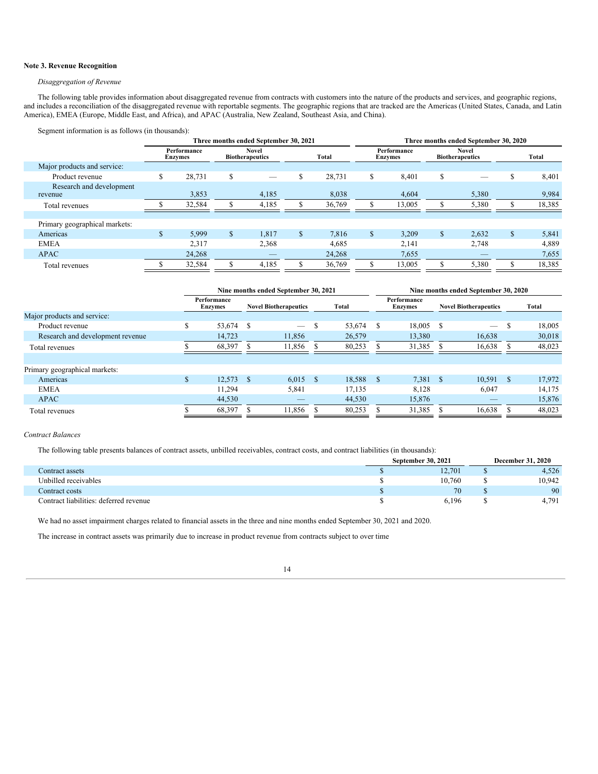# **Note 3. Revenue Recognition**

# *Disaggregation of Revenue*

The following table provides information about disaggregated revenue from contracts with customers into the nature of the products and services, and geographic regions, and includes a reconciliation of the disaggregated revenue with reportable segments. The geographic regions that are tracked are the Americas (United States, Canada, and Latin America), EMEA (Europe, Middle East, and Africa), and APAC (Australia, New Zealand, Southeast Asia, and China).

Segment information is as follows (in thousands):

|                                     | Three months ended September 30, 2021 |                        |                                        |                          |              |        | Three months ended September 30, 2020 |                        |    |                                        |              |        |  |
|-------------------------------------|---------------------------------------|------------------------|----------------------------------------|--------------------------|--------------|--------|---------------------------------------|------------------------|----|----------------------------------------|--------------|--------|--|
|                                     |                                       | Performance<br>Enzymes | <b>Novel</b><br><b>Biotherapeutics</b> |                          |              | Total  |                                       | Performance<br>Enzymes |    | <b>Novel</b><br><b>Biotherapeutics</b> |              | Total  |  |
| Major products and service:         |                                       |                        |                                        |                          |              |        |                                       |                        |    |                                        |              |        |  |
| Product revenue                     |                                       | 28.731                 | \$                                     |                          | S            | 28,731 | \$                                    | 8,401                  | \$ |                                        | \$           | 8,401  |  |
| Research and development<br>revenue |                                       | 3,853                  |                                        | 4,185                    |              | 8,038  |                                       | 4,604                  |    | 5,380                                  |              | 9,984  |  |
| Total revenues                      |                                       | 32,584                 |                                        | 4,185                    |              | 36,769 | л.                                    | 13,005                 |    | 5,380                                  |              | 18,385 |  |
|                                     |                                       |                        |                                        |                          |              |        |                                       |                        |    |                                        |              |        |  |
| Primary geographical markets:       |                                       |                        |                                        |                          |              |        |                                       |                        |    |                                        |              |        |  |
| Americas                            | \$.                                   | 5,999                  | $\mathbb{S}$                           | 1.817                    | $\mathbb{S}$ | 7.816  | $\mathbb{S}$                          | 3.209                  | \$ | 2,632                                  | $\mathbb{S}$ | 5,841  |  |
| <b>EMEA</b>                         |                                       | 2,317                  |                                        | 2,368                    |              | 4,685  |                                       | 2,141                  |    | 2,748                                  |              | 4,889  |  |
| <b>APAC</b>                         |                                       | 24,268                 |                                        | $\qquad \qquad - \qquad$ |              | 24,268 |                                       | 7,655                  |    |                                        |              | 7,655  |  |
| Total revenues                      |                                       | 32,584                 |                                        | 4,185                    |              | 36,769 | \$                                    | 13,005                 | J. | 5,380                                  | ¢            | 18,385 |  |

|                                  | Nine months ended September 30, 2021 |    |                                 |    |        |              | Nine months ended September 30, 2020 |  |                              |               |        |  |  |
|----------------------------------|--------------------------------------|----|---------------------------------|----|--------|--------------|--------------------------------------|--|------------------------------|---------------|--------|--|--|
|                                  | Performance<br><b>Enzymes</b>        |    | <b>Novel Biotherapeutics</b>    |    | Total  |              | Performance<br><b>Enzymes</b>        |  | <b>Novel Biotherapeutics</b> |               | Total  |  |  |
| Major products and service:      |                                      |    |                                 |    |        |              |                                      |  |                              |               |        |  |  |
| Product revenue                  | 53,674                               | S  | $\hspace{0.1mm}-\hspace{0.1mm}$ | S. | 53,674 | S            | 18.005                               |  | $\overline{\phantom{a}}$     | S             | 18,005 |  |  |
| Research and development revenue | 14.723                               |    | 11,856                          |    | 26,579 |              | 13,380                               |  | 16,638                       |               | 30,018 |  |  |
| Total revenues                   | 68,397                               |    | 11,856                          |    | 80,253 |              | 31,385                               |  | 16,638                       |               | 48,023 |  |  |
|                                  |                                      |    |                                 |    |        |              |                                      |  |                              |               |        |  |  |
| Primary geographical markets:    |                                      |    |                                 |    |        |              |                                      |  |                              |               |        |  |  |
| Americas                         | \$<br>12.573                         | -S | $6.015$ \$                      |    | 18,588 | <sup>S</sup> | $7,381$ \$                           |  | 10.591                       | <sup>\$</sup> | 17,972 |  |  |
| <b>EMEA</b>                      | 11,294                               |    | 5,841                           |    | 17,135 |              | 8,128                                |  | 6,047                        |               | 14,175 |  |  |
| <b>APAC</b>                      | 44,530                               |    | $\qquad \qquad -$               |    | 44,530 |              | 15,876                               |  | _                            |               | 15,876 |  |  |
| Total revenues                   | 68,397                               |    | 11,856                          |    | 80,253 |              | 31,385                               |  | 16,638                       |               | 48,023 |  |  |

# *Contract Balances*

The following table presents balances of contract assets, unbilled receivables, contract costs, and contract liabilities (in thousands):

|                                        | September 30, 2021 | <b>December 31, 2020</b> |
|----------------------------------------|--------------------|--------------------------|
| Contract assets                        | 12.701             | 4,526                    |
| Unbilled receivables                   | 10.760             | 10.942                   |
| Contract costs                         | 70                 | 90                       |
| Contract liabilities: deferred revenue | 6.196              | 4.791                    |

We had no asset impairment charges related to financial assets in the three and nine months ended September 30, 2021 and 2020.

The increase in contract assets was primarily due to increase in product revenue from contracts subject to over time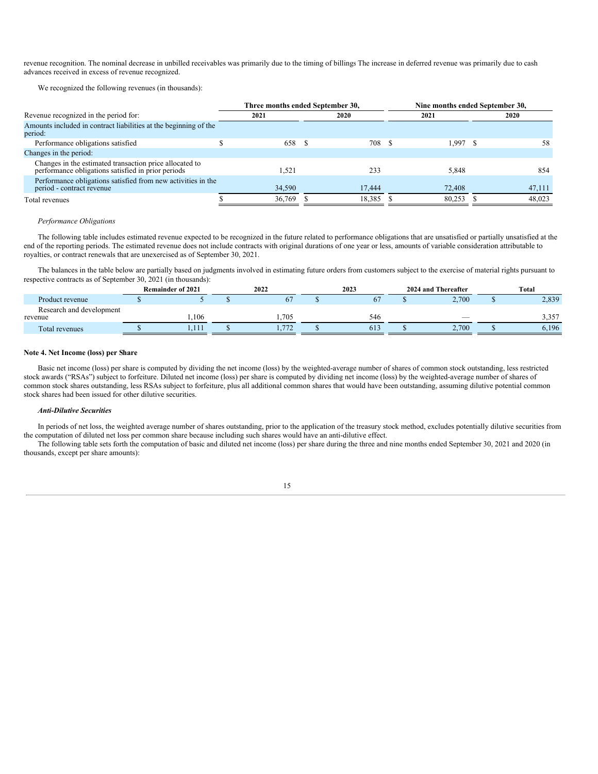revenue recognition. The nominal decrease in unbilled receivables was primarily due to the timing of billings The increase in deferred revenue was primarily due to cash advances received in excess of revenue recognized.

We recognized the following revenues (in thousands):

|                                                                                                               |        | Three months ended September 30, | Nine months ended September 30, |      |            |  |        |
|---------------------------------------------------------------------------------------------------------------|--------|----------------------------------|---------------------------------|------|------------|--|--------|
| Revenue recognized in the period for:                                                                         | 2021   |                                  | 2020                            | 2021 |            |  | 2020   |
| Amounts included in contract liabilities at the beginning of the<br>period:                                   |        |                                  |                                 |      |            |  |        |
| Performance obligations satisfied                                                                             |        | 658 \$                           | 708 \$                          |      | $1,997$ \$ |  | 58     |
| Changes in the period:                                                                                        |        |                                  |                                 |      |            |  |        |
| Changes in the estimated transaction price allocated to<br>performance obligations satisfied in prior periods | 1.521  |                                  | 233                             |      | 5,848      |  | 854    |
| Performance obligations satisfied from new activities in the<br>period - contract revenue                     | 34,590 |                                  | 17.444                          |      | 72,408     |  | 47,111 |
| Total revenues                                                                                                | 36.769 |                                  | 18.385 \$                       |      | 80.253     |  | 48.023 |

#### *Performance Obligations*

The following table includes estimated revenue expected to be recognized in the future related to performance obligations that are unsatisfied or partially unsatisfied at the end of the reporting periods. The estimated revenue does not include contracts with original durations of one year or less, amounts of variable consideration attributable to royalties, or contract renewals that are unexercised as of September 30, 2021.

The balances in the table below are partially based on judgments involved in estimating future orders from customers subject to the exercise of material rights pursuant to respective contracts as of September 30, 2021 (in thousands):

|                                     | <b>Remainder of 2021</b> | 2022                    | 2023 | 2024 and Thereafter | Total         |
|-------------------------------------|--------------------------|-------------------------|------|---------------------|---------------|
| Product revenue                     |                          | $\sigma$                |      | 2,700               | 2,839         |
| Research and development<br>revenue | .106                     | .705                    | 546  |                     | 257<br>ا روبر |
| Total revenues                      | 1.111                    | $\overline{H}$<br>1.774 | 61.  | 2.700               | 6.196         |

#### **Note 4. Net Income (loss) per Share**

Basic net income (loss) per share is computed by dividing the net income (loss) by the weighted-average number of shares of common stock outstanding, less restricted stock awards ("RSAs") subject to forfeiture. Diluted net income (loss) per share is computed by dividing net income (loss) by the weighted-average number of shares of common stock shares outstanding, less RSAs subject to forfeiture, plus all additional common shares that would have been outstanding, assuming dilutive potential common stock shares had been issued for other dilutive securities.

#### *Anti-Dilutive Securities*

In periods of net loss, the weighted average number of shares outstanding, prior to the application of the treasury stock method, excludes potentially dilutive securities from the computation of diluted net loss per common share because including such shares would have an anti-dilutive effect.

The following table sets forth the computation of basic and diluted net income (loss) per share during the three and nine months ended September 30, 2021 and 2020 (in thousands, except per share amounts):

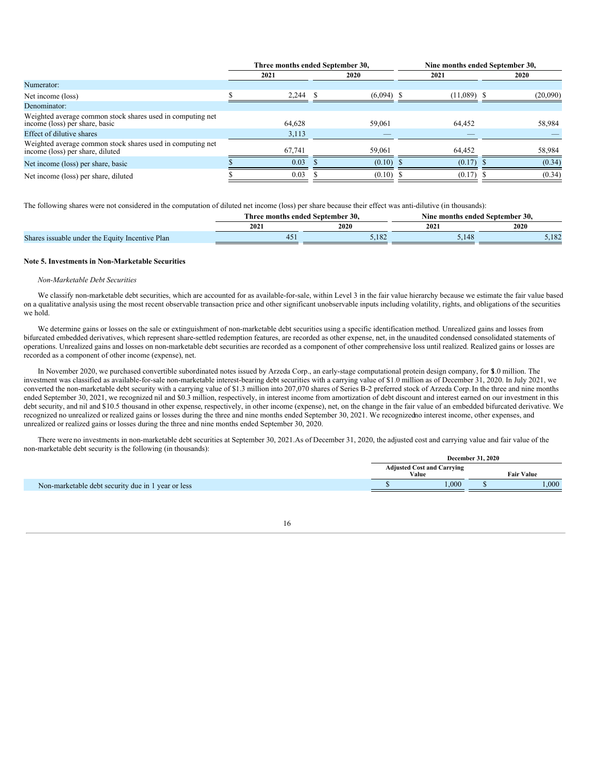|                                                                                                | Three months ended September 30, |  |              |  | Nine months ended September 30, |  |          |  |  |
|------------------------------------------------------------------------------------------------|----------------------------------|--|--------------|--|---------------------------------|--|----------|--|--|
|                                                                                                | 2021                             |  | 2020         |  | 2021                            |  | 2020     |  |  |
| Numerator:                                                                                     |                                  |  |              |  |                                 |  |          |  |  |
| Net income (loss)                                                                              | 2,244                            |  | $(6,094)$ \$ |  | $(11,089)$ \$                   |  | (20,090) |  |  |
| Denominator:                                                                                   |                                  |  |              |  |                                 |  |          |  |  |
| Weighted average common stock shares used in computing net<br>income (loss) per share, basic   | 64,628                           |  | 59,061       |  | 64,452                          |  | 58,984   |  |  |
| Effect of dilutive shares                                                                      | 3,113                            |  | _            |  |                                 |  |          |  |  |
| Weighted average common stock shares used in computing net<br>income (loss) per share, diluted | 67,741                           |  | 59,061       |  | 64,452                          |  | 58,984   |  |  |
| Net income (loss) per share, basic                                                             | 0.03                             |  | $(0.10)$ \$  |  | $(0.17)$ \$                     |  | (0.34)   |  |  |
| Net income (loss) per share, diluted                                                           | 0.03                             |  | $(0.10)$ \$  |  | $(0.17)$ \$                     |  | (0.34)   |  |  |

The following shares were not considered in the computation of diluted net income (loss) per share because their effect was anti-dilutive (in thousands):

|                                                             | l'hree months | $\cdot$ 30<br>; ended Sentember : | Nine months | ended September 30. |
|-------------------------------------------------------------|---------------|-----------------------------------|-------------|---------------------|
|                                                             | 2021          | 2020                              | 2021        | 2020                |
| <b>Shares</b><br>s issuable under the Equity Incentive Plan |               | 102<br>2.102                      | J.          | 102<br>2,104        |

## **Note 5. Investments in Non-Marketable Securities**

# *Non-Marketable Debt Securities*

We classify non-marketable debt securities, which are accounted for as available-for-sale, within Level 3 in the fair value hierarchy because we estimate the fair value based on a qualitative analysis using the most recent observable transaction price and other significant unobservable inputs including volatility, rights, and obligations of the securities we hold.

We determine gains or losses on the sale or extinguishment of non-marketable debt securities using a specific identification method. Unrealized gains and losses from bifurcated embedded derivatives, which represent share-settled redemption features, are recorded as other expense, net, in the unaudited condensed consolidated statements of operations. Unrealized gains and losses on non-marketable debt securities are recorded as a component of other comprehensive loss until realized. Realized gains or losses are recorded as a component of other income (expense), net.

In November 2020, we purchased convertible subordinated notes issued by Arzeda Corp., an early-stage computational protein design company, for \$1.0 million. The investment was classified as available-for-sale non-marketable interest-bearing debt securities with a carrying value of \$1.0 million as of December 31, 2020. In July 2021, we converted the non-marketable debt security with a carrying value of \$1.3 million into 207,070 shares of Series B-2 preferred stock of Arzeda Corp.In the three and nine months ended September 30, 2021, we recognized nil and \$0.3 million, respectively, in interest income from amortization of debt discount and interest earned on our investment in this debt security, and nil and \$10.5 thousand in other expense, respectively, in other income (expense), net, on the change in the fair value of an embedded bifurcated derivative. We recognized no unrealized or realized gains or losses during the three and nine months ended September 30, 2021. We recognizedno interest income, other expenses, and unrealized or realized gains or losses during the three and nine months ended September 30, 2020.

There were no investments in non-marketable debt securities at September 30, 2021.As of December 31, 2020, the adjusted cost and carrying value and fair value of the non-marketable debt security is the following (in thousands):

|                                                    |                                            |                   | <b>December 31, 2020</b> |      |
|----------------------------------------------------|--------------------------------------------|-------------------|--------------------------|------|
|                                                    | <b>Adjusted Cost and Carrying</b><br>Value | <b>Fair Value</b> |                          |      |
| Non-marketable debt security due in 1 year or less |                                            | .000              |                          | .000 |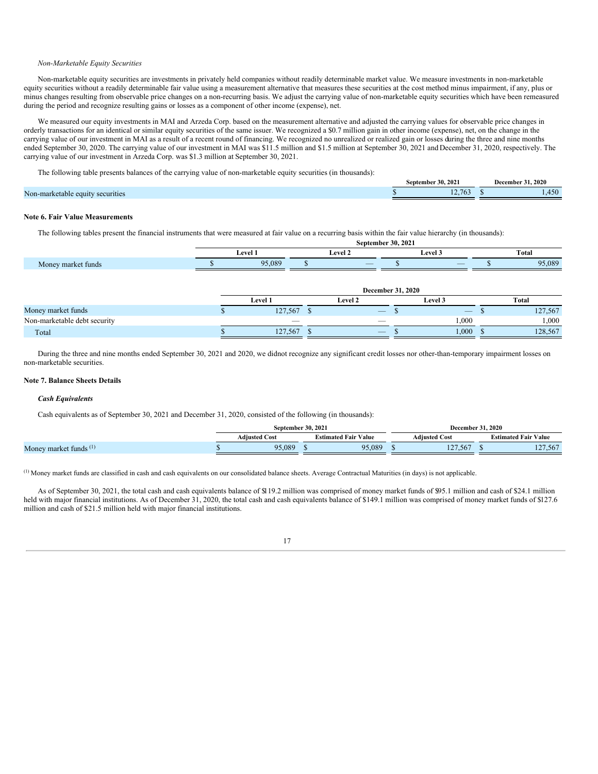## *Non-Marketable Equity Securities*

Non-marketable equity securities are investments in privately held companies without readily determinable market value. We measure investments in non-marketable equity securities without a readily determinable fair value using a measurement alternative that measures these securities at the cost method minus impairment, if any, plus or minus changes resulting from observable price changes on a non-recurring basis. We adjust the carrying value of non-marketable equity securities which have been remeasured during the period and recognize resulting gains or losses as a component of other income (expense), net.

We measured our equity investments in MAI and Arzeda Corp. based on the measurement alternative and adjusted the carrying values for observable price changes in orderly transactions for an identical or similar equity securities of the same issuer. We recognized a \$0.7 million gain in other income (expense), net, on the change in the carrying value of our investment in MAI as a result of a recent round of financing. We recognized no unrealized or realized gain or losses during the three and nine months ended September 30, 2020. The carrying value of our investment in MAI was \$11.5 million and \$1.5 million at September 30, 2021 and December 31, 2020, respectively. The carrying value of our investment in Arzeda Corp. was \$1.3 million at September 30, 2021.

The following table presents balances of the carrying value of non-marketable equity securities (in thousands):

|                                  | <b>Sentember 30, 2021</b> | .2020<br>December : |
|----------------------------------|---------------------------|---------------------|
| Non-marketable equity securities | 12.763                    |                     |
|                                  |                           |                     |

# **Note 6. Fair Value Measurements**

The following tables present the financial instruments that were measured at fair value on a recurring basis within the fair value hierarchy (in thousands):

|                         | September 30, 2021    |  |                                 |  |                                                                                                                                            |       |       |  |  |  |  |
|-------------------------|-----------------------|--|---------------------------------|--|--------------------------------------------------------------------------------------------------------------------------------------------|-------|-------|--|--|--|--|
|                         | Level <sup>*</sup>    |  | $\overline{\phantom{a}}$<br>eve |  | - 10<br><b>Level 3</b>                                                                                                                     | Total |       |  |  |  |  |
| t funds<br>Money market | <b>05 080</b><br>יש כ |  | $\overline{\phantom{a}}$        |  | and the state of the state of the state of the state of the state of the state of the state of the state of th<br>$\overline{\phantom{a}}$ |       | 5,089 |  |  |  |  |

|                              | <b>December 31, 2020</b> |  |                          |  |                          |  |         |  |  |
|------------------------------|--------------------------|--|--------------------------|--|--------------------------|--|---------|--|--|
|                              | <b>Level 1</b>           |  | <b>Level 2</b>           |  | Level 3                  |  | Total   |  |  |
| Money market funds           | 127,567                  |  | $\overline{\phantom{a}}$ |  | $\overline{\phantom{a}}$ |  | 127,567 |  |  |
| Non-marketable debt security | $\overline{\phantom{a}}$ |  | _                        |  | 000.                     |  | 000,1   |  |  |
| Total                        | 127,567                  |  | $\overline{\phantom{a}}$ |  | 000.                     |  | 128,567 |  |  |

During the three and nine months ended September 30, 2021 and 2020, we didnot recognize any significant credit losses nor other-than-temporary impairment losses on non-marketable securities.

# **Note 7. Balance Sheets Details**

# *Cash Equivalents*

Cash equivalents as of September 30, 2021 and December 31, 2020, consisted of the following (in thousands):

|                          | September 30, 2021 |                      |  | December :                                                         | . 2020               |                             |  |
|--------------------------|--------------------|----------------------|--|--------------------------------------------------------------------|----------------------|-----------------------------|--|
|                          |                    | <b>Adiusted Cost</b> |  | $\cdot$ $\cdot$ $\cdot$<br>$\cdots$<br><b>Estimated Fair Value</b> | <b>Adiusted Cost</b> | <b>Estimated Fair Value</b> |  |
| Money market funds $(1)$ |                    | 95.089               |  | 95,089                                                             | 127,567              | 127,567                     |  |

 $<sup>(1)</sup>$  Money market funds are classified in cash and cash equivalents on our consolidated balance sheets. Average Contractual Maturities (in days) is not applicable.</sup>

As of September 30, 2021, the total cash and cash equivalents balance of \$119.2 million was comprised of money market funds of \$95.1 million and cash of \$24.1 million held with major financial institutions. As of December 31, 2020, the total cash and cash equivalents balance of \$149.1 million was comprised of money market funds of \$127.6 million and cash of \$21.5 million held with major financial institutions.

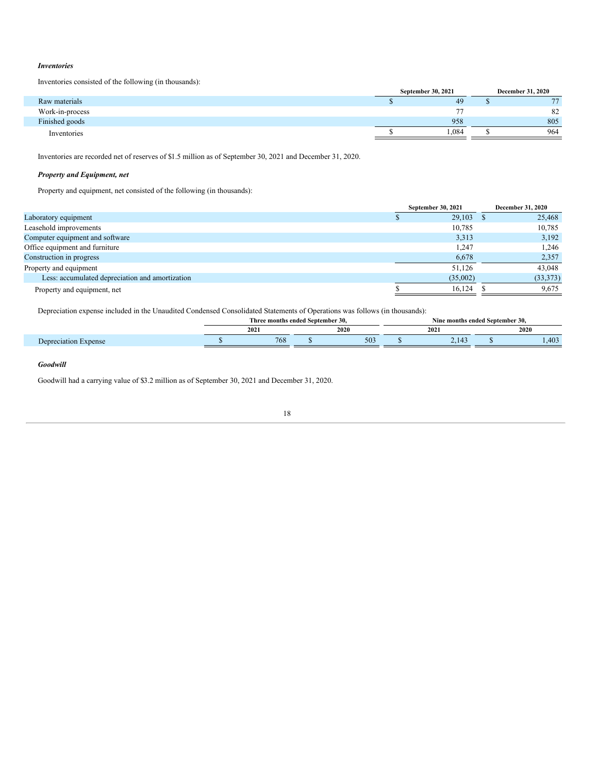# *Inventories*

Inventories consisted of the following (in thousands):

|                 | September 30, 2021 | <b>December 31, 2020</b> |                |  |
|-----------------|--------------------|--------------------------|----------------|--|
| Raw materials   | 49                 |                          | $\overline{a}$ |  |
| Work-in-process | $\overline{a}$     |                          | 82             |  |
| Finished goods  | 958                |                          | 805            |  |
| Inventories     | .084               |                          | 964            |  |

Inventories are recorded net of reserves of \$1.5 million as of September 30, 2021 and December 31, 2020.

# *Property and Equipment, net*

Property and equipment, net consisted of the following (in thousands):

| 25,468    |
|-----------|
| 10,785    |
| 3,192     |
| 1,246     |
| 2,357     |
| 43,048    |
| (33, 373) |
| 9,675     |
|           |

Depreciation expense included in the Unaudited Condensed Consolidated Statements of Operations was follows (in thousands):

|                         | : months ended Sentember 30.<br><b>hre</b> |                 |  |      | l Sentember 30.<br>ended<br>Nine months |     |  |      |  |
|-------------------------|--------------------------------------------|-----------------|--|------|-----------------------------------------|-----|--|------|--|
|                         |                                            | 2021            |  | 2020 |                                         | 202 |  | 2020 |  |
| $m$ ene $m$<br>.<br>,,, |                                            | 76 <sub>c</sub> |  | 503  |                                         | --  |  | .403 |  |

# *Goodwill*

Goodwill had a carrying value of \$3.2 million as of September 30, 2021 and December 31, 2020.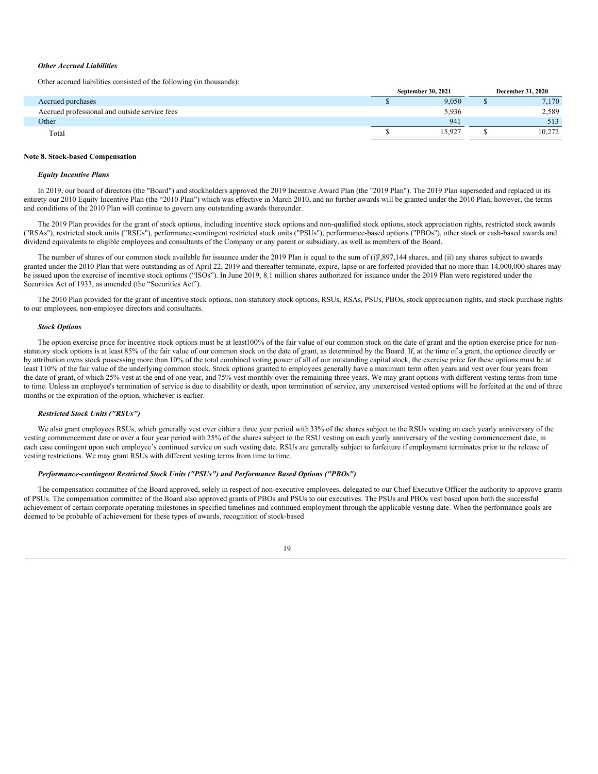# *Other Accrued Liabilities*

Other accrued liabilities consisted of the following (in thousands):

|                                               | September 30, 2021 | <b>December 31, 2020</b> |        |  |
|-----------------------------------------------|--------------------|--------------------------|--------|--|
| Accrued purchases                             | 9,050              |                          | 7,170  |  |
| Accrued professional and outside service fees | 5,936              |                          | 2,589  |  |
| Other                                         | 941                |                          | 513    |  |
| Total                                         | 15.927             |                          | 10.272 |  |

#### **Note 8. Stock-based Compensation**

#### *Equity Incentive Plans*

In 2019, our board of directors (the "Board") and stockholders approved the 2019 Incentive Award Plan (the "2019 Plan"). The 2019 Plan superseded and replaced in its entirety our 2010 Equity Incentive Plan (the "2010 Plan") which was effective in March 2010, and no further awards will be granted under the 2010 Plan; however, the terms and conditions of the 2010 Plan will continue to govern any outstanding awards thereunder.

The 2019 Plan provides for the grant of stock options, including incentive stock options and non-qualified stock options, stock appreciation rights, restricted stock awards ("RSAs"), restricted stock units ("RSUs"), performance-contingent restricted stock units ("PSUs"), performance-based options ("PBOs"), other stock or cash-based awards and dividend equivalents to eligible employees and consultants of the Company or any parent or subsidiary, as well as members of the Board.

The number of shares of our common stock available for issuance under the 2019 Plan is equal to the sum of  $(i)$ 7,897,144 shares, and  $(ii)$  any shares subject to awards granted under the 2010 Plan that were outstanding as of April 22, 2019 and thereafter terminate, expire, lapse or are forfeited provided that no more than 14,000,000 shares may be issued upon the exercise of incentive stock options ("ISOs"). In June 2019, 8.1 million shares authorized for issuance under the 2019 Plan were registered under the Securities Act of 1933, as amended (the "Securities Act").

The 2010 Plan provided for the grant of incentive stock options, non-statutory stock options, RSUs, RSAs, PSUs, PBOs, stock appreciation rights, and stock purchase rights to our employees, non-employee directors and consultants.

# *Stock Options*

The option exercise price for incentive stock options must be at least100% of the fair value of our common stock on the date of grant and the option exercise price for nonstatutory stock options is at least 85% of the fair value of our common stock on the date of grant, as determined by the Board. If, at the time of a grant, the optionee directly or by attribution owns stock possessing more than 10% of the total combined voting power of all of our outstanding capital stock, the exercise price for these options must be at least 110% of the fair value of the underlying common stock. Stock options granted to employees generally have a maximum term often years and vest over four years from the date of grant, of which 25% vest at the end of one year, and 75% vest monthly over the remaining three years. We may grant options with different vesting terms from time to time. Unless an employee's termination of service is due to disability or death, upon termination of service, any unexercised vested options will be forfeited at the end of three months or the expiration of the option, whichever is earlier.

# *Restricted Stock Units ("RSUs")*

We also grant employees RSUs, which generally vest over either a three year period with 33% of the shares subject to the RSUs vesting on each yearly anniversary of the vesting commencement date or over a four year period with 25% of the shares subject to the RSU vesting on each yearly anniversary of the vesting commencement date, in each case contingent upon such employee's continued service on such vesting date. RSUs are generally subject to forfeiture if employment terminates prior to the release of vesting restrictions. We may grant RSUs with different vesting terms from time to time.

## *Performance-contingent Restricted Stock Units ("PSUs") and Performance Based Options ("PBOs")*

The compensation committee of the Board approved, solely in respect of non-executive employees, delegated to our Chief Executive Officer the authority to approve grants of PSUs. The compensation committee of the Board also approved grants of PBOs and PSUs to our executives. The PSUs and PBOs vest based upon both the successful achievement of certain corporate operating milestones in specified timelines and continued employment through the applicable vesting date. When the performance goals are deemed to be probable of achievement for these types of awards, recognition of stock-based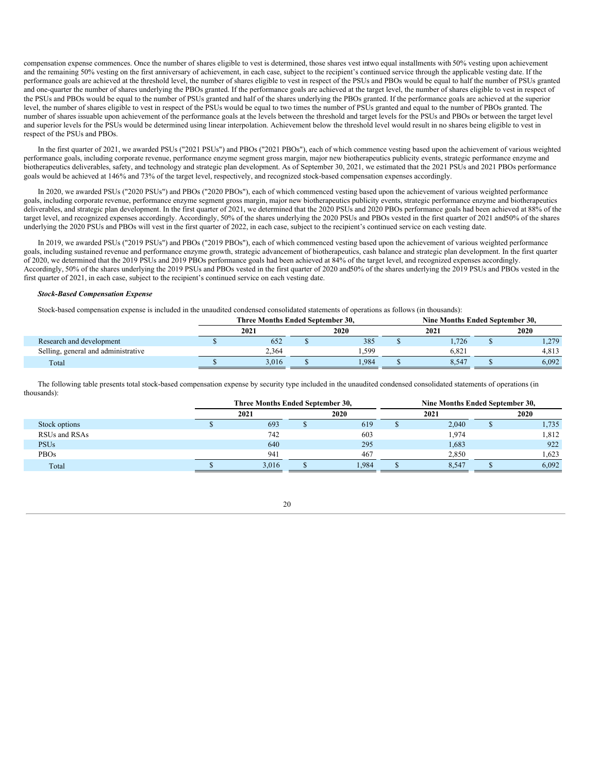compensation expense commences. Once the number of shares eligible to vest is determined, those shares vest intwo equal installments with 50% vesting upon achievement and the remaining 50% vesting on the first anniversary of achievement, in each case, subject to the recipient's continued service through the applicable vesting date. If the performance goals are achieved at the threshold level, the number of shares eligible to vest in respect of the PSUs and PBOs would be equal to half the number of PSUs granted and one-quarter the number of shares underlying the PBOs granted. If the performance goals are achieved at the target level, the number of shares eligible to vest in respect of the PSUs and PBOs would be equal to the number of PSUs granted and half of the shares underlying the PBOs granted. If the performance goals are achieved at the superior level, the number of shares eligible to vest in respect of the PSUs would be equal to two times the number of PSUs granted and equal to the number of PBOs granted. The number of shares issuable upon achievement of the performance goals at the levels between the threshold and target levels for the PSUs and PBOs or between the target level and superior levels for the PSUs would be determined using linear interpolation. Achievement below the threshold level would result in no shares being eligible to vest in respect of the PSUs and PBOs.

In the first quarter of 2021, we awarded PSUs ("2021 PSUs") and PBOs ("2021 PBOs"), each of which commence vesting based upon the achievement of various weighted performance goals, including corporate revenue, performance enzyme segment gross margin, major new biotherapeutics publicity events, strategic performance enzyme and biotherapeutics deliverables, safety, and technology and strategic plan development. As of September 30, 2021, we estimated that the 2021 PSUs and 2021 PBOs performance goals would be achieved at 146% and 73% of the target level, respectively, and recognized stock-based compensation expenses accordingly.

In 2020, we awarded PSUs ("2020 PSUs") and PBOs ("2020 PBOs"), each of which commenced vesting based upon the achievement of various weighted performance goals, including corporate revenue, performance enzyme segment gross margin, major new biotherapeutics publicity events, strategic performance enzyme and biotherapeutics deliverables, and strategic plan development. In the first quarter of 2021, we determined that the 2020 PSUs and 2020 PBOs performance goals had been achieved at 88% of the target level, and recognized expenses accordingly. Accordingly, 50% of the shares underlying the 2020 PSUs and PBOs vested in the first quarter of 2021 and50% of the shares underlying the 2020 PSUs and PBOs will vest in the first quarter of 2022, in each case, subject to the recipient's continued service on each vesting date.

In 2019, we awarded PSUs ("2019 PSUs") and PBOs ("2019 PBOs"), each of which commenced vesting based upon the achievement of various weighted performance goals, including sustained revenue and performance enzyme growth, strategic advancement of biotherapeutics, cash balance and strategic plan development. In the first quarter of 2020, we determined that the 2019 PSUs and 2019 PBOs performance goals had been achieved at 84% of the target level, and recognized expenses accordingly. Accordingly, 50% of the shares underlying the 2019 PSUs and PBOs vested in the first quarter of 2020 and50% of the shares underlying the 2019 PSUs and PBOs vested in the first quarter of 2021, in each case, subject to the recipient's continued service on each vesting date.

## *Stock-Based Compensation Expense*

Stock-based compensation expense is included in the unaudited condensed consolidated statements of operations as follows (in thousands):

|                                     | Three Months Ended September 30. |  |       |  | Nine Months Ended September 30. |  |       |  |
|-------------------------------------|----------------------------------|--|-------|--|---------------------------------|--|-------|--|
|                                     | 2021                             |  | 2020  |  | 2021                            |  | 2020  |  |
| Research and development            | 652                              |  | 385   |  | 1.726                           |  | 1,279 |  |
| Selling, general and administrative | 2.364                            |  | . 599 |  | 6.821                           |  | 4.813 |  |
| Total                               | 3.016                            |  | 1.984 |  | 8.547                           |  | 6.092 |  |

The following table presents total stock-based compensation expense by security type included in the unaudited condensed consolidated statements of operations (in thousands):

|               | Three Months Ended September 30, |       |  |       | Nine Months Ended September 30, |       |  |       |  |
|---------------|----------------------------------|-------|--|-------|---------------------------------|-------|--|-------|--|
|               |                                  | 2021  |  | 2020  |                                 | 2021  |  | 2020  |  |
| Stock options |                                  | 693   |  | 619   |                                 | 2,040 |  | 1,735 |  |
| RSUs and RSAs |                                  | 742   |  | 603   |                                 | 1,974 |  | 1,812 |  |
| <b>PSUs</b>   |                                  | 640   |  | 295   |                                 | 1,683 |  | 922   |  |
| PBOs          |                                  | 941   |  | 467   |                                 | 2.850 |  | 1.623 |  |
| Total         |                                  | 3.016 |  | 1.984 |                                 | 8,547 |  | 6,092 |  |

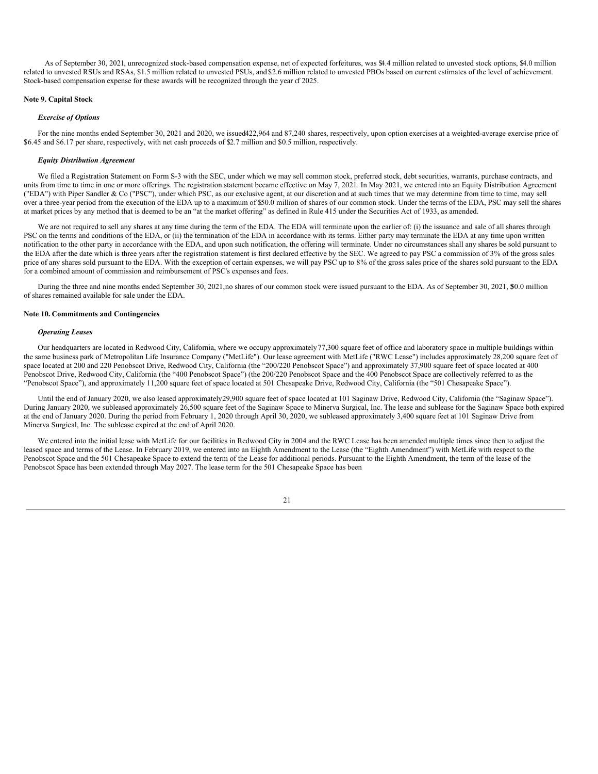As of September 30, 2021, unrecognized stock-based compensation expense, net of expected forfeitures, was \$4.4 million related to unvested stock options, \$4.0 million related to unvested RSUs and RSAs, \$1.5 million related to unvested PSUs, and \$2.6 million related to unvested PBOs based on current estimates of the level of achievement. Stock-based compensation expense for these awards will be recognized through the year of 2025.

#### **Note 9. Capital Stock**

#### *Exercise of Options*

For the nine months ended September 30, 2021 and 2020, we issued422,964 and 87,240 shares, respectively, upon option exercises at a weighted-average exercise price of \$6.45 and \$6.17 per share, respectively, with net cash proceeds of \$2.7 million and \$0.5 million, respectively.

# *Equity Distribution Agreement*

We filed a Registration Statement on Form S-3 with the SEC, under which we may sell common stock, preferred stock, debt securities, warrants, purchase contracts, and units from time to time in one or more offerings. The registration statement became effective on May 7, 2021. In May 2021, we entered into an Equity Distribution Agreement ("EDA") with Piper Sandler & Co ("PSC"), under which PSC, as our exclusive agent, at our discretion and at such times that we may determine from time to time, may sell over a three-year period from the execution of the EDA up to a maximum of \$50.0 million of shares of our common stock. Under the terms of the EDA, PSC may sell the shares at market prices by any method that is deemed to be an "at the market offering" as defined in Rule 415 under the Securities Act of 1933, as amended.

We are not required to sell any shares at any time during the term of the EDA. The EDA will terminate upon the earlier of: (i) the issuance and sale of all shares through PSC on the terms and conditions of the EDA, or (ii) the termination of the EDA in accordance with its terms. Either party may terminate the EDA at any time upon written notification to the other party in accordance with the EDA, and upon such notification, the offering will terminate. Under no circumstances shall any shares be sold pursuant to the EDA after the date which is three years after the registration statement is first declared effective by the SEC. We agreed to pay PSC a commission of 3% of the gross sales price of any shares sold pursuant to the EDA. With the exception of certain expenses, we will pay PSC up to 8% of the gross sales price of the shares sold pursuant to the EDA for a combined amount of commission and reimbursement of PSC's expenses and fees.

During the three and nine months ended September 30, 2021, no shares of our common stock were issued pursuant to the EDA. As of September 30, 2021, \$0.0 million of shares remained available for sale under the EDA.

#### **Note 10. Commitments and Contingencies**

#### *Operating Leases*

Our headquarters are located in Redwood City, California, where we occupy approximately77,300 square feet of office and laboratory space in multiple buildings within the same business park of Metropolitan Life Insurance Company ("MetLife"). Our lease agreement with MetLife ("RWC Lease") includes approximately 28,200 square feet of space located at 200 and 220 Penobscot Drive, Redwood City, California (the "200/220 Penobscot Space") and approximately 37,900 square feet of space located at 400 Penobscot Drive, Redwood City, California (the "400 Penobscot Space") (the 200/220 Penobscot Space and the 400 Penobscot Space are collectively referred to as the "Penobscot Space"), and approximately 11,200 square feet of space located at 501 Chesapeake Drive, Redwood City, California (the "501 Chesapeake Space").

Until the end of January 2020, we also leased approximately29,900 square feet of space located at 101 Saginaw Drive, Redwood City, California (the "Saginaw Space"). During January 2020, we subleased approximately 26,500 square feet of the Saginaw Space to Minerva Surgical, Inc. The lease and sublease for the Saginaw Space both expired at the end of January 2020. During the period from February 1, 2020 through April 30, 2020, we subleased approximately 3,400 square feet at 101 Saginaw Drive from Minerva Surgical, Inc. The sublease expired at the end of April 2020.

We entered into the initial lease with MetLife for our facilities in Redwood City in 2004 and the RWC Lease has been amended multiple times since then to adjust the leased space and terms of the Lease. In February 2019, we entered into an Eighth Amendment to the Lease (the "Eighth Amendment") with MetLife with respect to the Penobscot Space and the 501 Chesapeake Space to extend the term of the Lease for additional periods. Pursuant to the Eighth Amendment, the term of the lease of the Penobscot Space has been extended through May 2027. The lease term for the 501 Chesapeake Space has been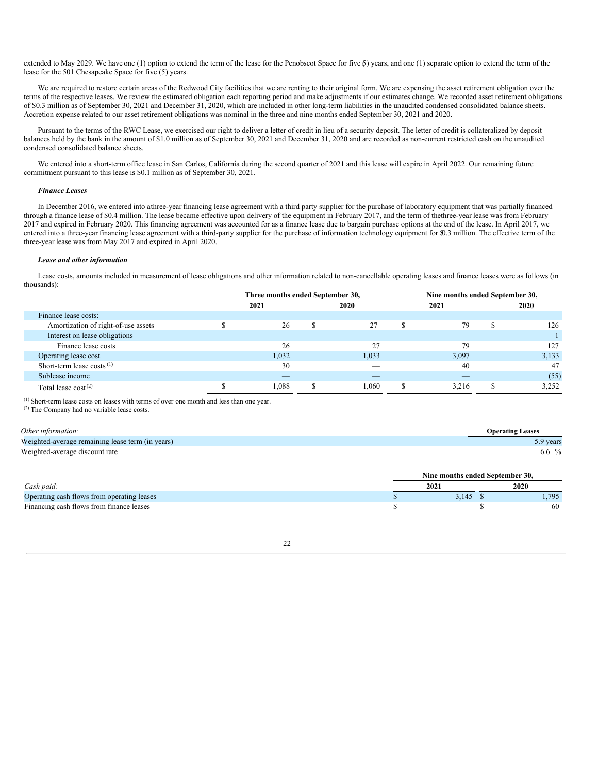extended to May 2029. We have one (1) option to extend the term of the lease for the Penobscot Space for five  $\delta$ ) years, and one (1) separate option to extend the term of the lease for the 501 Chesapeake Space for five (5) years.

We are required to restore certain areas of the Redwood City facilities that we are renting to their original form. We are expensing the asset retirement obligation over the terms of the respective leases. We review the estimated obligation each reporting period and make adjustments if our estimates change. We recorded asset retirement obligations of \$0.3 million as of September 30, 2021 and December 31, 2020, which are included in other long-term liabilities in the unaudited condensed consolidated balance sheets. Accretion expense related to our asset retirement obligations was nominal in the three and nine months ended September 30, 2021 and 2020.

Pursuant to the terms of the RWC Lease, we exercised our right to deliver a letter of credit in lieu of a security deposit. The letter of credit is collateralized by deposit balances held by the bank in the amount of \$1.0 million as of September 30, 2021 and December 31, 2020 and are recorded as non-current restricted cash on the unaudited condensed consolidated balance sheets.

We entered into a short-term office lease in San Carlos, California during the second quarter of 2021 and this lease will expire in April 2022. Our remaining future commitment pursuant to this lease is \$0.1 million as of September 30, 2021.

#### *Finance Leases*

In December 2016, we entered into athree-year financing lease agreement with a third party supplier for the purchase of laboratory equipment that was partially financed through a finance lease of \$0.4 million. The lease became effective upon delivery of the equipment in February 2017, and the term of thethree-year lease was from February 2017 and expired in February 2020. This financing agreement was accounted for as a finance lease due to bargain purchase options at the end of the lease. In April 2017, we entered into a three-year financing lease agreement with a third-party supplier for the purchase of information technology equipment for \$0.3 million. The effective term of the three-year lease was from May 2017 and expired in April 2020.

#### *Lease and other information*

Lease costs, amounts included in measurement of lease obligations and other information related to non-cancellable operating leases and finance leases were as follows (in thousands):

|                                     | Three months ended September 30, |                          |  |                          | Nine months ended September 30, |       |  |       |
|-------------------------------------|----------------------------------|--------------------------|--|--------------------------|---------------------------------|-------|--|-------|
|                                     |                                  | 2021                     |  | 2020                     |                                 | 2021  |  | 2020  |
| Finance lease costs:                |                                  |                          |  |                          |                                 |       |  |       |
| Amortization of right-of-use assets |                                  | 26                       |  | 27                       |                                 | 79    |  | 126   |
| Interest on lease obligations       |                                  | $-$                      |  | _                        |                                 | _     |  |       |
| Finance lease costs                 |                                  | 26                       |  | $\sim$                   |                                 | 79    |  | 127   |
| Operating lease cost                |                                  | 1,032                    |  | 1,033                    |                                 | 3,097 |  | 3,133 |
| Short-term lease costs $(1)$        |                                  | 30                       |  |                          |                                 | 40    |  | 47    |
| Sublease income                     |                                  | $\overline{\phantom{a}}$ |  | $\overline{\phantom{a}}$ |                                 | _     |  | (55)  |
| Total lease $cost^{(2)}$            |                                  | .088                     |  | 1,060                    |                                 | 3,216 |  | 3,252 |

 $(1)$  Short-term lease costs on leases with terms of over one month and less than one year.

(2) The Company had no variable lease costs.

| Other information:                               | <b>Operating Leases</b>         |
|--------------------------------------------------|---------------------------------|
| Weighted-average remaining lease term (in years) | 5.9 years                       |
| Weighted-average discount rate                   | 6.6 $\%$                        |
|                                                  | Nine months ended September 30. |
| $\int$ ash paid:                                 | 2020<br>2021                    |

| Cash paid.                                                        | 202 | 2020 |     |
|-------------------------------------------------------------------|-----|------|-----|
| Operating cash flows from operating leases                        | - 1 |      | 705 |
| $\sim$<br><b>Financing cash flows 1.</b><br>s from finance leases |     |      | 60  |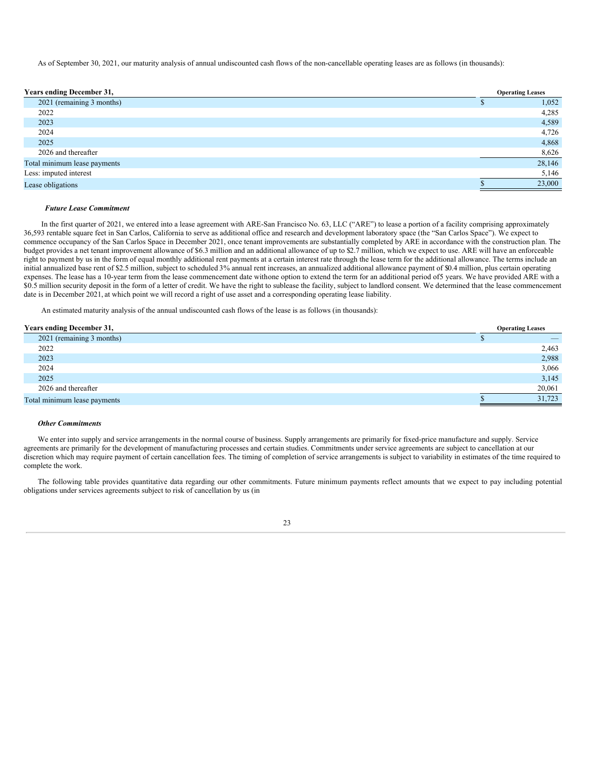As of September 30, 2021, our maturity analysis of annual undiscounted cash flows of the non-cancellable operating leases are as follows (in thousands):

| <b>Years ending December 31,</b> | <b>Operating Leases</b> |
|----------------------------------|-------------------------|
| 2021 (remaining 3 months)        | 1,052                   |
| 2022                             | 4,285                   |
| 2023                             | 4,589                   |
| 2024                             | 4,726                   |
| 2025                             | 4,868                   |
| 2026 and thereafter              | 8,626                   |
| Total minimum lease payments     | 28,146                  |
| Less: imputed interest           | 5,146                   |
| Lease obligations                | 23,000                  |

# *Future Lease Commitment*

In the first quarter of 2021, we entered into a lease agreement with ARE-San Francisco No. 63, LLC ("ARE") to lease a portion of a facility comprising approximately 36,593 rentable square feet in San Carlos, California to serve as additional office and research and development laboratory space (the "San Carlos Space"). We expect to commence occupancy of the San Carlos Space in December 2021, once tenant improvements are substantially completed by ARE in accordance with the construction plan. The budget provides a net tenant improvement allowance of \$6.3 million and an additional allowance of up to \$2.7 million, which we expect to use. ARE will have an enforceable right to payment by us in the form of equal monthly additional rent payments at a certain interest rate through the lease term for the additional allowance. The terms include an initial annualized base rent of \$2.5 million, subject to scheduled 3% annual rent increases, an annualized additional allowance payment of \$0.4 million, plus certain operating expenses. The lease has a 10-year term from the lease commencement date withone option to extend the term for an additional period of5 years. We have provided ARE with a \$0.5 million security deposit in the form of a letter of credit. We have the right to sublease the facility, subject to landlord consent. We determined that the lease commencement date is in December 2021, at which point we will record a right of use asset and a corresponding operating lease liability.

An estimated maturity analysis of the annual undiscounted cash flows of the lease is as follows (in thousands):

| <b>Years ending December 31,</b> | <b>Operating Leases</b> |
|----------------------------------|-------------------------|
| 2021 (remaining 3 months)        |                         |
| 2022                             | 2,463                   |
| 2023                             | 2,988                   |
| 2024                             | 3,066                   |
| 2025                             | 3,145                   |
| 2026 and thereafter              | 20,061                  |
| Total minimum lease payments     | 31,723                  |

# *Other Commitments*

We enter into supply and service arrangements in the normal course of business. Supply arrangements are primarily for fixed-price manufacture and supply. Service agreements are primarily for the development of manufacturing processes and certain studies. Commitments under service agreements are subject to cancellation at our discretion which may require payment of certain cancellation fees. The timing of completion of service arrangements is subject to variability in estimates of the time required to complete the work.

The following table provides quantitative data regarding our other commitments. Future minimum payments reflect amounts that we expect to pay including potential obligations under services agreements subject to risk of cancellation by us (in

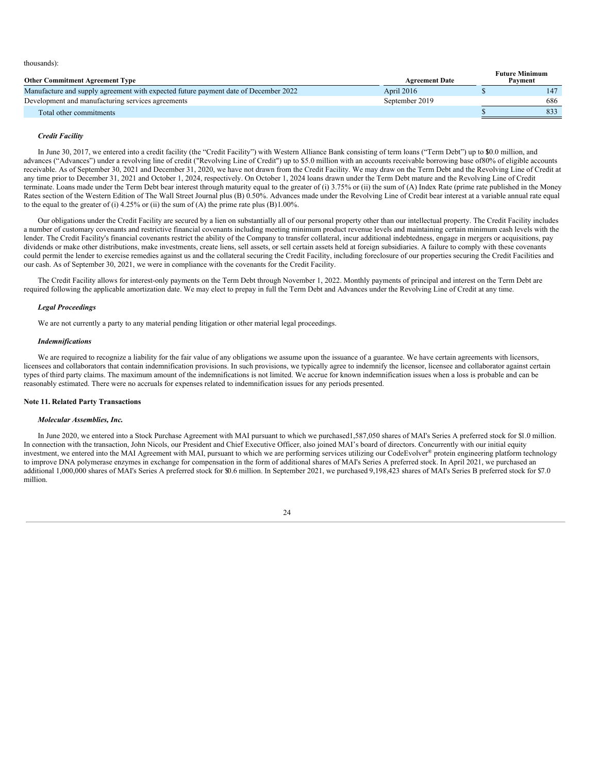thousands):

| <b>Other Commitment Agreement Type</b>                                              | <b>Agreement Date</b> | <b>Future Minimum</b><br>Payment |     |
|-------------------------------------------------------------------------------------|-----------------------|----------------------------------|-----|
| Manufacture and supply agreement with expected future payment date of December 2022 | April 2016            |                                  |     |
| Development and manufacturing services agreements                                   | September 2019        |                                  | 686 |
| Total other commitments                                                             |                       |                                  | 833 |

# *Credit Facility*

In June 30, 2017, we entered into a credit facility (the "Credit Facility") with Western Alliance Bank consisting of term loans ("Term Debt") up to \$0.0 million, and advances ("Advances") under a revolving line of credit ("Revolving Line of Credit") up to \$5.0 million with an accounts receivable borrowing base of80% of eligible accounts receivable. As of September 30, 2021 and December 31, 2020, we have not drawn from the Credit Facility. We may draw on the Term Debt and the Revolving Line of Credit at any time prior to December 31, 2021 and October 1, 2024, respectively. On October 1, 2024 loans drawn under the Term Debt mature and the Revolving Line of Credit terminate. Loans made under the Term Debt bear interest through maturity equal to the greater of (i) 3.75% or (ii) the sum of (A) Index Rate (prime rate published in the Money Rates section of the Western Edition of The Wall Street Journal plus (B) 0.50%. Advances made under the Revolving Line of Credit bear interest at a variable annual rate equal to the equal to the greater of (i)  $4.25\%$  or (ii) the sum of (A) the prime rate plus (B)1.00%.

Our obligations under the Credit Facility are secured by a lien on substantially all of our personal property other than our intellectual property. The Credit Facility includes a number of customary covenants and restrictive financial covenants including meeting minimum product revenue levels and maintaining certain minimum cash levels with the lender. The Credit Facility's financial covenants restrict the ability of the Company to transfer collateral, incur additional indebtedness, engage in mergers or acquisitions, pay dividends or make other distributions, make investments, create liens, sell assets, or sell certain assets held at foreign subsidiaries. A failure to comply with these covenants could permit the lender to exercise remedies against us and the collateral securing the Credit Facility, including foreclosure of our properties securing the Credit Facilities and our cash. As of September 30, 2021, we were in compliance with the covenants for the Credit Facility.

The Credit Facility allows for interest-only payments on the Term Debt through November 1, 2022. Monthly payments of principal and interest on the Term Debt are required following the applicable amortization date. We may elect to prepay in full the Term Debt and Advances under the Revolving Line of Credit at any time.

# *Legal Proceedings*

We are not currently a party to any material pending litigation or other material legal proceedings.

#### *Indemnifications*

We are required to recognize a liability for the fair value of any obligations we assume upon the issuance of a guarantee. We have certain agreements with licensors, licensees and collaborators that contain indemnification provisions. In such provisions, we typically agree to indemnify the licensor, licensee and collaborator against certain types of third party claims. The maximum amount of the indemnifications is not limited. We accrue for known indemnification issues when a loss is probable and can be reasonably estimated. There were no accruals for expenses related to indemnification issues for any periods presented.

# **Note 11. Related Party Transactions**

#### *Molecular Assemblies, Inc.*

In June 2020, we entered into a Stock Purchase Agreement with MAI pursuant to which we purchased1,587,050 shares of MAI's Series A preferred stock for \$1.0 million. In connection with the transaction, John Nicols, our President and Chief Executive Officer, also joined MAI's board of directors. Concurrently with our initial equity investment, we entered into the MAI Agreement with MAI, pursuant to which we are performing services utilizing our CodeEvolver® protein engineering platform technology to improve DNA polymerase enzymes in exchange for compensation in the form of additional shares of MAI's Series A preferred stock. In April 2021, we purchased an additional 1,000,000 shares of MAI's Series A preferred stock for \$0.6 million. In September 2021, we purchased 9,198,423 shares of MAI's Series B preferred stock for \$7.0 million.

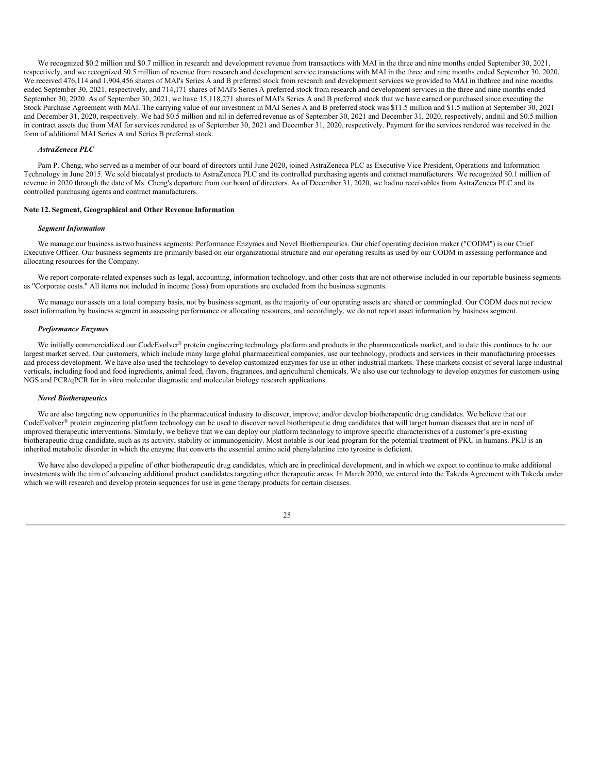We recognized \$0.2 million and \$0.7 million in research and development revenue from transactions with MAI in the three and nine months ended September 30, 2021, respectively, and we recognized \$0.5 million of revenue from research and development service transactions with MAI in the three and nine months ended September 30, 2020. We received 476,114 and 1,904,456 shares of MAI's Series A and B preferred stock from research and development services we provided to MAI in thethree and nine months ended September 30, 2021, respectively, and 714,171 shares of MAI's Series A preferred stock from research and development services in the three and nine months ended September 30, 2020. As of September 30, 2021, we have 15,118,271 shares of MAI's Series A and B preferred stock that we have earned or purchased since executing the Stock Purchase Agreement with MAI. The carrying value of our investment in MAI Series A and B preferred stock was \$11.5 million and \$1.5 million at September 30, 2021 and December 31, 2020, respectively. We had \$0.5 million and nil in deferred revenue as of September 30, 2021 and December 31, 2020, respectively, and nil and \$0.5 million in contract assets due from MAI for services rendered as of September 30, 2021 and December 31, 2020, respectively. Payment for the services rendered was received in the form of additional MAI Series A and Series B preferred stock.

#### *AstraZeneca PLC*

Pam P. Cheng, who served as a member of our board of directors until June 2020, joined AstraZeneca PLC as Executive Vice President, Operations and Information Technology in June 2015. We sold biocatalyst products to AstraZeneca PLC and its controlled purchasing agents and contract manufacturers. We recognized \$0.1 million of revenue in 2020 through the date of Ms. Cheng's departure from our board of directors. As of December 31, 2020, we hadno receivables from AstraZeneca PLC and its controlled purchasing agents and contract manufacturers.

#### **Note 12. Segment, Geographical and Other Revenue Information**

#### *Segment Information*

We manage our business astwo business segments: Performance Enzymes and Novel Biotherapeutics. Our chief operating decision maker ("CODM") is our Chief Executive Officer. Our business segments are primarily based on our organizational structure and our operating results as used by our CODM in assessing performance and allocating resources for the Company.

We report corporate-related expenses such as legal, accounting, information technology, and other costs that are not otherwise included in our reportable business segments as "Corporate costs." All items not included in income (loss) from operations are excluded from the business segments.

We manage our assets on a total company basis, not by business segment, as the majority of our operating assets are shared or commingled. Our CODM does not review asset information by business segment in assessing performance or allocating resources, and accordingly, we do not report asset information by business segment.

#### *Performance Enzymes*

We initially commercialized our CodeEvolver® protein engineering technology platform and products in the pharmaceuticals market, and to date this continues to be our largest market served. Our customers, which include many large global pharmaceutical companies, use our technology, products and services in their manufacturing processes and process development. We have also used the technology to develop customized enzymes for use in other industrial markets. These markets consist of several large industrial verticals, including food and food ingredients, animal feed, flavors, fragrances, and agricultural chemicals. We also use our technology to develop enzymes for customers using NGS and PCR/qPCR for in vitro molecular diagnostic and molecular biology research applications.

## *Novel Biotherapeutics*

We are also targeting new opportunities in the pharmaceutical industry to discover, improve, and/or develop biotherapeutic drug candidates. We believe that our CodeEvolver® protein engineering platform technology can be used to discover novel biotherapeutic drug candidates that will target human diseases that are in need of improved therapeutic interventions. Similarly, we believe that we can deploy our platform technology to improve specific characteristics of a customer's pre-existing biotherapeutic drug candidate, such as its activity, stability or immunogenicity. Most notable is our lead program for the potential treatment of PKU in humans. PKU is an inherited metabolic disorder in which the enzyme that converts the essential amino acid phenylalanine into tyrosine is deficient.

We have also developed a pipeline of other biotherapeutic drug candidates, which are in preclinical development, and in which we expect to continue to make additional investments with the aim of advancing additional product candidates targeting other therapeutic areas. In March 2020, we entered into the Takeda Agreement with Takeda under which we will research and develop protein sequences for use in gene therapy products for certain diseases.

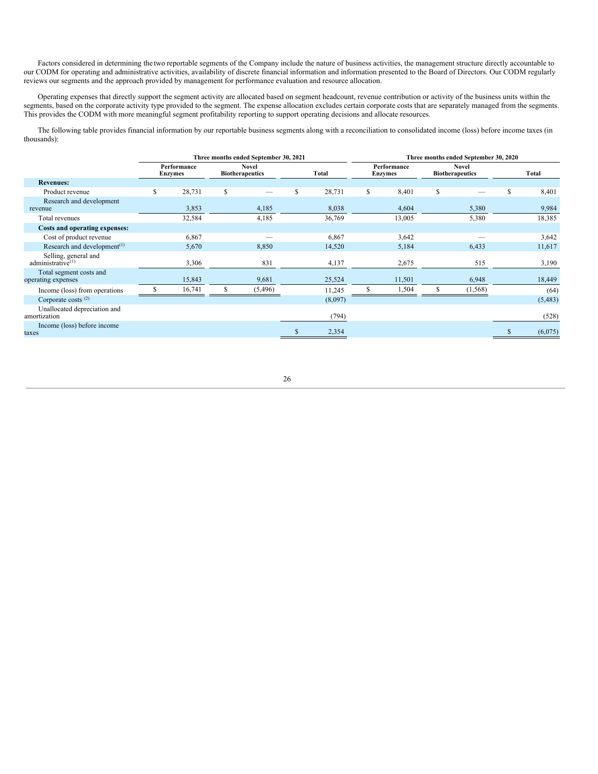Factors considered in determining the two reportable segments of the Company include the nature of business activities, the management structure directly accountable to our CODM for operating and administrative activities, availability of discrete financial information and information presented to the Board of Directors. Our CODM regularly reviews our segments and the approach provided by management for performance evaluation and resource allocation.

Operating expenses that directly support the segment activity are allocated based on segment headcount, revenue contribution or activity of the business units within the segments, based on the corporate activity type provided to the segment. The expense allocation excludes certain corporate costs that are separately managed from the segments. This provides the CODM with more meaningful segment profitability reporting to support operating decisions and allocate resources.

The following table provides financial information by our reportable business segments along with a reconciliation to consolidated income (loss) before income taxes (in thousands):

|                                                       |   |                               |    | Three months ended September 30, 2021  |   |         |    |                               | Three months ended September 30, 2020<br><b>Novel</b><br><b>Biotherapeutics</b><br>Total<br>\$<br>\$<br>8,401<br>5,380<br>9,984<br>5,380<br>18,385<br>3,642<br>11,617<br>6,433<br>515<br>3,190<br>6,948<br>18,449<br>(1, 568)<br>(64) |  |          |  |
|-------------------------------------------------------|---|-------------------------------|----|----------------------------------------|---|---------|----|-------------------------------|---------------------------------------------------------------------------------------------------------------------------------------------------------------------------------------------------------------------------------------|--|----------|--|
|                                                       |   | Performance<br><b>Enzymes</b> |    | <b>Novel</b><br><b>Biotherapeutics</b> |   | Total   |    | Performance<br><b>Enzymes</b> |                                                                                                                                                                                                                                       |  |          |  |
| <b>Revenues:</b>                                      |   |                               |    |                                        |   |         |    |                               |                                                                                                                                                                                                                                       |  |          |  |
| Product revenue                                       | S | 28,731                        | \$ |                                        | S | 28,731  | \$ | 8,401                         |                                                                                                                                                                                                                                       |  |          |  |
| Research and development<br>revenue                   |   | 3,853                         |    | 4,185                                  |   | 8,038   |    | 4,604                         |                                                                                                                                                                                                                                       |  |          |  |
| Total revenues                                        |   | 32,584                        |    | 4,185                                  |   | 36,769  |    | 13,005                        |                                                                                                                                                                                                                                       |  |          |  |
| Costs and operating expenses:                         |   |                               |    |                                        |   |         |    |                               |                                                                                                                                                                                                                                       |  |          |  |
| Cost of product revenue                               |   | 6,867                         |    |                                        |   | 6,867   |    | 3,642                         |                                                                                                                                                                                                                                       |  |          |  |
| Research and development <sup>(1)</sup>               |   | 5,670                         |    | 8,850                                  |   | 14,520  |    | 5,184                         |                                                                                                                                                                                                                                       |  |          |  |
| Selling, general and<br>administrative <sup>(1)</sup> |   | 3,306                         |    | 831                                    |   | 4,137   |    | 2,675                         |                                                                                                                                                                                                                                       |  |          |  |
| Total segment costs and<br>operating expenses         |   | 15,843                        |    | 9,681                                  |   | 25,524  |    | 11,501                        |                                                                                                                                                                                                                                       |  |          |  |
| Income (loss) from operations                         |   | 16,741                        | S  | (5, 496)                               |   | 11,245  | У  | 1,504                         |                                                                                                                                                                                                                                       |  |          |  |
| Corporate costs $(2)$                                 |   |                               |    |                                        |   | (8,097) |    |                               |                                                                                                                                                                                                                                       |  | (5, 483) |  |
| Unallocated depreciation and<br>amortization          |   |                               |    |                                        |   | (794)   |    |                               |                                                                                                                                                                                                                                       |  | (528)    |  |
| Income (loss) before income<br>taxes                  |   |                               |    |                                        |   | 2,354   |    |                               |                                                                                                                                                                                                                                       |  | (6,075)  |  |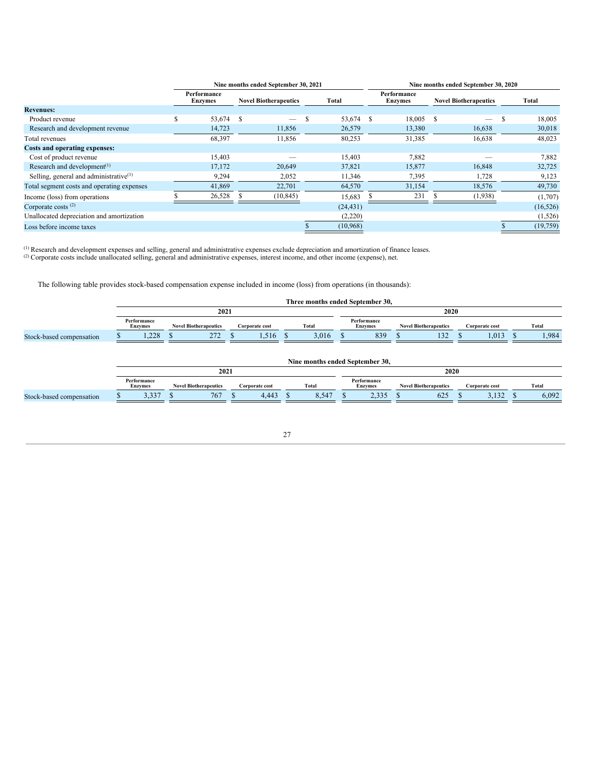|                                                      |    |                               |               | Nine months ended September 30, 2021 |   |           |    |                               |    | Nine months ended September 30, 2020<br>Total<br><b>Novel Biotherapeutics</b><br>S<br>$\overline{\phantom{m}}$<br>16,638<br>16,638 |  |           |  |  |
|------------------------------------------------------|----|-------------------------------|---------------|--------------------------------------|---|-----------|----|-------------------------------|----|------------------------------------------------------------------------------------------------------------------------------------|--|-----------|--|--|
|                                                      |    | Performance<br><b>Enzymes</b> |               | <b>Novel Biotherapeutics</b>         |   | Total     |    | Performance<br><b>Enzymes</b> |    |                                                                                                                                    |  |           |  |  |
| <b>Revenues:</b>                                     |    |                               |               |                                      |   |           |    |                               |    |                                                                                                                                    |  |           |  |  |
| Product revenue                                      | S. | 53,674                        | <sup>\$</sup> | $\overline{\phantom{m}}$             | S | 53,674    | -S | 18,005                        | -S |                                                                                                                                    |  | 18,005    |  |  |
| Research and development revenue                     |    | 14,723                        |               | 11,856                               |   | 26,579    |    | 13,380                        |    |                                                                                                                                    |  | 30,018    |  |  |
| Total revenues                                       |    | 68,397                        |               | 11,856                               |   | 80,253    |    | 31,385                        |    |                                                                                                                                    |  | 48,023    |  |  |
| <b>Costs and operating expenses:</b>                 |    |                               |               |                                      |   |           |    |                               |    |                                                                                                                                    |  |           |  |  |
| Cost of product revenue                              |    | 15,403                        |               |                                      |   | 15,403    |    | 7,882                         |    |                                                                                                                                    |  | 7,882     |  |  |
| Research and development <sup><math>(1)</math></sup> |    | 17,172                        |               | 20,649                               |   | 37,821    |    | 15,877                        |    | 16,848                                                                                                                             |  | 32,725    |  |  |
| Selling, general and administrative $(1)$            |    | 9,294                         |               | 2,052                                |   | 11,346    |    | 7,395                         |    | 1,728                                                                                                                              |  | 9,123     |  |  |
| Total segment costs and operating expenses           |    | 41,869                        |               | 22,701                               |   | 64,570    |    | 31,154                        |    | 18,576                                                                                                                             |  | 49,730    |  |  |
| Income (loss) from operations                        |    | 26,528                        |               | (10, 845)                            |   | 15,683    |    | 231                           |    | (1,938)                                                                                                                            |  | (1,707)   |  |  |
| Corporate costs $(2)$                                |    |                               |               |                                      |   | (24, 431) |    |                               |    |                                                                                                                                    |  | (16, 526) |  |  |
| Unallocated depreciation and amortization            |    |                               |               |                                      |   | (2,220)   |    |                               |    |                                                                                                                                    |  | (1,526)   |  |  |
| Loss before income taxes                             |    |                               |               |                                      |   | (10,968)  |    |                               |    |                                                                                                                                    |  | (19, 759) |  |  |

Research and development expenses and selling, general and administrative expenses exclude depreciation and amortization of finance leases. (1) (2)

Corporate costs include unallocated selling, general and administrative expenses, interest income, and other income (expense), net.

The following table provides stock-based compensation expense included in income (loss) from operations (in thousands):

|                          |                               |                              |                | Three months ended September 30, |  |                               |                              |                |       |
|--------------------------|-------------------------------|------------------------------|----------------|----------------------------------|--|-------------------------------|------------------------------|----------------|-------|
|                          |                               | 2021                         |                |                                  |  |                               | 2020                         |                |       |
|                          | Performance<br><b>Enzymes</b> | <b>Novel Biotherapeutics</b> | Corporate cost |                                  |  | Performance<br><b>Enzymes</b> | <b>Novel Biotherapeutics</b> | Corporate cost | Total |
| Stock-based compensation | 1,228                         | 272                          | 1.516          | 3.016<br>$\cdot$                 |  | 839                           | 132                          | 1.013          | 1,984 |
|                          |                               |                              |                | Nine months ended September 30,  |  |                               |                              |                |       |
|                          |                               | 2021                         |                |                                  |  |                               | 2020                         |                |       |
|                          | Performance<br><b>Enzymes</b> | <b>Novel Biotherapeutics</b> | Corporate cost | Total                            |  | Performance<br><b>Enzymes</b> | <b>Novel Biotherapeutics</b> | Corporate cost | Total |
| Stock-based compensation | 3,337                         | 767                          | 4,443          | 8,547                            |  | 2,335                         | 625                          | 3,132          | 6,092 |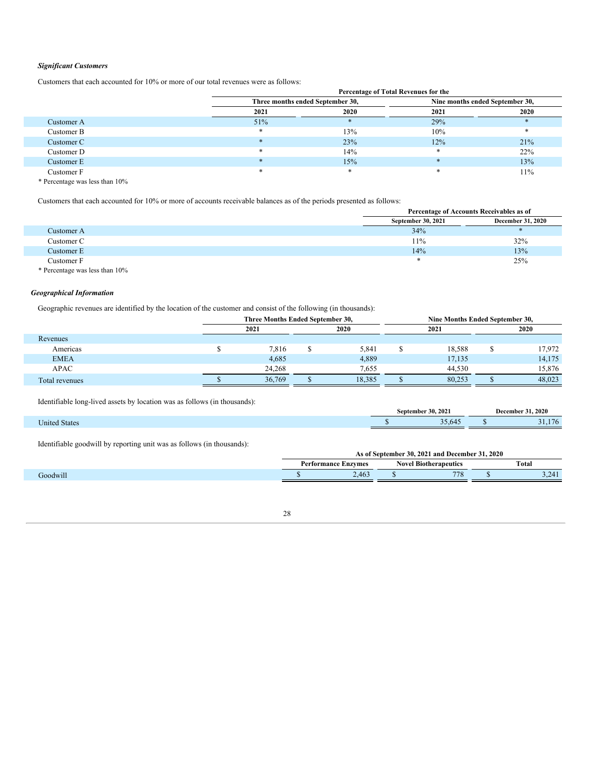# *Significant Customers*

Customers that each accounted for 10% or more of our total revenues were as follows:

|            |                                  | Percentage of Total Revenues for the |                                 |      |
|------------|----------------------------------|--------------------------------------|---------------------------------|------|
|            | Three months ended September 30, |                                      | Nine months ended September 30, |      |
|            | 2021                             | 2020                                 | 2021                            | 2020 |
| Customer A | 51%                              |                                      | 29%                             |      |
| Customer B | ∗                                | 13%                                  | 10%                             |      |
| Customer C |                                  | 23%                                  | 12%                             | 21%  |
| Customer D |                                  | 14%                                  | $\ast$                          | 22%  |
| Customer E |                                  | 15%                                  | $\ast$                          | 13%  |
| Customer F |                                  |                                      |                                 | 11%  |
|            |                                  |                                      |                                 |      |

**Percentage of Total Revenues for the**

\* Percentage was less than 10%

Customers that each accounted for 10% or more of accounts receivable balances as of the periods presented as follows:

|                                | Percentage of Accounts Receivables as of |                   |
|--------------------------------|------------------------------------------|-------------------|
|                                | September 30, 2021                       | December 31, 2020 |
| Customer A                     | 34%                                      |                   |
| Customer C                     | 11%                                      | 32%               |
| Customer E                     | 14%                                      | 13%               |
| Customer F                     | *                                        | 25%               |
| * Percentage was less than 10% |                                          |                   |

*Geographical Information*

Geographic revenues are identified by the location of the customer and consist of the following (in thousands):

|                | Three Months Ended September 30, |        | Nine Months Ended September 30, |        |
|----------------|----------------------------------|--------|---------------------------------|--------|
|                | 2021                             | 2020   | 2021                            | 2020   |
| Revenues       |                                  |        |                                 |        |
| Americas       | 7,816                            | 5,841  | 18,588                          | 17,972 |
| <b>EMEA</b>    | 4,685                            | 4,889  | 17,135                          | 14,175 |
| <b>APAC</b>    | 24.268                           | 7,655  | 44.530                          | 15,876 |
| Total revenues | 36,769                           | 18.385 | 80.253                          | 48,023 |

Identifiable long-lived assets by location was as follows (in thousands):

|                      | sentember : | 30, 2021   | 31, 2020<br>December |               |  |  |
|----------------------|-------------|------------|----------------------|---------------|--|--|
| <b>Jnited States</b> |             | .<br>33.64 |                      | $\sim$ $\sim$ |  |  |

Identifiable goodwill by reporting unit was as follows (in thousands):

|        |             | . 2020<br>-20<br>202<br>and December<br>Sentember<br>AS OF : |                  |                          |              |                                            |  |  |  |  |  |
|--------|-------------|--------------------------------------------------------------|------------------|--------------------------|--------------|--------------------------------------------|--|--|--|--|--|
|        | 'erformance | Enzymes                                                      | NOV <sub>C</sub> | <b>I</b> Biotherapeutics | <b>Total</b> |                                            |  |  |  |  |  |
| odwill |             | $16^\circ$<br>2.70J                                          |                  | 770                      |              | .741<br>$\sim$ $\sim$ $\sim$ $\sim$ $\sim$ |  |  |  |  |  |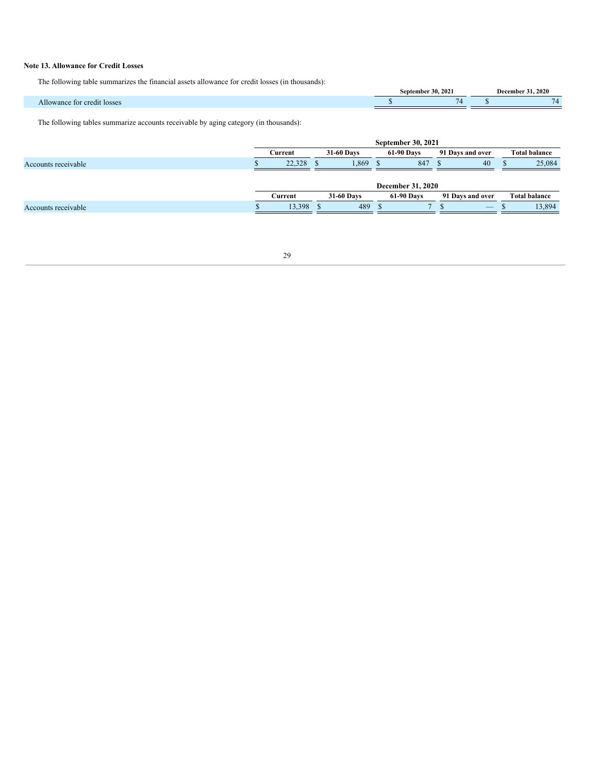# **Note 13. Allowance for Credit Losses**

The following table summarizes the financial assets allowance for credit losses (in thousands):

|                             | September | .30.2021 | 31, 2020<br>December |
|-----------------------------|-----------|----------|----------------------|
| Allowance for credit losses |           | $\sim$   | - -                  |

The following tables summarize accounts receivable by aging category (in thousands):

<span id="page-28-0"></span>

|                     |         |            |            |                   | <b>September 30, 2021</b> |                  |                      |                      |
|---------------------|---------|------------|------------|-------------------|---------------------------|------------------|----------------------|----------------------|
|                     | Current | 31-60 Days |            | <b>61-90 Days</b> |                           | 91 Days and over | <b>Total balance</b> |                      |
| Accounts receivable | 22,328  |            | 1,869      |                   | 847                       |                  | 40                   | 25,084               |
|                     |         |            |            |                   |                           |                  |                      |                      |
|                     |         |            |            |                   | December 31, 2020         |                  |                      |                      |
|                     | Current |            | 31-60 Days |                   | <b>61-90 Days</b>         |                  | 91 Days and over     | <b>Total balance</b> |
| Accounts receivable | 13.398  |            | 489        |                   |                           |                  |                      | 13.894               |
|                     |         |            |            |                   |                           |                  |                      |                      |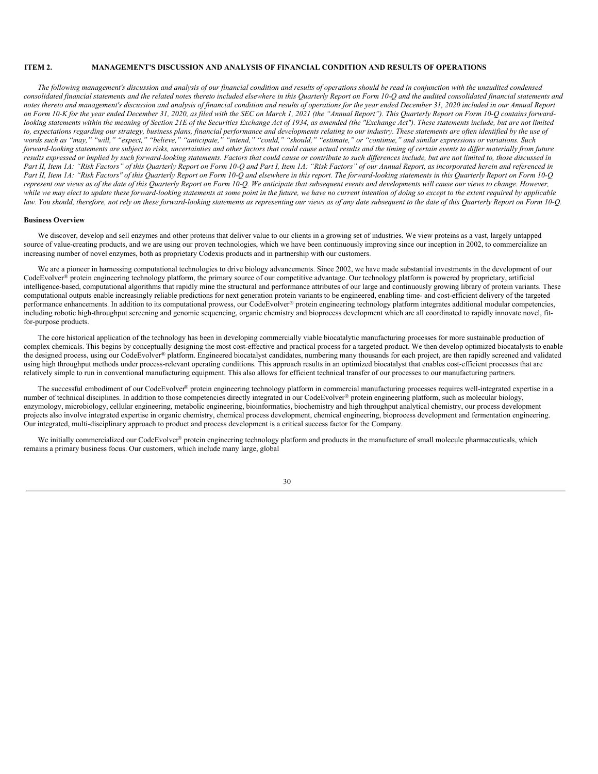# **ITEM 2. MANAGEMENT'S DISCUSSION AND ANALYSIS OF FINANCIAL CONDITION AND RESULTS OF OPERATIONS**

The following management's discussion and analysis of our financial condition and results of operations should be read in conjunction with the unaudited condensed consolidated financial statements and the related notes thereto included elsewhere in this Quarterly Report on Form 10-Q and the audited consolidated financial statements and notes thereto and management's discussion and analysis of financial condition and results of operations for the year ended December 31, 2020 included in our Annual Report on Form 10-K for the year ended December 31, 2020, as filed with the SEC on March 1, 2021 (the "Annual Report"). This Quarterly Report on Form 10-Q contains forwardlooking statements within the meaning of Section 21E of the Securities Exchange Act of 1934, as amended (the "Exchange Act"). These statements include, but are not limited to, expectations regarding our strategy, business plans, financial performance and developments relating to our industry. These statements are often identified by the use of words such as "may," "will," "expect," "believe," "anticipate," "intend," "could," "should," "estimate," or "continue," and similar expressions or variations. Such forward-looking statements are subject to risks, uncertainties and other factors that could cause actual results and the timing of certain events to differ materially from future results expressed or implied by such forward-looking statements. Factors that could cause or contribute to such differences include, but are not limited to, those discussed in Part II, Item 1A: "Risk Factors" of this Quarterly Report on Form 10-Q and Part I, Item 1A: "Risk Factors" of our Annual Report, as incorporated herein and referenced in Part II, Item 1A: "Risk Factors" of this Quarterly Report on Form 10-Q and elsewhere in this report. The forward-looking statements in this Quarterly Report on Form 10-Q represent our views as of the date of this Quarterly Report on Form 10-O. We anticipate that subsequent events and developments will cause our views to change. However, while we may elect to update these forward-looking statements at some point in the future, we have no current intention of doing so except to the extent required by applicable law. You should, therefore, not rely on these forward-looking statements as representing our views as of any date subsequent to the date of this Quarterly Report on Form 10-Q.

# **Business Overview**

We discover, develop and sell enzymes and other proteins that deliver value to our clients in a growing set of industries. We view proteins as a vast, largely untapped source of value-creating products, and we are using our proven technologies, which we have been continuously improving since our inception in 2002, to commercialize an increasing number of novel enzymes, both as proprietary Codexis products and in partnership with our customers.

We are a pioneer in harnessing computational technologies to drive biology advancements. Since 2002, we have made substantial investments in the development of our CodeEvolver® protein engineering technology platform, the primary source of our competitive advantage. Our technology platform is powered by proprietary, artificial intelligence-based, computational algorithms that rapidly mine the structural and performance attributes of our large and continuously growing library of protein variants. These computational outputs enable increasingly reliable predictions for next generation protein variants to be engineered, enabling time- and cost-efficient delivery of the targeted performance enhancements. In addition to its computational prowess, our CodeEvolver® protein engineering technology platform integrates additional modular competencies, including robotic high-throughput screening and genomic sequencing, organic chemistry and bioprocess development which are all coordinated to rapidly innovate novel, fitfor-purpose products.

The core historical application of the technology has been in developing commercially viable biocatalytic manufacturing processes for more sustainable production of complex chemicals. This begins by conceptually designing the most cost-effective and practical process for a targeted product. We then develop optimized biocatalysts to enable the designed process, using our CodeEvolver® platform. Engineered biocatalyst candidates, numbering many thousands for each project, are then rapidly screened and validated using high throughput methods under process-relevant operating conditions. This approach results in an optimized biocatalyst that enables cost-efficient processes that are relatively simple to run in conventional manufacturing equipment. This also allows for efficient technical transfer of our processes to our manufacturing partners.

The successful embodiment of our CodeEvolver® protein engineering technology platform in commercial manufacturing processes requires well-integrated expertise in a number of technical disciplines. In addition to those competencies directly integrated in our CodeEvolver® protein engineering platform, such as molecular biology, enzymology, microbiology, cellular engineering, metabolic engineering, bioinformatics, biochemistry and high throughput analytical chemistry, our process development projects also involve integrated expertise in organic chemistry, chemical process development, chemical engineering, bioprocess development and fermentation engineering. Our integrated, multi-disciplinary approach to product and process development is a critical success factor for the Company.

We initially commercialized our CodeEvolver® protein engineering technology platform and products in the manufacture of small molecule pharmaceuticals, which remains a primary business focus. Our customers, which include many large, global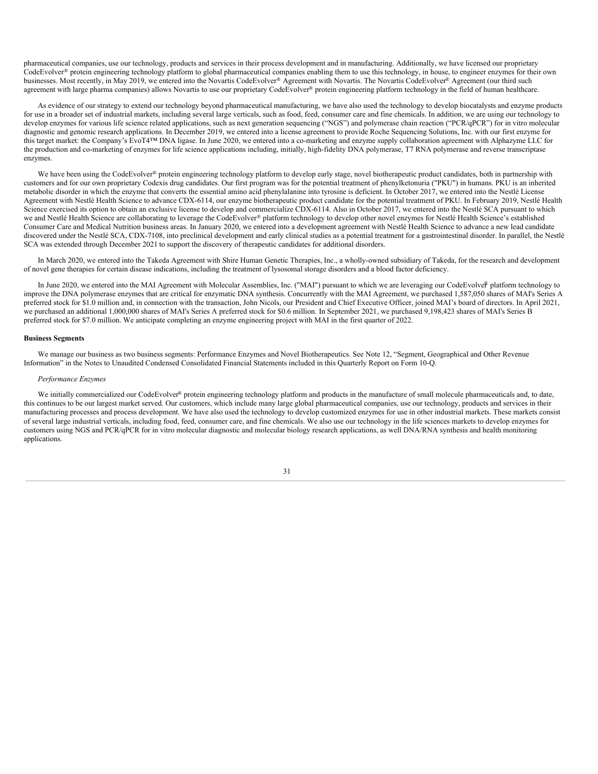pharmaceutical companies, use our technology, products and services in their process development and in manufacturing. Additionally, we have licensed our proprietary CodeEvolver® protein engineering technology platform to global pharmaceutical companies enabling them to use this technology, in house, to engineer enzymes for their own businesses. Most recently, in May 2019, we entered into the Novartis CodeEvolver® Agreement with Novartis. The Novartis CodeEvolver® Agreement (our third such agreement with large pharma companies) allows Novartis to use our proprietary CodeEvolver® protein engineering platform technology in the field of human healthcare.

As evidence of our strategy to extend our technology beyond pharmaceutical manufacturing, we have also used the technology to develop biocatalysts and enzyme products for use in a broader set of industrial markets, including several large verticals, such as food, feed, consumer care and fine chemicals. In addition, we are using our technology to develop enzymes for various life science related applications, such as next generation sequencing ("NGS") and polymerase chain reaction ("PCR/qPCR") for in vitro molecular diagnostic and genomic research applications. In December 2019, we entered into a license agreement to provide Roche Sequencing Solutions, Inc. with our first enzyme for this target market: the Company's EvoT4™ DNA ligase. In June 2020, we entered into a co-marketing and enzyme supply collaboration agreement with Alphazyme LLC for the production and co-marketing of enzymes for life science applications including, initially, high-fidelity DNA polymerase, T7 RNA polymerase and reverse transcriptase enzymes.

We have been using the CodeEvolver® protein engineering technology platform to develop early stage, novel biotherapeutic product candidates, both in partnership with customers and for our own proprietary Codexis drug candidates. Our first program was for the potential treatment of phenylketonuria ("PKU") in humans. PKU is an inherited metabolic disorder in which the enzyme that converts the essential amino acid phenylalanine into tyrosine is deficient. In October 2017, we entered into the Nestlé License Agreement with Nestlé Health Science to advance CDX-6114, our enzyme biotherapeutic product candidate for the potential treatment of PKU. In February 2019, Nestlé Health Science exercised its option to obtain an exclusive license to develop and commercialize CDX-6114. Also in October 2017, we entered into the Nestlé SCA pursuant to which we and Nestlé Health Science are collaborating to leverage the CodeEvolver® platform technology to develop other novel enzymes for Nestlé Health Science's established Consumer Care and Medical Nutrition business areas. In January 2020, we entered into a development agreement with Nestlé Health Science to advance a new lead candidate discovered under the Nestlé SCA, CDX-7108, into preclinical development and early clinical studies as a potential treatment for a gastrointestinal disorder. In parallel, the Nestlé SCA was extended through December 2021 to support the discovery of therapeutic candidates for additional disorders.

In March 2020, we entered into the Takeda Agreement with Shire Human Genetic Therapies, Inc., a wholly-owned subsidiary of Takeda, for the research and development of novel gene therapies for certain disease indications, including the treatment of lysosomal storage disorders and a blood factor deficiency.

In June 2020, we entered into the MAI Agreement with Molecular Assemblies, Inc. ("MAI") pursuant to which we are leveraging our CodeEvolver platform technology to improve the DNA polymerase enzymes that are critical for enzymatic DNA synthesis. Concurrently with the MAI Agreement, we purchased 1,587,050 shares of MAI's Series A preferred stock for \$1.0 million and, in connection with the transaction, John Nicols, our President and Chief Executive Officer, joined MAI's board of directors. In April 2021, we purchased an additional 1,000,000 shares of MAI's Series A preferred stock for \$0.6 million. In September 2021, we purchased 9,198,423 shares of MAI's Series B preferred stock for \$7.0 million. We anticipate completing an enzyme engineering project with MAI in the first quarter of 2022.

## **Business Segments**

We manage our business as two business segments: Performance Enzymes and Novel Biotherapeutics. See Note 12, "Segment, Geographical and Other Revenue Information" in the Notes to Unaudited Condensed Consolidated Financial Statements included in this Quarterly Report on Form 10-Q.

#### *Performance Enzymes*

We initially commercialized our CodeEvolver® protein engineering technology platform and products in the manufacture of small molecule pharmaceuticals and, to date, this continues to be our largest market served. Our customers, which include many large global pharmaceutical companies, use our technology, products and services in their manufacturing processes and process development. We have also used the technology to develop customized enzymes for use in other industrial markets. These markets consist of several large industrial verticals, including food, feed, consumer care, and fine chemicals. We also use our technology in the life sciences markets to develop enzymes for customers using NGS and PCR/qPCR for in vitro molecular diagnostic and molecular biology research applications, as well DNA/RNA synthesis and health monitoring applications.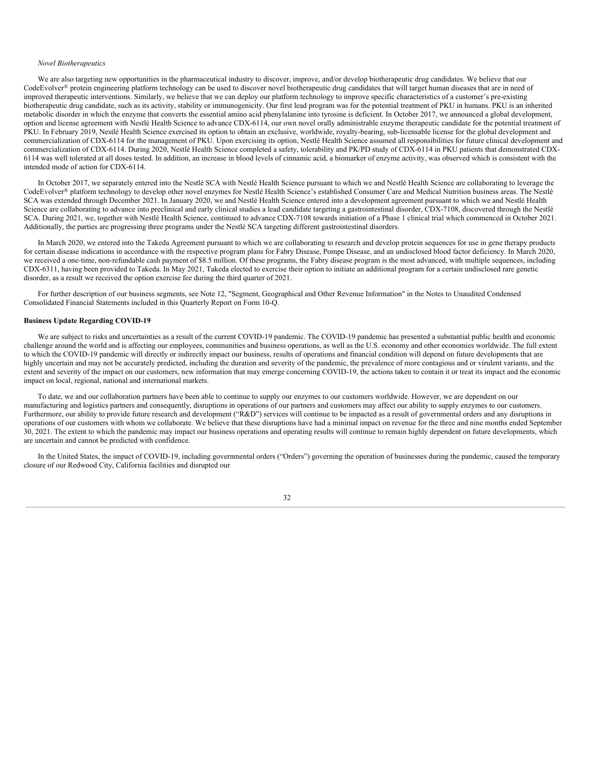## *Novel Biotherapeutics*

We are also targeting new opportunities in the pharmaceutical industry to discover, improve, and/or develop biotherapeutic drug candidates. We believe that our CodeEvolver® protein engineering platform technology can be used to discover novel biotherapeutic drug candidates that will target human diseases that are in need of improved therapeutic interventions. Similarly, we believe that we can deploy our platform technology to improve specific characteristics of a customer's pre-existing biotherapeutic drug candidate, such as its activity, stability or immunogenicity. Our first lead program was for the potential treatment of PKU in humans. PKU is an inherited metabolic disorder in which the enzyme that converts the essential amino acid phenylalanine into tyrosine is deficient. In October 2017, we announced a global development, option and license agreement with Nestlé Health Science to advance CDX-6114, our own novel orally administrable enzyme therapeutic candidate for the potential treatment of PKU. In February 2019, Nestlé Health Science exercised its option to obtain an exclusive, worldwide, royalty-bearing, sub-licensable license for the global development and commercialization of CDX-6114 for the management of PKU. Upon exercising its option, Nestlé Health Science assumed all responsibilities for future clinical development and commercialization of CDX-6114. During 2020, Nestlé Health Science completed a safety, tolerability and PK/PD study of CDX-6114 in PKU patients that demonstrated CDX-6114 was well tolerated at all doses tested. In addition, an increase in blood levels of cinnamic acid, a biomarker of enzyme activity, was observed which is consistent with the intended mode of action for CDX-6114.

In October 2017, we separately entered into the Nestlé SCA with Nestlé Health Science pursuant to which we and Nestlé Health Science are collaborating to leverage the CodeEvolver® platform technology to develop other novel enzymes for Nestlé Health Science's established Consumer Care and Medical Nutrition business areas. The Nestlé SCA was extended through December 2021. In January 2020, we and Nestlé Health Science entered into a development agreement pursuant to which we and Nestlé Health Science are collaborating to advance into preclinical and early clinical studies a lead candidate targeting a gastrointestinal disorder, CDX-7108, discovered through the Nestlé SCA. During 2021, we, together with Nestlé Health Science, continued to advance CDX-7108 towards initiation of a Phase 1 clinical trial which commenced in October 2021. Additionally, the parties are progressing three programs under the Nestlé SCA targeting different gastrointestinal disorders.

In March 2020, we entered into the Takeda Agreement pursuant to which we are collaborating to research and develop protein sequences for use in gene therapy products for certain disease indications in accordance with the respective program plans for Fabry Disease, Pompe Disease, and an undisclosed blood factor deficiency. In March 2020, we received a one-time, non-refundable cash payment of \$8.5 million. Of these programs, the Fabry disease program is the most advanced, with multiple sequences, including CDX-6311, having been provided to Takeda. In May 2021, Takeda elected to exercise their option to initiate an additional program for a certain undisclosed rare genetic disorder, as a result we received the option exercise fee during the third quarter of 2021.

For further description of our business segments, see Note 12, "Segment, Geographical and Other Revenue Information" in the Notes to Unaudited Condensed Consolidated Financial Statements included in this Quarterly Report on Form 10-Q.

# **Business Update Regarding COVID-19**

We are subject to risks and uncertainties as a result of the current COVID-19 pandemic. The COVID-19 pandemic has presented a substantial public health and economic challenge around the world and is affecting our employees, communities and business operations, as well as the U.S. economy and other economies worldwide. The full extent to which the COVID-19 pandemic will directly or indirectly impact our business, results of operations and financial condition will depend on future developments that are highly uncertain and may not be accurately predicted, including the duration and severity of the pandemic, the prevalence of more contagious and or virulent variants, and the extent and severity of the impact on our customers, new information that may emerge concerning COVID-19, the actions taken to contain it or treat its impact and the economic impact on local, regional, national and international markets.

To date, we and our collaboration partners have been able to continue to supply our enzymes to our customers worldwide. However, we are dependent on our manufacturing and logistics partners and consequently, disruptions in operations of our partners and customers may affect our ability to supply enzymes to our customers. Furthermore, our ability to provide future research and development ("R&D") services will continue to be impacted as a result of governmental orders and any disruptions in operations of our customers with whom we collaborate. We believe that these disruptions have had a minimal impact on revenue for the three and nine months ended September 30, 2021. The extent to which the pandemic may impact our business operations and operating results will continue to remain highly dependent on future developments, which are uncertain and cannot be predicted with confidence.

In the United States, the impact of COVID-19, including governmental orders ("Orders") governing the operation of businesses during the pandemic, caused the temporary closure of our Redwood City, California facilities and disrupted our

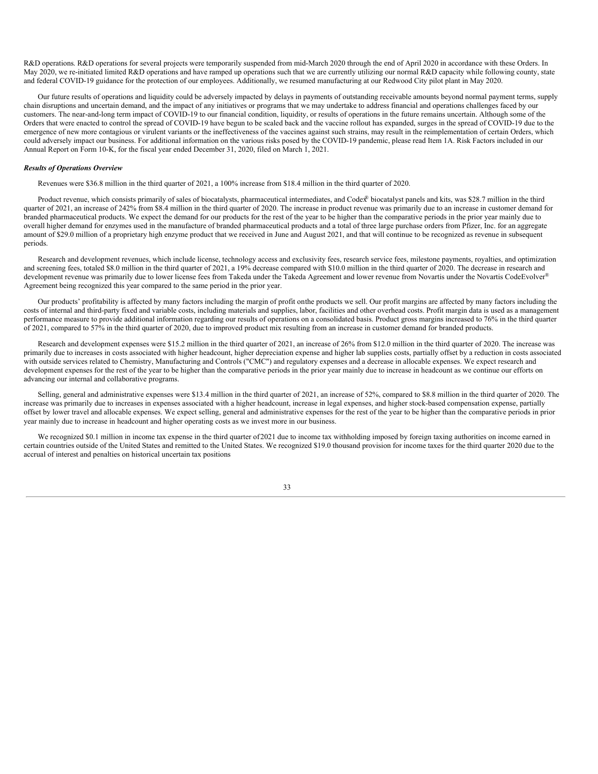R&D operations. R&D operations for several projects were temporarily suspended from mid-March 2020 through the end of April 2020 in accordance with these Orders. In May 2020, we re-initiated limited R&D operations and have ramped up operations such that we are currently utilizing our normal R&D capacity while following county, state and federal COVID-19 guidance for the protection of our employees. Additionally, we resumed manufacturing at our Redwood City pilot plant in May 2020.

Our future results of operations and liquidity could be adversely impacted by delays in payments of outstanding receivable amounts beyond normal payment terms, supply chain disruptions and uncertain demand, and the impact of any initiatives or programs that we may undertake to address financial and operations challenges faced by our customers. The near-and-long term impact of COVID-19 to our financial condition, liquidity, or results of operations in the future remains uncertain. Although some of the Orders that were enacted to control the spread of COVID-19 have begun to be scaled back and the vaccine rollout has expanded, surges in the spread of COVID-19 due to the emergence of new more contagious or virulent variants or the ineffectiveness of the vaccines against such strains, may result in the reimplementation of certain Orders, which could adversely impact our business. For additional information on the various risks posed by the COVID-19 pandemic, please read Item 1A. Risk Factors included in our Annual Report on Form 10-K, for the fiscal year ended December 31, 2020, filed on March 1, 2021.

#### *Results of Operations Overview*

Revenues were \$36.8 million in the third quarter of 2021, a 100% increase from \$18.4 million in the third quarter of 2020.

Product revenue, which consists primarily of sales of biocatalysts, pharmaceutical intermediates, and Codex® biocatalyst panels and kits, was \$28.7 million in the third quarter of 2021, an increase of 242% from \$8.4 million in the third quarter of 2020. The increase in product revenue was primarily due to an increase in customer demand for branded pharmaceutical products. We expect the demand for our products for the rest of the year to be higher than the comparative periods in the prior year mainly due to overall higher demand for enzymes used in the manufacture of branded pharmaceutical products and a total of three large purchase orders from Pfizer, Inc. for an aggregate amount of \$29.0 million of a proprietary high enzyme product that we received in June and August 2021, and that will continue to be recognized as revenue in subsequent periods.

Research and development revenues, which include license, technology access and exclusivity fees, research service fees, milestone payments, royalties, and optimization and screening fees, totaled \$8.0 million in the third quarter of 2021, a 19% decrease compared with \$10.0 million in the third quarter of 2020. The decrease in research and development revenue was primarily due to lower license fees from Takeda under the Takeda Agreement and lower revenue from Novartis under the Novartis CodeEvolver® Agreement being recognized this year compared to the same period in the prior year.

Our products' profitability is affected by many factors including the margin of profit onthe products we sell. Our profit margins are affected by many factors including the costs of internal and third-party fixed and variable costs, including materials and supplies, labor, facilities and other overhead costs. Profit margin data is used as a management performance measure to provide additional information regarding our results of operations on a consolidated basis. Product gross margins increased to 76% in the third quarter of 2021, compared to 57% in the third quarter of 2020, due to improved product mix resulting from an increase in customer demand for branded products.

Research and development expenses were \$15.2 million in the third quarter of 2021, an increase of 26% from \$12.0 million in the third quarter of 2020. The increase was primarily due to increases in costs associated with higher headcount, higher depreciation expense and higher lab supplies costs, partially offset by a reduction in costs associated with outside services related to Chemistry, Manufacturing and Controls ("CMC") and regulatory expenses and a decrease in allocable expenses. We expect research and development expenses for the rest of the year to be higher than the comparative periods in the prior year mainly due to increase in headcount as we continue our efforts on advancing our internal and collaborative programs.

Selling, general and administrative expenses were \$13.4 million in the third quarter of 2021, an increase of 52%, compared to \$8.8 million in the third quarter of 2020. The increase was primarily due to increases in expenses associated with a higher headcount, increase in legal expenses, and higher stock-based compensation expense, partially offset by lower travel and allocable expenses. We expect selling, general and administrative expenses for the rest of the year to be higher than the comparative periods in prior year mainly due to increase in headcount and higher operating costs as we invest more in our business.

We recognized \$0.1 million in income tax expense in the third quarter of 2021 due to income tax withholding imposed by foreign taxing authorities on income earned in certain countries outside of the United States and remitted to the United States. We recognized \$19.0 thousand provision for income taxes for the third quarter 2020 due to the accrual of interest and penalties on historical uncertain tax positions

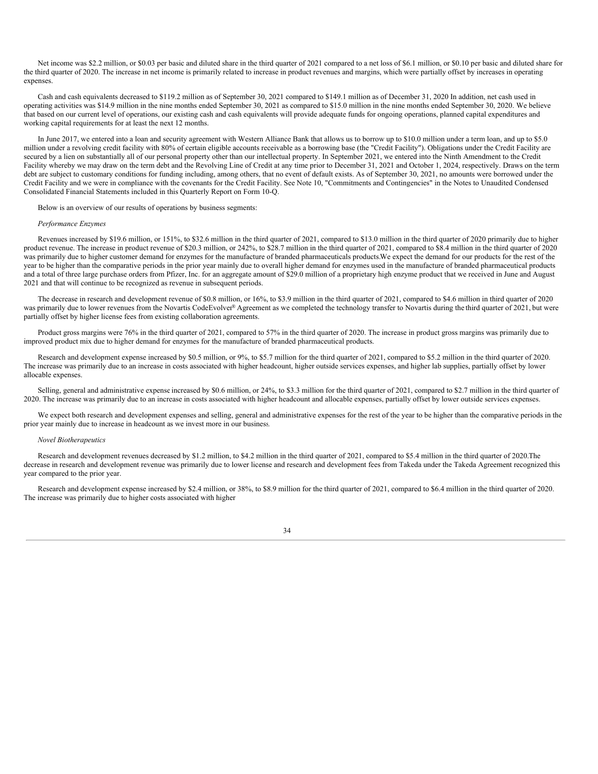Net income was \$2.2 million, or \$0.03 per basic and diluted share in the third quarter of 2021 compared to a net loss of \$6.1 million, or \$0.10 per basic and diluted share for the third quarter of 2020. The increase in net income is primarily related to increase in product revenues and margins, which were partially offset by increases in operating expenses.

Cash and cash equivalents decreased to \$119.2 million as of September 30, 2021 compared to \$149.1 million as of December 31, 2020.In addition, net cash used in operating activities was \$14.9 million in the nine months ended September 30, 2021 as compared to \$15.0 million in the nine months ended September 30, 2020. We believe that based on our current level of operations, our existing cash and cash equivalents will provide adequate funds for ongoing operations, planned capital expenditures and working capital requirements for at least the next 12 months.

In June 2017, we entered into a loan and security agreement with Western Alliance Bank that allows us to borrow up to \$10.0 million under a term loan, and up to \$5.0 million under a revolving credit facility with 80% of certain eligible accounts receivable as a borrowing base (the "Credit Facility"). Obligations under the Credit Facility are secured by a lien on substantially all of our personal property other than our intellectual property. In September 2021, we entered into the Ninth Amendment to the Credit Facility whereby we may draw on the term debt and the Revolving Line of Credit at any time prior to December 31, 2021 and October 1, 2024, respectively. Draws on the term debt are subject to customary conditions for funding including, among others, that no event of default exists. As of September 30, 2021, no amounts were borrowed under the Credit Facility and we were in compliance with the covenants for the Credit Facility. See Note 10, "Commitments and Contingencies" in the Notes to Unaudited Condensed Consolidated Financial Statements included in this Quarterly Report on Form 10-Q.

Below is an overview of our results of operations by business segments:

#### *Performance Enzymes*

Revenues increased by \$19.6 million, or 151%, to \$32.6 million in the third quarter of 2021, compared to \$13.0 million in the third quarter of 2020 primarily due to higher product revenue. The increase in product revenue of \$20.3 million, or 242%, to \$28.7 million in the third quarter of 2021, compared to \$8.4 million in the third quarter of 2020 was primarily due to higher customer demand for enzymes for the manufacture of branded pharmaceuticals products.We expect the demand for our products for the rest of the year to be higher than the comparative periods in the prior year mainly due to overall higher demand for enzymes used in the manufacture of branded pharmaceutical products and a total of three large purchase orders from Pfizer, Inc. for an aggregate amount of \$29.0 million of a proprietary high enzyme product that we received in June and August 2021 and that will continue to be recognized as revenue in subsequent periods.

The decrease in research and development revenue of \$0.8 million, or 16%, to \$3.9 million in the third quarter of 2021, compared to \$4.6 million in third quarter of 2020 was primarily due to lower revenues from the Novartis CodeEvolver® Agreement as we completed the technology transfer to Novartis during the third quarter of 2021, but were partially offset by higher license fees from existing collaboration agreements.

Product gross margins were 76% in the third quarter of 2021, compared to 57% in the third quarter of 2020. The increase in product gross margins was primarily due to improved product mix due to higher demand for enzymes for the manufacture of branded pharmaceutical products.

Research and development expense increased by \$0.5 million, or 9%, to \$5.7 million for the third quarter of 2021, compared to \$5.2 million in the third quarter of 2020. The increase was primarily due to an increase in costs associated with higher headcount, higher outside services expenses, and higher lab supplies, partially offset by lower allocable expenses.

Selling, general and administrative expense increased by \$0.6 million, or 24%, to \$3.3 million for the third quarter of 2021, compared to \$2.7 million in the third quarter of 2020. The increase was primarily due to an increase in costs associated with higher headcount and allocable expenses, partially offset by lower outside services expenses.

We expect both research and development expenses and selling, general and administrative expenses for the rest of the year to be higher than the comparative periods in the prior year mainly due to increase in headcount as we invest more in our business.

# *Novel Biotherapeutics*

Research and development revenues decreased by \$1.2 million, to \$4.2 million in the third quarter of 2021, compared to \$5.4 million in the third quarter of 2020. The decrease in research and development revenue was primarily due to lower license and research and development fees from Takeda under the Takeda Agreement recognized this year compared to the prior year.

Research and development expense increased by \$2.4 million, or 38%, to \$8.9 million for the third quarter of 2021, compared to \$6.4 million in the third quarter of 2020. The increase was primarily due to higher costs associated with higher

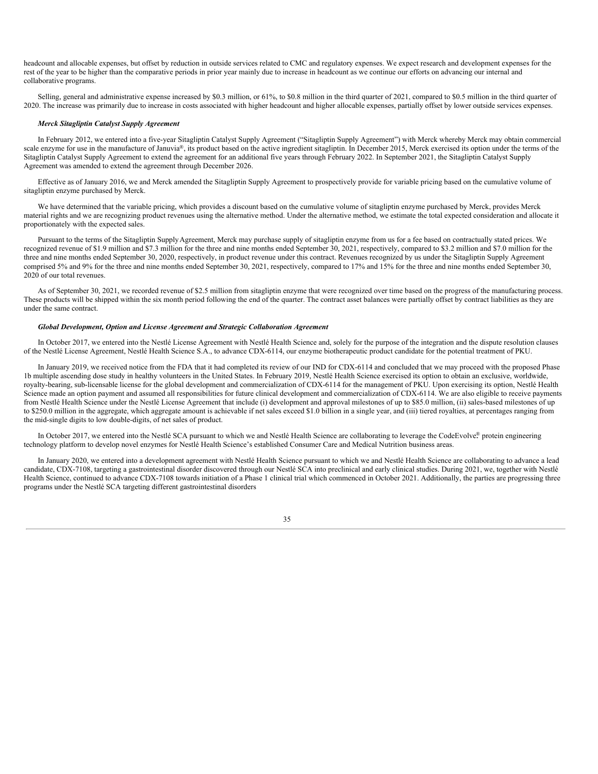headcount and allocable expenses, but offset by reduction in outside services related to CMC and regulatory expenses. We expect research and development expenses for the rest of the year to be higher than the comparative periods in prior year mainly due to increase in headcount as we continue our efforts on advancing our internal and collaborative programs.

Selling, general and administrative expense increased by \$0.3 million, or 61%, to \$0.8 million in the third quarter of 2021, compared to \$0.5 million in the third quarter of 2020. The increase was primarily due to increase in costs associated with higher headcount and higher allocable expenses, partially offset by lower outside services expenses.

# *Merck Sitagliptin Catalyst Supply Agreement*

In February 2012, we entered into a five-year Sitagliptin Catalyst Supply Agreement ("Sitagliptin Supply Agreement") with Merck whereby Merck may obtain commercial scale enzyme for use in the manufacture of Januvia®, its product based on the active ingredient sitagliptin. In December 2015, Merck exercised its option under the terms of the Sitagliptin Catalyst Supply Agreement to extend the agreement for an additional five years through February 2022. In September 2021, the Sitagliptin Catalyst Supply Agreement was amended to extend the agreement through December 2026.

Effective as of January 2016, we and Merck amended the Sitagliptin Supply Agreement to prospectively provide for variable pricing based on the cumulative volume of sitagliptin enzyme purchased by Merck.

We have determined that the variable pricing, which provides a discount based on the cumulative volume of sitagliptin enzyme purchased by Merck, provides Merck material rights and we are recognizing product revenues using the alternative method. Under the alternative method, we estimate the total expected consideration and allocate it proportionately with the expected sales.

Pursuant to the terms of the Sitagliptin SupplyAgreement, Merck may purchase supply of sitagliptin enzyme from us for a fee based on contractually stated prices. We recognized revenue of \$1.9 million and \$7.3 million for the three and nine months ended September 30, 2021, respectively, compared to \$3.2 million and \$7.0 million for the three and nine months ended September 30, 2020, respectively, in product revenue under this contract. Revenues recognized by us under the Sitagliptin Supply Agreement comprised 5% and 9% for the three and nine months ended September 30, 2021, respectively, compared to 17% and 15% for the three and nine months ended September 30, 2020 of our total revenues.

As of September 30, 2021, we recorded revenue of \$2.5 million from sitagliptin enzyme that were recognized over time based on the progress of the manufacturing process. These products will be shipped within the six month period following the end of the quarter. The contract asset balances were partially offset by contract liabilities as they are under the same contract.

# *Global Development, Option and License Agreement and Strategic Collaboration Agreement*

In October 2017, we entered into the Nestlé License Agreement with Nestlé Health Science and, solely for the purpose of the integration and the dispute resolution clauses of the Nestlé License Agreement, Nestlé Health Science S.A., to advance CDX-6114, our enzyme biotherapeutic product candidate for the potential treatment of PKU.

In January 2019, we received notice from the FDA that it had completed its review of our IND for CDX-6114 and concluded that we may proceed with the proposed Phase 1b multiple ascending dose study in healthy volunteers in the United States. In February 2019, Nestlé Health Science exercised its option to obtain an exclusive, worldwide, royalty-bearing, sub-licensable license for the global development and commercialization of CDX-6114 for the management of PKU. Upon exercising its option, Nestlé Health Science made an option payment and assumed all responsibilities for future clinical development and commercialization of CDX-6114. We are also eligible to receive payments from Nestlé Health Science under the Nestlé License Agreement that include (i) development and approval milestones of up to \$85.0 million, (ii) sales-based milestones of up to \$250.0 million in the aggregate, which aggregate amount is achievable if net sales exceed \$1.0 billion in a single year, and (iii) tiered royalties, at percentages ranging from the mid-single digits to low double-digits, of net sales of product.

In October 2017, we entered into the Nestlé SCA pursuant to which we and Nestlé Health Science are collaborating to leverage the CodeEvolver protein engineering technology platform to develop novel enzymes for Nestlé Health Science's established Consumer Care and Medical Nutrition business areas.

In January 2020, we entered into a development agreement with Nestlé Health Science pursuant to which we and Nestlé Health Science are collaborating to advance a lead candidate, CDX-7108, targeting a gastrointestinal disorder discovered through our Nestlé SCA into preclinical and early clinical studies. During 2021, we, together with Nestlé Health Science, continued to advance CDX-7108 towards initiation of a Phase 1 clinical trial which commenced in October 2021. Additionally, the parties are progressing three programs under the Nestlé SCA targeting different gastrointestinal disorders

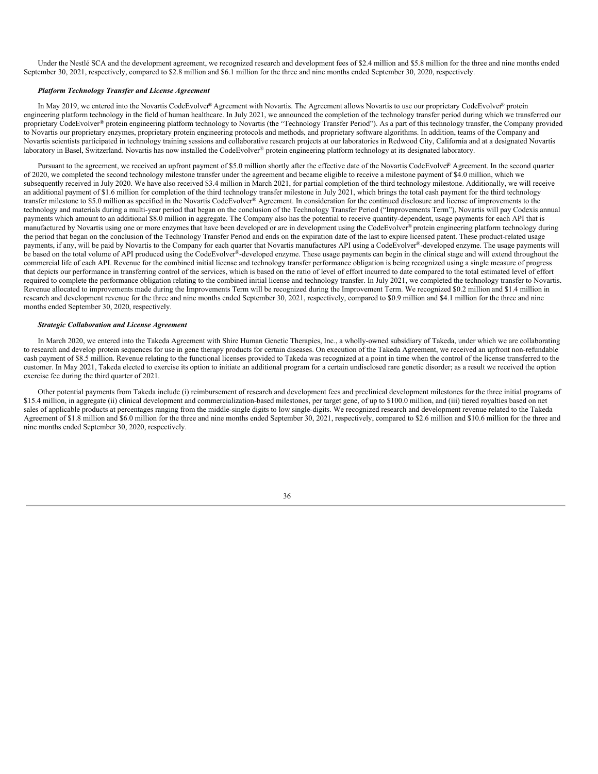Under the Nestlé SCA and the development agreement, we recognized research and development fees of \$2.4 million and \$5.8 million for the three and nine months ended September 30, 2021, respectively, compared to \$2.8 million and \$6.1 million for the three and nine months ended September 30, 2020, respectively.

# *Platform Technology Transfer and License Agreement*

In May 2019, we entered into the Novartis CodeEvolver® Agreement with Novartis. The Agreement allows Novartis to use our proprietary CodeEvolver® protein engineering platform technology in the field of human healthcare. In July 2021, we announced the completion of the technology transfer period during which we transferred our proprietary CodeEvolver® protein engineering platform technology to Novartis (the "Technology Transfer Period"). As a part of this technology transfer, the Company provided to Novartis our proprietary enzymes, proprietary protein engineering protocols and methods, and proprietary software algorithms. In addition, teams of the Company and Novartis scientists participated in technology training sessions and collaborative research projects at our laboratories in Redwood City, California and at a designated Novartis laboratory in Basel, Switzerland. Novartis has now installed the CodeEvolver® protein engineering platform technology at its designated laboratory.

Pursuant to the agreement, we received an upfront payment of \$5.0 million shortly after the effective date of the Novartis CodeEvolver® Agreement. In the second quarter of 2020, we completed the second technology milestone transfer under the agreement and became eligible to receive a milestone payment of \$4.0 million, which we subsequently received in July 2020. We have also received \$3.4 million in March 2021, for partial completion of the third technology milestone. Additionally, we will receive an additional payment of \$1.6 million for completion of the third technology transfer milestone in July 2021, which brings the total cash payment for the third technology transfer milestone to \$5.0 million as specified in the Novartis CodeEvolver® Agreement. In consideration for the continued disclosure and license of improvements to the technology and materials during a multi-year period that began on the conclusion of the Technology Transfer Period ("Improvements Term"), Novartis will pay Codexis annual payments which amount to an additional \$8.0 million in aggregate. The Company also has the potential to receive quantity-dependent, usage payments for each API that is manufactured by Novartis using one or more enzymes that have been developed or are in development using the CodeEvolver® protein engineering platform technology during the period that began on the conclusion of the Technology Transfer Period and ends on the expiration date of the last to expire licensed patent. These product-related usage payments, if any, will be paid by Novartis to the Company for each quarter that Novartis manufactures API using a CodeEvolver®-developed enzyme. The usage payments will be based on the total volume of API produced using the CodeEvolver®-developed enzyme. These usage payments can begin in the clinical stage and will extend throughout the commercial life of each API. Revenue for the combined initial license and technology transfer performance obligation is being recognized using a single measure of progress that depicts our performance in transferring control of the services, which is based on the ratio of level of effort incurred to date compared to the total estimated level of effort required to complete the performance obligation relating to the combined initial license and technology transfer. In July 2021, we completed the technology transfer to Novartis. Revenue allocated to improvements made during the Improvements Term will be recognized during the Improvement Term. We recognized \$0.2 million and \$1.4 million in research and development revenue for the three and nine months ended September 30, 2021, respectively, compared to \$0.9 million and \$4.1 million for the three and nine months ended September 30, 2020, respectively.

## *Strategic Collaboration and License Agreement*

In March 2020, we entered into the Takeda Agreement with Shire Human Genetic Therapies, Inc., a wholly-owned subsidiary of Takeda, under which we are collaborating to research and develop protein sequences for use in gene therapy products for certain diseases. On execution of the Takeda Agreement, we received an upfront non-refundable cash payment of \$8.5 million. Revenue relating to the functional licenses provided to Takeda was recognized at a point in time when the control of the license transferred to the customer. In May 2021, Takeda elected to exercise its option to initiate an additional program for a certain undisclosed rare genetic disorder; as a result we received the option exercise fee during the third quarter of 2021.

Other potential payments from Takeda include (i) reimbursement of research and development fees and preclinical development milestones for the three initial programs of \$15.4 million, in aggregate (ii) clinical development and commercialization-based milestones, per target gene, of up to \$100.0 million, and (iii) tiered royalties based on net sales of applicable products at percentages ranging from the middle-single digits to low single-digits. We recognized research and development revenue related to the Takeda Agreement of \$1.8 million and \$6.0 million for the three and nine months ended September 30, 2021, respectively, compared to \$2.6 million and \$10.6 million for the three and nine months ended September 30, 2020, respectively.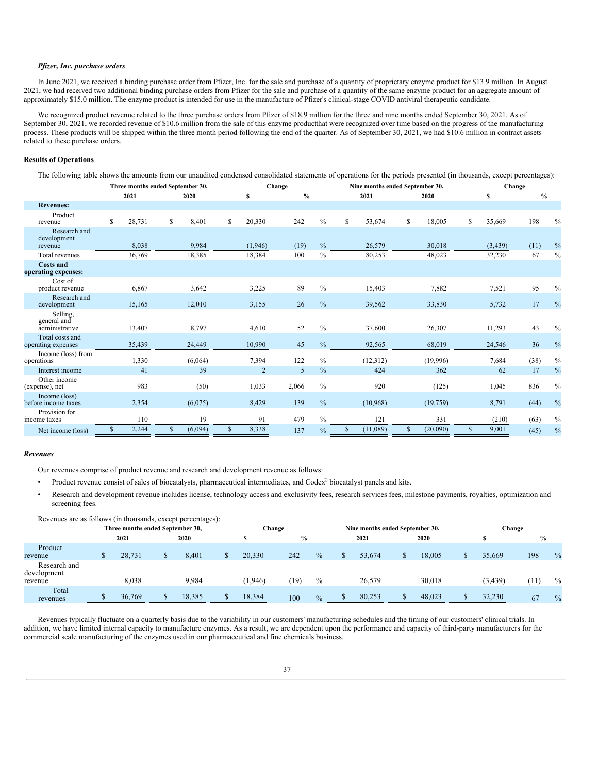# *Pfizer, Inc. purchase orders*

In June 2021, we received a binding purchase order from Pfizer, Inc. for the sale and purchase of a quantity of proprietary enzyme product for \$13.9 million. In August 2021, we had received two additional binding purchase orders from Pfizer for the sale and purchase of a quantity of the same enzyme product for an aggregate amount of approximately \$15.0 million. The enzyme product is intended for use in the manufacture of Pfizer's clinical-stage COVID antiviral therapeutic candidate.

We recognized product revenue related to the three purchase orders from Pfizer of \$18.9 million for the three and nine months ended September 30, 2021. As of September 30, 2021, we recorded revenue of \$10.6 million from the sale of this enzyme product that were recognized over time based on the progress of the manufacturing process. These products will be shipped within the three month period following the end of the quarter. As of September 30, 2021, we had \$10.6 million in contract assets related to these purchase orders.

# **Results of Operations**

The following table shows the amounts from our unaudited condensed consolidated statements of operations for the periods presented (in thousands, except percentages):

|                                           | Three months ended September 30, |        |    |         |                | Change        |               |              | Nine months ended September 30, |                |              | Change       |               |               |
|-------------------------------------------|----------------------------------|--------|----|---------|----------------|---------------|---------------|--------------|---------------------------------|----------------|--------------|--------------|---------------|---------------|
|                                           |                                  | 2021   |    | 2020    | s              | $\frac{0}{0}$ |               |              | 2021                            | 2020           |              | $\mathbf{s}$ | $\frac{0}{0}$ |               |
| <b>Revenues:</b>                          |                                  |        |    |         |                |               |               |              |                                 |                |              |              |               |               |
| Product<br>revenue                        | \$                               | 28,731 | \$ | 8,401   | \$<br>20,330   | 242           | $\%$          | \$           | 53,674                          | \$<br>18,005   | \$           | 35,669       | 198           | $\%$          |
| Research and<br>development<br>revenue    |                                  | 8,038  |    | 9,984   | (1,946)        | (19)          | $\%$          |              | 26,579                          | 30,018         |              | (3,439)      | (11)          | $\%$          |
| Total revenues                            |                                  | 36,769 |    | 18,385  | 18,384         | 100           | $\%$          |              | 80,253                          | 48,023         |              | 32,230       | 67            | $\%$          |
| <b>Costs and</b><br>operating expenses:   |                                  |        |    |         |                |               |               |              |                                 |                |              |              |               |               |
| Cost of<br>product revenue                |                                  | 6,867  |    | 3,642   | 3,225          | 89            | $\frac{0}{0}$ |              | 15,403                          | 7,882          |              | 7,521        | 95            | $\%$          |
| Research and<br>development               |                                  | 15,165 |    | 12,010  | 3,155          | 26            | $\frac{0}{0}$ |              | 39,562                          | 33,830         |              | 5,732        | 17            | $\%$          |
| Selling.<br>general and<br>administrative |                                  | 13,407 |    | 8,797   | 4,610          | 52            | $\%$          |              | 37,600                          | 26,307         |              | 11,293       | 43            | $\%$          |
| Total costs and<br>operating expenses     |                                  | 35,439 |    | 24,449  | 10,990         | 45            | $\frac{0}{0}$ |              | 92,565                          | 68,019         |              | 24,546       | 36            | $\%$          |
| Income (loss) from<br>operations          |                                  | 1,330  |    | (6,064) | 7,394          | 122           | $\frac{0}{0}$ |              | (12,312)                        | (19,996)       |              | 7,684        | (38)          | $\frac{0}{0}$ |
| Interest income                           |                                  | 41     |    | 39      | $\overline{2}$ | 5             | $\frac{0}{0}$ |              | 424                             | 362            |              | 62           | 17            | $\%$          |
| Other income<br>(expense), net            |                                  | 983    |    | (50)    | 1.033          | 2,066         | $\%$          |              | 920                             | (125)          |              | 1.045        | 836           | $\%$          |
| Income (loss)<br>before income taxes      |                                  | 2,354  |    | (6,075) | 8,429          | 139           | $\frac{0}{0}$ |              | (10,968)                        | (19,759)       |              | 8,791        | (44)          | $\frac{0}{0}$ |
| Provision for<br>income taxes             |                                  | 110    |    | 19      | 91             | 479           | $\frac{0}{0}$ |              | 121                             | 331            |              | (210)        | (63)          | $\%$          |
| Net income (loss)                         | \$                               | 2,244  | \$ | (6,094) | \$<br>8,338    | 137           | $\frac{0}{6}$ | $\mathbb{S}$ | (11,089)                        | \$<br>(20,090) | $\mathbb{S}$ | 9,001        | (45)          | $\frac{0}{0}$ |

#### *Revenues*

Our revenues comprise of product revenue and research and development revenue as follows:

- Product revenue consist of sales of biocatalysts, pharmaceutical intermediates, and Codex® biocatalyst panels and kits.
- Research and development revenue includes license, technology access and exclusivity fees, research services fees, milestone payments, royalties, optimization and screening fees.

| Revenues are as follows (in thousands, except percentages): |                                  |        |         |               |               |                                 |        |          |        |               |
|-------------------------------------------------------------|----------------------------------|--------|---------|---------------|---------------|---------------------------------|--------|----------|--------|---------------|
|                                                             | Three months ended September 30, |        |         | Change        |               | Nine months ended September 30, |        |          | Change |               |
|                                                             | 2021                             | 2020   |         | $\frac{0}{0}$ |               | 2021                            | 2020   |          | $\%$   |               |
| Product<br>revenue                                          | 28,731                           | 8.401  | 20.330  | 242           | $\frac{0}{0}$ | 53.674                          | 18.005 | 35.669   | 198    | $\frac{0}{0}$ |
| Research and<br>development<br>revenue                      | 8.038                            | 9.984  | (1,946) | (19)          | $\%$          | 26,579                          | 30.018 | (3, 439) | (11)   | $\%$          |
| Total<br>revenues                                           | 36,769                           | 18,385 | 18,384  | 100           | $\frac{0}{0}$ | 80,253                          | 48,023 | 32.230   | 67     | $\frac{0}{0}$ |

Revenues typically fluctuate on a quarterly basis due to the variability in our customers' manufacturing schedules and the timing of our customers' clinical trials. In addition, we have limited internal capacity to manufacture enzymes. As a result, we are dependent upon the performance and capacity of third-party manufacturers for the commercial scale manufacturing of the enzymes used in our pharmaceutical and fine chemicals business.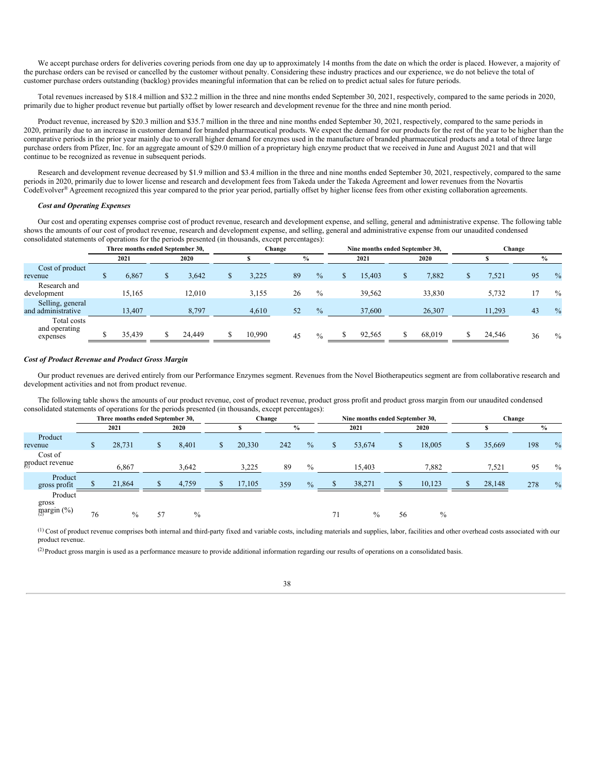We accept purchase orders for deliveries covering periods from one day up to approximately 14 months from the date on which the order is placed. However, a majority of the purchase orders can be revised or cancelled by the customer without penalty. Considering these industry practices and our experience, we do not believe the total of customer purchase orders outstanding (backlog) provides meaningful information that can be relied on to predict actual sales for future periods.

Total revenues increased by \$18.4 million and \$32.2 million in the three and nine months ended September 30, 2021, respectively, compared to the same periods in 2020, primarily due to higher product revenue but partially offset by lower research and development revenue for the three and nine month period.

Product revenue, increased by \$20.3 million and \$35.7 million in the three and nine months ended September 30, 2021, respectively, compared to the same periods in 2020, primarily due to an increase in customer demand for branded pharmaceutical products. We expect the demand for our products for the rest of the year to be higher than the comparative periods in the prior year mainly due to overall higher demand for enzymes used in the manufacture of branded pharmaceutical products and a total of three large purchase orders from Pfizer, Inc. for an aggregate amount of \$29.0 million of a proprietary high enzyme product that we received in June and August 2021 and that will continue to be recognized as revenue in subsequent periods.

Research and development revenue decreased by \$1.9 million and \$3.4 million in the three and nine months ended September 30, 2021, respectively, compared to the same periods in 2020, primarily due to lower license and research and development fees from Takeda under the Takeda Agreement and lower revenues from the Novartis CodeEvolver<sup>®</sup> Agreement recognized this year compared to the prior year period, partially offset by higher license fees from other existing collaboration agreements.

# *Cost and Operating Expenses*

Our cost and operating expenses comprise cost of product revenue, research and development expense, and selling, general and administrative expense. The following table shows the amounts of our cost of product revenue, research and development expense, and selling, general and administrative expense from our unaudited condensed consolidated statements of operations for the periods presented (in thousands, except percentages):

|                                          | Three months ended September 30, |        |        | Change        |               |   | Nine months ended September 30, |        | Change |    |               |
|------------------------------------------|----------------------------------|--------|--------|---------------|---------------|---|---------------------------------|--------|--------|----|---------------|
|                                          | 2021                             | 2020   |        | $\frac{6}{9}$ |               |   | 2021                            | 2020   |        |    | $\%$          |
| Cost of product<br>revenue               | 6,867                            | 3.642  | 3.225  | 89            | $\%$          | ъ | 15.403                          | 7,882  | 7.521  | 95 | $\frac{0}{0}$ |
| Research and<br>development              | 15.165                           | 12.010 | 3.155  | 26            | $\frac{0}{0}$ |   | 39.562                          | 33.830 | 5.732  | 17 | $\frac{0}{0}$ |
| Selling, general<br>and administrative   | 13,407                           | 8,797  | 4,610  | 52            | $\frac{0}{0}$ |   | 37,600                          | 26,307 | 11,293 | 43 | $\frac{0}{0}$ |
| Total costs<br>and operating<br>expenses | 35,439                           | 24,449 | 10,990 | 45            | $\%$          |   | 92,565                          | 68,019 | 24,546 | 36 | $\frac{0}{0}$ |

# *Cost of Product Revenue and Product Gross Margin*

Our product revenues are derived entirely from our Performance Enzymes segment. Revenues from the Novel Biotherapeutics segment are from collaborative research and development activities and not from product revenue.

The following table shows the amounts of our product revenue, cost of product revenue, product gross profit and product gross margin from our unaudited condensed consolidated statements of operations for the periods presented (in thousands, except percentages):

|                                              |    | Three months ended September 30, |    |       |        | Change        |               |   | Nine months ended September 30, |    |               |        | Change |               |
|----------------------------------------------|----|----------------------------------|----|-------|--------|---------------|---------------|---|---------------------------------|----|---------------|--------|--------|---------------|
|                                              |    | 2021                             |    | 2020  |        | $\frac{0}{0}$ |               |   | 2021                            |    | 2020          |        |        | $\frac{0}{0}$ |
| Product<br>revenue                           |    | 28,731                           |    | 8,401 | 20,330 | 242           | $\frac{0}{0}$ | S | 53,674                          |    | 18,005        | 35,669 | 198    | $\frac{0}{0}$ |
| Cost of<br>product revenue                   |    | 6,867                            |    | 3,642 | 3,225  | 89            | $\frac{0}{0}$ |   | 15,403                          |    | 7,882         | 7,521  | 95     | $\%$          |
| Product<br>gross profit                      |    | 21,864                           |    | 4,759 | 17,105 | 359           | $\frac{0}{0}$ |   | 38,271                          |    | 10,123        | 28,148 | 278    | $\frac{0}{0}$ |
| Product<br>gross<br>$\frac{1}{2}$ margin (%) | 76 | $\frac{0}{0}$                    | 57 | $\%$  |        |               |               |   | $\%$                            | 56 | $\frac{0}{0}$ |        |        |               |

 $(1)$  Cost of product revenue comprises both internal and third-party fixed and variable costs, including materials and supplies, labor, facilities and other overhead costs associated with our product revenue.

 $^{(2)}$  Product gross margin is used as a performance measure to provide additional information regarding our results of operations on a consolidated basis.

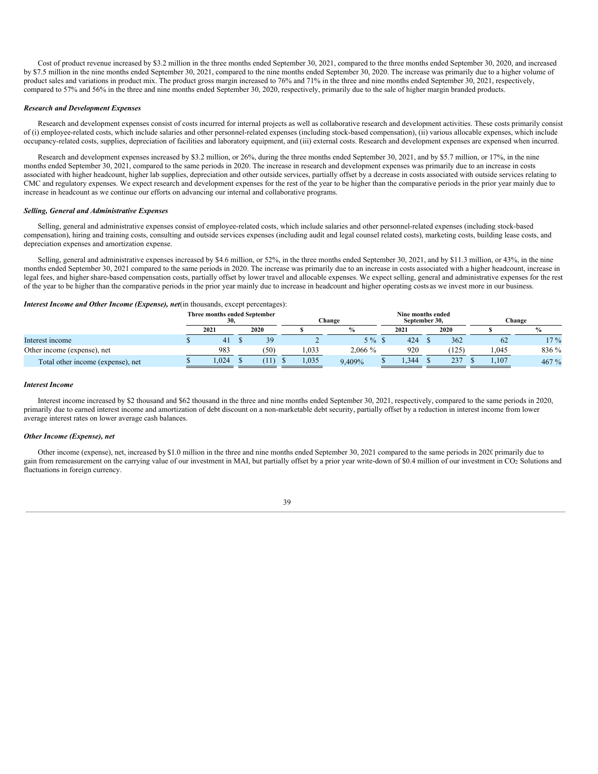Cost of product revenue increased by \$3.2 million in the three months ended September 30, 2021, compared to the three months ended September 30, 2020, and increased by \$7.5 million in the nine months ended September 30, 2021, compared to the nine months ended September 30, 2020. The increase was primarily due to a higher volume of product sales and variations in product mix. The product gross margin increased to 76% and 71% in the three and nine months ended September 30, 2021, respectively, compared to 57% and 56% in the three and nine months ended September 30, 2020, respectively, primarily due to the sale of higher margin branded products.

# *Research and Development Expenses*

Research and development expenses consist of costs incurred for internal projects as well as collaborative research and development activities. These costs primarily consist of (i) employee-related costs, which include salaries and other personnel-related expenses (including stock-based compensation), (ii) various allocable expenses, which include occupancy-related costs, supplies, depreciation of facilities and laboratory equipment, and (iii) external costs. Research and development expenses are expensed when incurred.

Research and development expenses increased by \$3.2 million, or 26%, during the three months ended September 30, 2021, and by \$5.7 million, or 17%, in the nine months ended September 30, 2021, compared to the same periods in 2020. The increase in research and development expenses was primarily due to an increase in costs associated with higher headcount, higher lab supplies, depreciation and other outside services, partially offset by a decrease in costs associated with outside services relating to CMC and regulatory expenses. We expect research and development expenses for the rest of the year to be higher than the comparative periods in the prior year mainly due to increase in headcount as we continue our efforts on advancing our internal and collaborative programs.

#### *Selling, General and Administrative Expenses*

Selling, general and administrative expenses consist of employee-related costs, which include salaries and other personnel-related expenses (including stock-based compensation), hiring and training costs, consulting and outside services expenses (including audit and legal counsel related costs), marketing costs, building lease costs, and depreciation expenses and amortization expense.

Selling, general and administrative expenses increased by \$4.6 million, or 52%, in the three months ended September 30, 2021, and by \$11.3 million, or 43%, in the nine months ended September 30, 2021 compared to the same periods in 2020. The increase was primarily due to an increase in costs associated with a higher headcount, increase in legal fees, and higher share-based compensation costs, partially offset by lower travel and allocable expenses. We expect selling, general and administrative expenses for the rest of the year to be higher than the comparative periods in the prior year mainly due to increase in headcount and higher operating costs as we invest more in our business.

# *Interest Income and Other Income (Expense), net*(in thousands, except percentages):

|                                   | Three months ended September<br>30, |      |       | Change        | Nine months ended<br>September 30. |       |       | Change |
|-----------------------------------|-------------------------------------|------|-------|---------------|------------------------------------|-------|-------|--------|
|                                   | 2021                                | 2020 |       | $\frac{0}{0}$ | 2021                               | 2020  |       |        |
| Interest income                   | 41                                  | 39   |       | $5\%$ \$      | 424                                | 362   | 62    | $17\%$ |
| Other income (expense), net       | 983                                 | (50) | 1,033 | $2.066\%$     | 920                                | (125) | 1.045 | 836 %  |
| Total other income (expense), net | 0.024                               | Ί1   | 1,035 | 9.409%        | .344                               | 237   | 1,107 | 467%   |

#### *Interest Income*

Interest income increased by \$2 thousand and \$62 thousand in the three and nine months ended September 30, 2021, respectively, compared to the same periods in 2020, primarily due to earned interest income and amortization of debt discount on a non-marketable debt security, partially offset by a reduction in interest income from lower average interest rates on lower average cash balances.

# *Other Income (Expense), net*

Other income (expense), net, increased by \$1.0 million in the three and nine months ended September 30, 2021 compared to the same periods in 2020 primarily due to gain from remeasurement on the carrying value of our investment in MAI, but partially offset by a prior year write-down of \$0.4 million of our investment in CO2 Solutions and fluctuations in foreign currency.

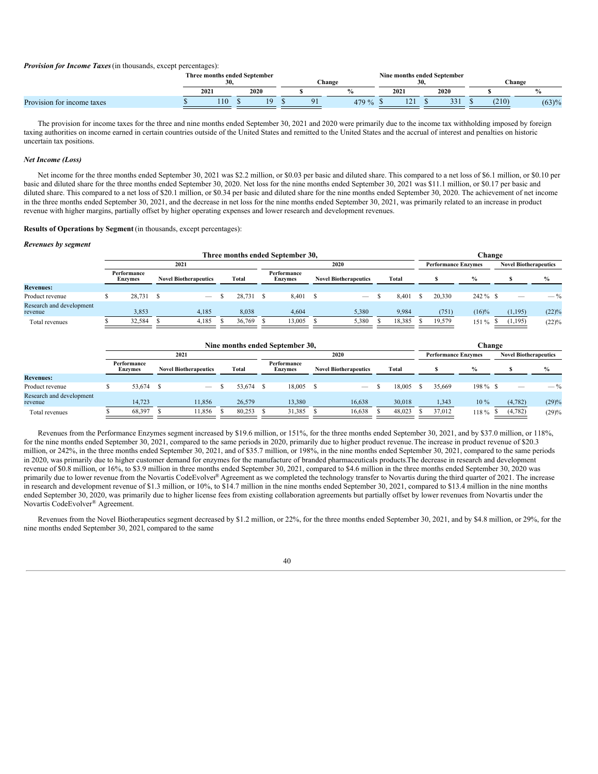*Provision for Income Taxes*(in thousands, except percentages):

|                            | Three months ended September<br>-30. |          |          | Change | Nine months ended September<br>JV. | 30 |      |       | . hange |
|----------------------------|--------------------------------------|----------|----------|--------|------------------------------------|----|------|-------|---------|
|                            | 2021                                 | 2020     |          |        | 2021                               |    | 2020 |       |         |
| Provision for income taxes | 110                                  | $\Omega$ | $\Omega$ | 479 %  | 1/1                                |    | 331  | (210) | (63)%   |

The provision for income taxes for the three and nine months ended September 30, 2021 and 2020 were primarily due to the income tax withholding imposed by foreign taxing authorities on income earned in certain countries outside of the United States and remitted to the United States and the accrual of interest and penalties on historic uncertain tax positions.

# *Net Income (Loss)*

Net income for the three months ended September 30, 2021 was \$2.2 million, or \$0.03 per basic and diluted share. This compared to a net loss of \$6.1 million, or \$0.10 per basic and diluted share for the three months ended September 30, 2020. Net loss for the nine months ended September 30, 2021 was \$11.1 million, or \$0.17 per basic and diluted share. This compared to a net loss of \$20.1 million, or \$0.34 per basic and diluted share for the nine months ended September 30, 2020. The achievement of net income in the three months ended September 30, 2021, and the decrease in net loss for the nine months ended September 30, 2021, was primarily related to an increase in product revenue with higher margins, partially offset by higher operating expenses and lower research and development revenues.

#### **Results of Operations by Segment** (in thousands, except percentages):

#### *Revenues by segment*

|                                     |                               |                              |        | Three months ended September 30. |                              |        |                            | Change        |                              |                |
|-------------------------------------|-------------------------------|------------------------------|--------|----------------------------------|------------------------------|--------|----------------------------|---------------|------------------------------|----------------|
|                                     |                               | 2021                         |        |                                  | 2020                         |        | <b>Performance Enzymes</b> |               | <b>Novel Biotherapeutics</b> |                |
|                                     | Performance<br><b>Enzymes</b> | <b>Novel Biotherapeutics</b> | Total  | Performance<br><b>Enzymes</b>    | <b>Novel Biotherapeutics</b> | Total  |                            | $\frac{0}{0}$ |                              | $\%$           |
| <b>Revenues:</b>                    |                               |                              |        |                                  |                              |        |                            |               |                              |                |
| Product revenue                     | 28,731 \$                     | $\overline{\phantom{m}}$     | 28,731 | 8.401                            |                              | 8.401  | 20,330                     | $242 \%$ \$   |                              | $-\frac{0}{6}$ |
| Research and development<br>revenue | 3.853                         | 4.185                        | 8,038  | 4.604                            | 5,380                        | 9.984  | (751)                      | $(16)\%$      | (1,195)                      | (22)%          |
| Total revenues                      | 32,584                        | 4,185                        | 36,769 | 13,005                           | 5,380                        | 18,385 | 19,579                     | 151%          | (1, 195)                     | (22)%          |

|                                     |                               |                                 |        | Nine months ended September 30, |                                 |        |                            |               | Change |                              |               |
|-------------------------------------|-------------------------------|---------------------------------|--------|---------------------------------|---------------------------------|--------|----------------------------|---------------|--------|------------------------------|---------------|
|                                     |                               | 2021                            |        |                                 | 2020                            |        | <b>Performance Enzymes</b> |               |        | <b>Novel Biotherapeutics</b> |               |
|                                     | Performance<br><b>Enzymes</b> | <b>Novel Biotherapeutics</b>    | Total  | Performance<br><b>Enzymes</b>   | <b>Novel Biotherapeutics</b>    | Total  |                            | $\frac{9}{0}$ |        |                              | $\frac{9}{6}$ |
| <b>Revenues:</b>                    |                               |                                 |        |                                 |                                 |        |                            |               |        |                              |               |
| Product revenue                     | 53,674 \$                     | $\hspace{0.1mm}-\hspace{0.1mm}$ | 53.674 | 18,005                          | $\hspace{0.1mm}-\hspace{0.1mm}$ | 18,005 | 35.669                     | $198\%$ \$    |        |                              | $-$ %         |
| Research and development<br>revenue | 14.723                        | 11.856                          | 26,579 | 13.380                          | 16,638                          | 30,018 | 1,343                      | 10 %          |        | (4,782)                      | (29)%         |
| Total revenues                      | 68,397                        | 11.856                          | 80.253 | 31,385                          | 16,638                          | 48,023 | 37.012                     | 118 %         |        | (4,782)                      | (29)%         |

Revenues from the Performance Enzymes segment increased by \$19.6 million, or 151%, for the three months ended September 30, 2021, and by \$37.0 million, or 118%, for the nine months ended September 30, 2021, compared to the same periods in 2020, primarily due to higher product revenue.The increase in product revenue of \$20.3 million, or 242%, in the three months ended September 30, 2021, and of \$35.7 million, or 198%, in the nine months ended September 30, 2021, compared to the same periods in 2020, was primarily due to higher customer demand for enzymes for the manufacture of branded pharmaceuticals products.The decrease in research and development revenue of \$0.8 million, or 16%, to \$3.9 million in three months ended September 30, 2021, compared to \$4.6 million in the three months ended September 30, 2020 was primarily due to lower revenue from the Novartis CodeEvolver® Agreement as we completed the technology transfer to Novartis during the third quarter of 2021. The increase in research and development revenue of \$1.3 million, or 10%, to \$14.7 million in the nine months ended September 30, 2021, compared to \$13.4 million in the nine months ended September 30, 2020, was primarily due to higher license fees from existing collaboration agreements but partially offset by lower revenues from Novartis under the Novartis CodeEvolver<sup>®</sup> Agreement.

Revenues from the Novel Biotherapeutics segment decreased by \$1.2 million, or 22%, for the three months ended September 30, 2021, and by \$4.8 million, or 29%, for the nine months ended September 30, 2021, compared to the same

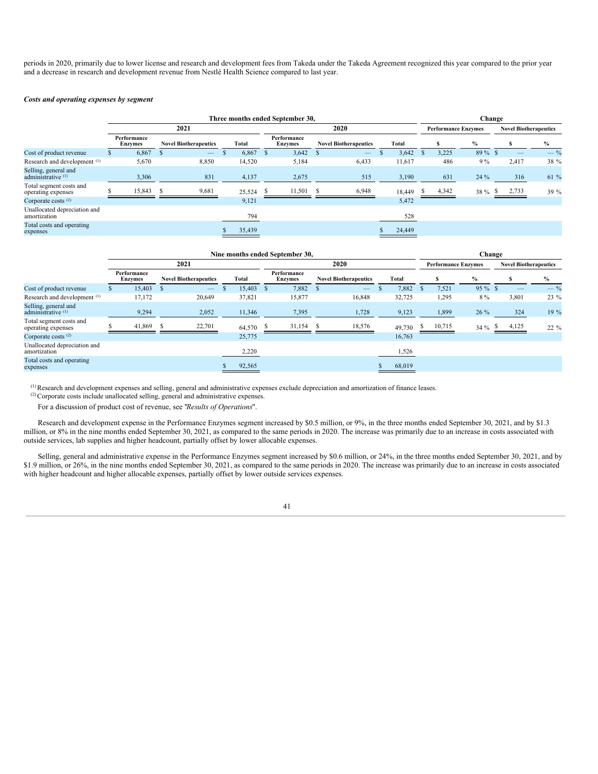periods in 2020, primarily due to lower license and research and development fees from Takeda under the Takeda Agreement recognized this year compared to the prior year and a decrease in research and development revenue from Nestlé Health Science compared to last year.

## *Costs and operating expenses by segment*

|                                               |                               |                              | Three months ended September 30, |                               |                              | Change |        |       |                            |                              |       |
|-----------------------------------------------|-------------------------------|------------------------------|----------------------------------|-------------------------------|------------------------------|--------|--------|-------|----------------------------|------------------------------|-------|
|                                               |                               | 2021                         |                                  |                               | 2020                         |        |        |       | <b>Performance Enzymes</b> | <b>Novel Biotherapeutics</b> |       |
|                                               | Performance<br><b>Enzymes</b> | <b>Novel Biotherapeutics</b> | Total                            | Performance<br><b>Enzymes</b> | <b>Novel Biotherapeutics</b> |        | Total  |       | $\%$                       | S                            | $\%$  |
| Cost of product revenue                       | 6,867                         |                              | 6,867                            | 3,642                         |                              |        | 3,642  | 3,225 | $89\%$ \$                  |                              | $-$ % |
| Research and development <sup>(1)</sup>       | 5,670                         | 8,850                        | 14,520                           | 5,184                         | 6,433                        |        | 11,617 | 486   | $9\%$                      | 2,417                        | 38 %  |
| Selling, general and<br>administrative $(1)$  | 3,306                         | 831                          | 4,137                            | 2,675                         | 515                          |        | 3,190  | 631   | 24 %                       | 316                          | 61 %  |
| Total segment costs and<br>operating expenses | 15,843                        | 9,681                        | 25,524                           | 11,501                        | 6,948                        |        | 18,449 | 4,342 | 38 %                       | 2,733                        | 39 %  |
| Corporate costs $(2)$                         |                               |                              | 9,121                            |                               |                              |        | 5,472  |       |                            |                              |       |
| Unallocated depreciation and<br>amortization  |                               |                              | 794                              |                               |                              |        | 528    |       |                            |                              |       |
| Total costs and operating<br>expenses         |                               |                              | 35,439                           |                               |                              |        | 24,449 |       |                            |                              |       |

|                                               |                               |                              |        |      | Nine months ended September 30, |                              |        |    |                            |               | Change  |       |                              |
|-----------------------------------------------|-------------------------------|------------------------------|--------|------|---------------------------------|------------------------------|--------|----|----------------------------|---------------|---------|-------|------------------------------|
|                                               |                               | 2021                         |        |      |                                 | 2020                         |        |    | <b>Performance Enzymes</b> |               |         |       | <b>Novel Biotherapeutics</b> |
|                                               | Performance<br><b>Enzymes</b> | <b>Novel Biotherapeutics</b> | Total  |      | Performance<br><b>Enzymes</b>   | <b>Novel Biotherapeutics</b> | Total  |    |                            | $\frac{0}{0}$ |         |       | $\frac{0}{0}$                |
| Cost of product revenue                       | 15,403                        |                              | 15,403 | - \$ | 7,882                           | $\qquad \qquad -$            | 7,882  |    | 7,521                      |               | 95 % \$ |       | $-$ %                        |
| Research and development <sup>(1)</sup>       | 17,172                        | 20,649                       | 37,821 |      | 15,877                          | 16,848                       | 32,725 |    | 1,295                      |               | 8 %     | 3,801 | 23 %                         |
| Selling, general and<br>administrative $(1)$  | 9,294                         | 2,052                        | 11,346 |      | 7,395                           | 1,728                        | 9,123  |    | 1,899                      |               | 26 %    | 324   | 19 %                         |
| Total segment costs and<br>operating expenses | 41,869                        | 22,701                       | 64,570 |      | 31,154                          | 18,576                       | 49,730 | Ъ. | 10,715                     |               | 34 % \$ | 4,125 | 22 %                         |
| Corporate costs $(2)$                         |                               |                              | 25,775 |      |                                 |                              | 16,763 |    |                            |               |         |       |                              |
| Unallocated depreciation and<br>amortization  |                               |                              | 2,220  |      |                                 |                              | 1,526  |    |                            |               |         |       |                              |
| Total costs and operating<br>expenses         |                               |                              | 92,565 |      |                                 |                              | 68,019 |    |                            |               |         |       |                              |

 $\alpha^{(1)}$  Research and development expenses and selling, general and administrative expenses exclude depreciation and amortization of finance leases.

 $(2)$  Corporate costs include unallocated selling, general and administrative expenses.

For a discussion of product cost of revenue, see "*Results of Operations*".

Research and development expense in the Performance Enzymes segment increased by \$0.5 million, or 9%, in the three months ended September 30, 2021, and by \$1.3 million, or 8% in the nine months ended September 30, 2021, as compared to the same periods in 2020. The increase was primarily due to an increase in costs associated with outside services, lab supplies and higher headcount, partially offset by lower allocable expenses.

Selling, general and administrative expense in the Performance Enzymes segment increased by \$0.6 million, or 24%, in the three months ended September 30, 2021, and by \$1.9 million, or 26%, in the nine months ended September 30, 2021, as compared to the same periods in 2020. The increase was primarily due to an increase in costs associated with higher headcount and higher allocable expenses, partially offset by lower outside services expenses.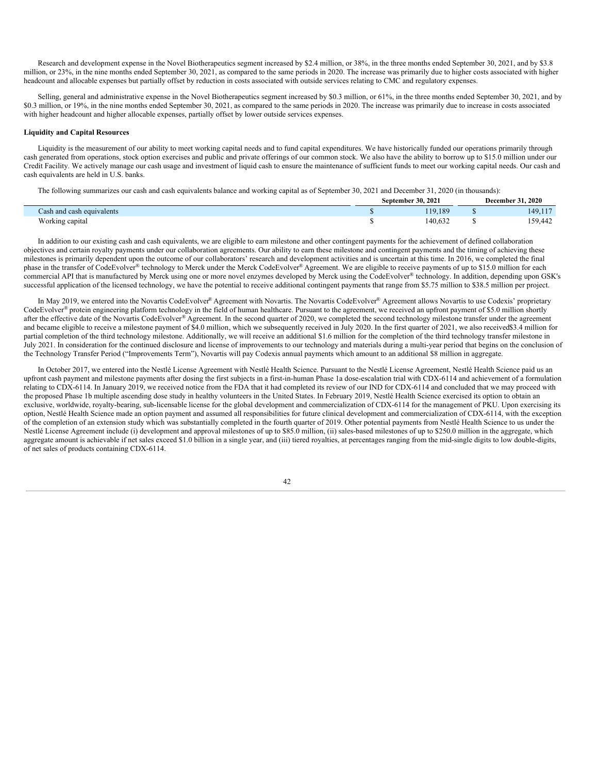Research and development expense in the Novel Biotherapeutics segment increased by \$2.4 million, or 38%, in the three months ended September 30, 2021, and by \$3.8 million, or 23%, in the nine months ended September 30, 2021, as compared to the same periods in 2020. The increase was primarily due to higher costs associated with higher headcount and allocable expenses but partially offset by reduction in costs associated with outside services relating to CMC and regulatory expenses.

Selling, general and administrative expense in the Novel Biotherapeutics segment increased by \$0.3 million, or 61%, in the three months ended September 30, 2021, and by \$0.3 million, or 19%, in the nine months ended September 30, 2021, as compared to the same periods in 2020. The increase was primarily due to increase in costs associated with higher headcount and higher allocable expenses, partially offset by lower outside services expenses.

# **Liquidity and Capital Resources**

Liquidity is the measurement of our ability to meet working capital needs and to fund capital expenditures. We have historically funded our operations primarily through cash generated from operations, stock option exercises and public and private offerings of our common stock. We also have the ability to borrow up to \$15.0 million under our Credit Facility. We actively manage our cash usage and investment of liquid cash to ensure the maintenance of sufficient funds to meet our working capital needs. Our cash and cash equivalents are held in U.S. banks.

The following summarizes our cash and cash equivalents balance and working capital as of September 30, 2021 and December 31, 2020 (in thousands): **September 30, 2021 December 31, 2020**

|                           |         | $PCC$ $H10C1$ $J1.2020$          |
|---------------------------|---------|----------------------------------|
| Cash and cash equivalents | 119.189 | $-1$ $-1$<br>149.11              |
| Working capital           | 40.632  | $\overline{1}$<br>-50<br>159,442 |

In addition to our existing cash and cash equivalents, we are eligible to earn milestone and other contingent payments for the achievement of defined collaboration objectives and certain royalty payments under our collaboration agreements. Our ability to earn these milestone and contingent payments and the timing of achieving these milestones is primarily dependent upon the outcome of our collaborators' research and development activities and is uncertain at this time. In 2016, we completed the final phase in the transfer of CodeEvolver® technology to Merck under the Merck CodeEvolver® Agreement. We are eligible to receive payments of up to \$15.0 million for each commercial API that is manufactured by Merck using one or more novel enzymes developed by Merck using the CodeEvolver® technology. In addition, depending upon GSK's successful application of the licensed technology, we have the potential to receive additional contingent payments that range from \$5.75 million to \$38.5 million per project.

In May 2019, we entered into the Novartis CodeEvolver® Agreement with Novartis. The Novartis CodeEvolver® Agreement allows Novartis to use Codexis' proprietary CodeEvolver® protein engineering platform technology in the field of human healthcare. Pursuant to the agreement, we received an upfront payment of \$5.0 million shortly after the effective date of the Novartis CodeEvolver® Agreement. In the second quarter of 2020, we completed the second technology milestone transfer under the agreement and became eligible to receive a milestone payment of \$4.0 million, which we subsequently received in July 2020. In the first quarter of 2021, we also received\$3.4 million for partial completion of the third technology milestone. Additionally, we will receive an additional \$1.6 million for the completion of the third technology transfer milestone in July 2021. In consideration for the continued disclosure and license of improvements to our technology and materials during a multi-year period that begins on the conclusion of the Technology Transfer Period ("Improvements Term"), Novartis will pay Codexis annual payments which amount to an additional \$8 million in aggregate.

In October 2017, we entered into the Nestlé License Agreement with Nestlé Health Science. Pursuant to the Nestlé License Agreement, Nestlé Health Science paid us an upfront cash payment and milestone payments after dosing the first subjects in a first-in-human Phase 1a dose-escalation trial with CDX-6114 and achievement of a formulation relating to CDX-6114. In January 2019, we received notice from the FDA that it had completed its review of our IND for CDX-6114 and concluded that we may proceed with the proposed Phase 1b multiple ascending dose study in healthy volunteers in the United States. In February 2019, Nestlé Health Science exercised its option to obtain an exclusive, worldwide, royalty-bearing, sub-licensable license for the global development and commercialization of CDX-6114 for the management of PKU. Upon exercising its option, Nestlé Health Science made an option payment and assumed all responsibilities for future clinical development and commercialization of CDX-6114, with the exception of the completion of an extension study which was substantially completed in the fourth quarter of 2019. Other potential payments from Nestlé Health Science to us under the Nestlé License Agreement include (i) development and approval milestones of up to \$85.0 million, (ii) sales-based milestones of up to \$250.0 million in the aggregate, which aggregate amount is achievable if net sales exceed \$1.0 billion in a single year, and (iii) tiered royalties, at percentages ranging from the mid-single digits to low double-digits, of net sales of products containing CDX-6114.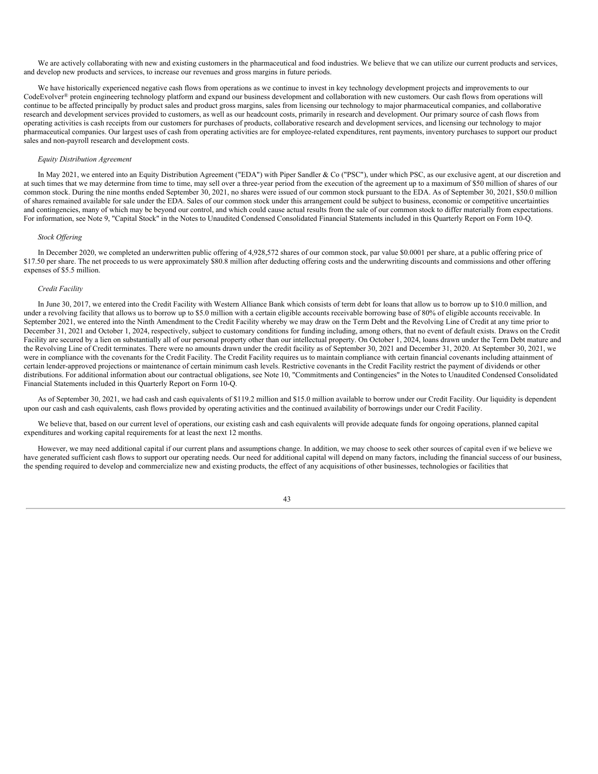We are actively collaborating with new and existing customers in the pharmaceutical and food industries. We believe that we can utilize our current products and services, and develop new products and services, to increase our revenues and gross margins in future periods.

We have historically experienced negative cash flows from operations as we continue to invest in key technology development projects and improvements to our CodeEvolver® protein engineering technology platform and expand our business development and collaboration with new customers. Our cash flows from operations will continue to be affected principally by product sales and product gross margins, sales from licensing our technology to major pharmaceutical companies, and collaborative research and development services provided to customers, as well as our headcount costs, primarily in research and development. Our primary source of cash flows from operating activities is cash receipts from our customers for purchases of products, collaborative research and development services, and licensing our technology to major pharmaceutical companies. Our largest uses of cash from operating activities are for employee-related expenditures, rent payments, inventory purchases to support our product sales and non-payroll research and development costs.

# *Equity Distribution Agreement*

In May 2021, we entered into an Equity Distribution Agreement ("EDA") with Piper Sandler & Co ("PSC"), under which PSC, as our exclusive agent, at our discretion and at such times that we may determine from time to time, may sell over a three-year period from the execution of the agreement up to a maximum of \$50 million of shares of our common stock. During the nine months ended September 30, 2021, no shares were issued of our common stock pursuant to the EDA. As of September 30, 2021, \$50.0 million of shares remained available for sale under the EDA. Sales of our common stock under this arrangement could be subject to business, economic or competitive uncertainties and contingencies, many of which may be beyond our control, and which could cause actual results from the sale of our common stock to differ materially from expectations. For information, see Note 9, "Capital Stock" in the Notes to Unaudited Condensed Consolidated Financial Statements included in this Quarterly Report on Form 10-Q.

# *Stock Of ering*

In December 2020, we completed an underwritten public offering of 4,928,572 shares of our common stock, par value \$0.0001 per share, at a public offering price of \$17.50 per share. The net proceeds to us were approximately \$80.8 million after deducting offering costs and the underwriting discounts and commissions and other offering expenses of \$5.5 million.

# *Credit Facility*

In June 30, 2017, we entered into the Credit Facility with Western Alliance Bank which consists of term debt for loans that allow us to borrow up to \$10.0 million, and under a revolving facility that allows us to borrow up to \$5.0 million with a certain eligible accounts receivable borrowing base of 80% of eligible accounts receivable. In September 2021, we entered into the Ninth Amendment to the Credit Facility whereby we may draw on the Term Debt and the Revolving Line of Credit at any time prior to December 31, 2021 and October 1, 2024, respectively, subject to customary conditions for funding including, among others, that no event of default exists. Draws on the Credit Facility are secured by a lien on substantially all of our personal property other than our intellectual property. On October 1, 2024, loans drawn under the Term Debt mature and the Revolving Line of Credit terminates. There were no amounts drawn under the credit facility as of September 30, 2021 and December 31, 2020. At September 30, 2021, we were in compliance with the covenants for the Credit Facility. The Credit Facility requires us to maintain compliance with certain financial covenants including attainment of certain lender-approved projections or maintenance of certain minimum cash levels. Restrictive covenants in the Credit Facility restrict the payment of dividends or other distributions. For additional information about our contractual obligations, see Note 10, "Commitments and Contingencies" in the Notes to Unaudited Condensed Consolidated Financial Statements included in this Quarterly Report on Form 10-Q.

As of September 30, 2021, we had cash and cash equivalents of \$119.2 million and \$15.0 million available to borrow under our Credit Facility. Our liquidity is dependent upon our cash and cash equivalents, cash flows provided by operating activities and the continued availability of borrowings under our Credit Facility.

We believe that, based on our current level of operations, our existing cash and cash equivalents will provide adequate funds for ongoing operations, planned capital expenditures and working capital requirements for at least the next 12 months.

However, we may need additional capital if our current plans and assumptions change. In addition, we may choose to seek other sources of capital even if we believe we have generated sufficient cash flows to support our operating needs. Our need for additional capital will depend on many factors, including the financial success of our business, the spending required to develop and commercialize new and existing products, the effect of any acquisitions of other businesses, technologies or facilities that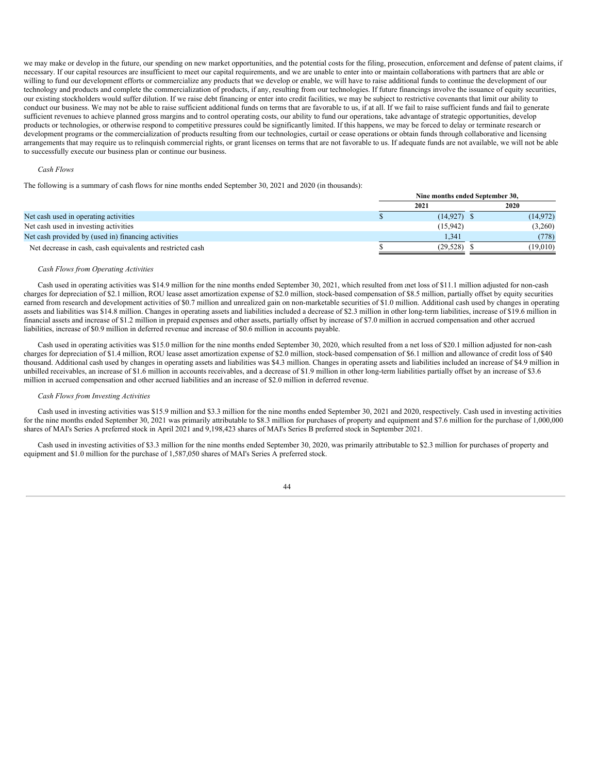we may make or develop in the future, our spending on new market opportunities, and the potential costs for the filing, prosecution, enforcement and defense of patent claims, if necessary. If our capital resources are insufficient to meet our capital requirements, and we are unable to enter into or maintain collaborations with partners that are able or willing to fund our development efforts or commercialize any products that we develop or enable, we will have to raise additional funds to continue the development of our technology and products and complete the commercialization of products, if any, resulting from our technologies. If future financings involve the issuance of equity securities, our existing stockholders would suffer dilution. If we raise debt financing or enter into credit facilities, we may be subject to restrictive covenants that limit our ability to conduct our business. We may not be able to raise sufficient additional funds on terms that are favorable to us, if at all. If we fail to raise sufficient funds and fail to generate sufficient revenues to achieve planned gross margins and to control operating costs, our ability to fund our operations, take advantage of strategic opportunities, develop products or technologies, or otherwise respond to competitive pressures could be significantly limited. If this happens, we may be forced to delay or terminate research or development programs or the commercialization of products resulting from our technologies, curtail or cease operations or obtain funds through collaborative and licensing arrangements that may require us to relinquish commercial rights, or grant licenses on terms that are not favorable to us. If adequate funds are not available, we will not be able to successfully execute our business plan or continue our business.

#### *Cash Flows*

The following is a summary of cash flows for nine months ended September 30, 2021 and 2020 (in thousands):

|                                                            | Nine months ended September 30, |           |
|------------------------------------------------------------|---------------------------------|-----------|
|                                                            | 2021                            | 2020      |
| Net cash used in operating activities                      | $(14, 927)$ \$                  | (14, 972) |
| Net cash used in investing activities                      | (15, 942)                       | (3,260)   |
| Net cash provided by (used in) financing activities        | 1.341                           | (778)     |
| Net decrease in cash, cash equivalents and restricted cash | (29, 528)                       | (19,010)  |

#### *Cash Flows from Operating Activities*

Cash used in operating activities was \$14.9 million for the nine months ended September 30, 2021, which resulted from anet loss of \$11.1 million adjusted for non-cash charges for depreciation of \$2.1 million, ROU lease asset amortization expense of \$2.0 million, stock-based compensation of \$8.5 million, partially offset by equity securities earned from research and development activities of \$0.7 million and unrealized gain on non-marketable securities of \$1.0 million. Additional cash used by changes in operating assets and liabilities was \$14.8 million. Changes in operating assets and liabilities included a decrease of \$2.3 million in other long-term liabilities, increase of \$19.6 million in financial assets and increase of \$1.2 million in prepaid expenses and other assets, partially offset by increase of \$7.0 million in accrued compensation and other accrued liabilities, increase of \$0.9 million in deferred revenue and increase of \$0.6 million in accounts payable.

Cash used in operating activities was \$15.0 million for the nine months ended September 30, 2020, which resulted from a net loss of \$20.1 million adjusted for non-cash charges for depreciation of \$1.4 million, ROU lease asset amortization expense of \$2.0 million, stock-based compensation of \$6.1 million and allowance of credit loss of \$40 thousand. Additional cash used by changes in operating assets and liabilities was \$4.3 million. Changes in operating assets and liabilities included an increase of \$4.9 million in unbilled receivables, an increase of \$1.6 million in accounts receivables, and a decrease of \$1.9 million in other long-term liabilities partially offset by an increase of \$3.6 million in accrued compensation and other accrued liabilities and an increase of \$2.0 million in deferred revenue.

#### *Cash Flows from Investing Activities*

Cash used in investing activities was \$15.9 million and \$3.3 million for the nine months ended September 30, 2021 and 2020, respectively. Cash used in investing activities for the nine months ended September 30, 2021 was primarily attributable to \$8.3 million for purchases of property and equipment and \$7.6 million for the purchase of 1,000,000 shares of MAI's Series A preferred stock in April 2021 and 9,198,423 shares of MAI's Series B preferred stock in September 2021.

Cash used in investing activities of \$3.3 million for the nine months ended September 30, 2020, was primarily attributable to \$2.3 million for purchases of property and equipment and \$1.0 million for the purchase of 1,587,050 shares of MAI's Series A preferred stock.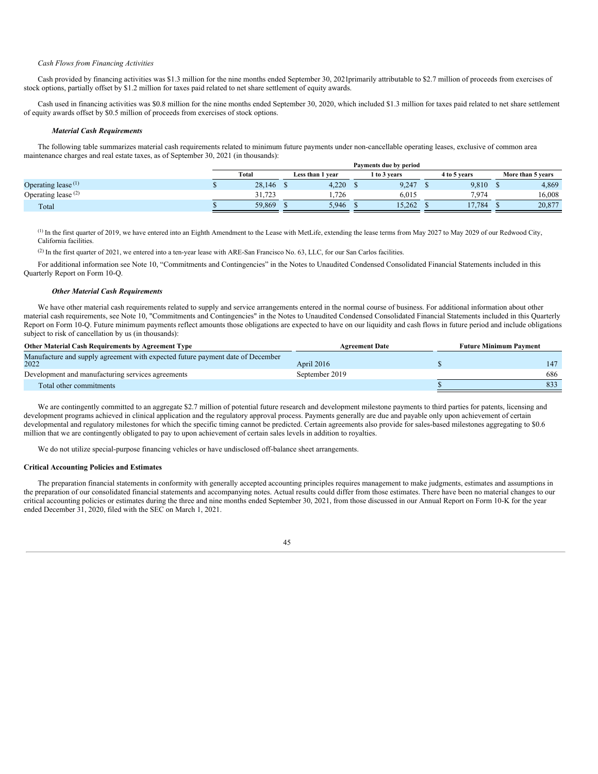#### *Cash Flows from Financing Activities*

Cash provided by financing activities was \$1.3 million for the nine months ended September 30, 2021primarily attributable to \$2.7 million of proceeds from exercises of stock options, partially offset by \$1.2 million for taxes paid related to net share settlement of equity awards.

Cash used in financing activities was \$0.8 million for the nine months ended September 30, 2020, which included \$1.3 million for taxes paid related to net share settlement of equity awards offset by \$0.5 million of proceeds from exercises of stock options.

#### *Material Cash Requirements*

The following table summarizes material cash requirements related to minimum future payments under non-cancellable operating leases, exclusive of common area maintenance charges and real estate taxes, as of September 30, 2021 (in thousands):

|                       |        |                  | Payments due by period |              |                   |
|-----------------------|--------|------------------|------------------------|--------------|-------------------|
|                       | Total  | Less than 1 year | 1 to 3 years           | 4 to 5 years | More than 5 years |
| Operating lease $(1)$ | 28,146 | 4.220            | 9.247                  | 9,810        | 4,869             |
| Operating lease $(2)$ | 31.723 | 1.726            | 6.015                  | 7.974        | 16.008            |
| Total                 | 59.869 | 5.946            | 15.262                 | 17.784       | 20.877            |

 $\alpha$ ) In the first quarter of 2019, we have entered into an Eighth Amendment to the Lease with MetLife, extending the lease terms from May 2027 to May 2029 of our Redwood City, California facilities.

(2) In the first quarter of 2021, we entered into a ten-year lease with ARE-San Francisco No. 63, LLC, for our San Carlos facilities.

For additional information see Note 10, "Commitments and Contingencies" in the Notes to Unaudited Condensed Consolidated Financial Statements included in this Quarterly Report on Form 10-Q.

# *Other Material Cash Requirements*

We have other material cash requirements related to supply and service arrangements entered in the normal course of business. For additional information about other material cash requirements, see Note 10, "Commitments and Contingencies" in the Notes to Unaudited Condensed Consolidated Financial Statements included in this Quarterly Report on Form 10-Q. Future minimum payments reflect amounts those obligations are expected to have on our liquidity and cash flows in future period and include obligations subject to risk of cancellation by us (in thousands):

| <b>Other Material Cash Requirements by Agreement Type</b>                      | <b>Agreement Date</b> | <b>Future Minimum Payment</b> |
|--------------------------------------------------------------------------------|-----------------------|-------------------------------|
| Manufacture and supply agreement with expected future payment date of December |                       |                               |
| 2022                                                                           | April 2016            |                               |
| Development and manufacturing services agreements                              | September 2019        | 686                           |
| Total other commitments                                                        |                       |                               |

We are contingently committed to an aggregate \$2.7 million of potential future research and development milestone payments to third parties for patents, licensing and development programs achieved in clinical application and the regulatory approval process. Payments generally are due and payable only upon achievement of certain developmental and regulatory milestones for which the specific timing cannot be predicted. Certain agreements also provide for sales-based milestones aggregating to \$0.6 million that we are contingently obligated to pay to upon achievement of certain sales levels in addition to royalties.

We do not utilize special-purpose financing vehicles or have undisclosed off-balance sheet arrangements.

#### **Critical Accounting Policies and Estimates**

<span id="page-44-0"></span>The preparation financial statements in conformity with generally accepted accounting principles requires management to make judgments, estimates and assumptions in the preparation of our consolidated financial statements and accompanying notes. Actual results could differ from those estimates. There have been no material changes to our critical accounting policies or estimates during the three and nine months ended September 30, 2021, from those discussed in our Annual Report on Form 10-K for the year ended December 31, 2020, filed with the SEC on March 1, 2021.

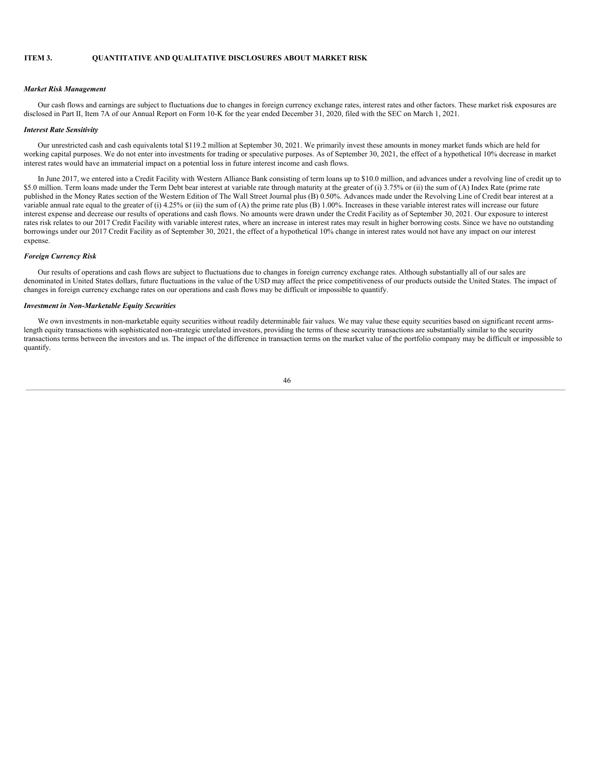# **ITEM 3. QUANTITATIVE AND QUALITATIVE DISCLOSURES ABOUT MARKET RISK**

#### *Market Risk Management*

Our cash flows and earnings are subject to fluctuations due to changes in foreign currency exchange rates, interest rates and other factors. These market risk exposures are disclosed in Part II, Item 7A of our Annual Report on Form 10-K for the year ended December 31, 2020, filed with the SEC on March 1, 2021.

# *Interest Rate Sensitivity*

Our unrestricted cash and cash equivalents total \$119.2 million at September 30, 2021. We primarily invest these amounts in money market funds which are held for working capital purposes. We do not enter into investments for trading or speculative purposes. As of September 30, 2021, the effect of a hypothetical 10% decrease in market interest rates would have an immaterial impact on a potential loss in future interest income and cash flows.

In June 2017, we entered into a Credit Facility with Western Alliance Bank consisting of term loans up to \$10.0 million, and advances under a revolving line of credit up to \$5.0 million. Term loans made under the Term Debt bear interest at variable rate through maturity at the greater of (i) 3.75% or (ii) the sum of (A) Index Rate (prime rate published in the Money Rates section of the Western Edition of The Wall Street Journal plus (B) 0.50%. Advances made under the Revolving Line of Credit bear interest at a variable annual rate equal to the greater of (i) 4.25% or (ii) the sum of (A) the prime rate plus (B) 1.00%. Increases in these variable interest rates will increase our future interest expense and decrease our results of operations and cash flows. No amounts were drawn under the Credit Facility as of September 30, 2021. Our exposure to interest rates risk relates to our 2017 Credit Facility with variable interest rates, where an increase in interest rates may result in higher borrowing costs. Since we have no outstanding borrowings under our 2017 Credit Facility as of September 30, 2021, the effect of a hypothetical 10% change in interest rates would not have any impact on our interest expense.

# *Foreign Currency Risk*

Our results of operations and cash flows are subject to fluctuations due to changes in foreign currency exchange rates. Although substantially all of our sales are denominated in United States dollars, future fluctuations in the value of the USD may affect the price competitiveness of our products outside the United States. The impact of changes in foreign currency exchange rates on our operations and cash flows may be difficult or impossible to quantify.

# *Investment in Non-Marketable Equity Securities*

<span id="page-45-0"></span>We own investments in non-marketable equity securities without readily determinable fair values. We may value these equity securities based on significant recent armslength equity transactions with sophisticated non-strategic unrelated investors, providing the terms of these security transactions are substantially similar to the security transactions terms between the investors and us. The impact of the difference in transaction terms on the market value of the portfolio company may be difficult or impossible to quantify.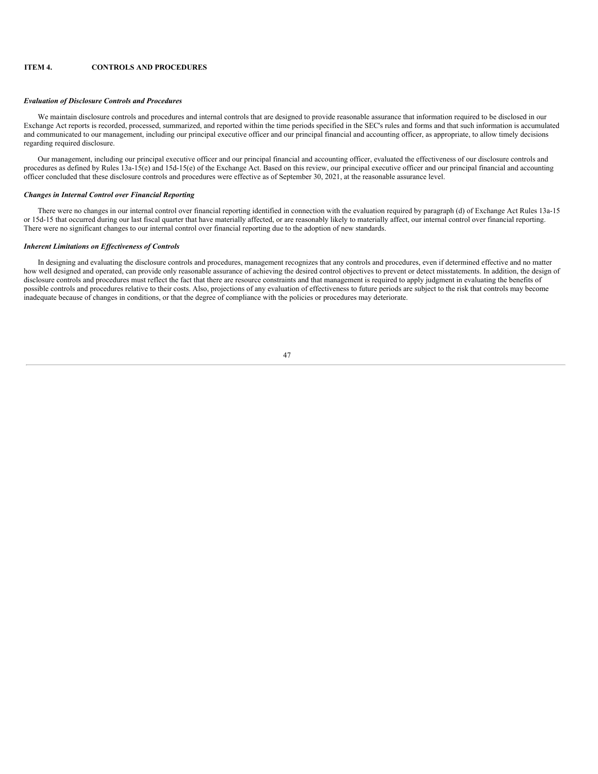# **ITEM 4. CONTROLS AND PROCEDURES**

## *Evaluation of Disclosure Controls and Procedures*

We maintain disclosure controls and procedures and internal controls that are designed to provide reasonable assurance that information required to be disclosed in our Exchange Act reports is recorded, processed, summarized, and reported within the time periods specified in the SEC's rules and forms and that such information is accumulated and communicated to our management, including our principal executive officer and our principal financial and accounting officer, as appropriate, to allow timely decisions regarding required disclosure.

Our management, including our principal executive officer and our principal financial and accounting officer, evaluated the effectiveness of our disclosure controls and procedures as defined by Rules 13a-15(e) and 15d-15(e) of the Exchange Act. Based on this review, our principal executive officer and our principal financial and accounting officer concluded that these disclosure controls and procedures were effective as of September 30, 2021, at the reasonable assurance level.

#### *Changes in Internal Control over Financial Reporting*

There were no changes in our internal control over financial reporting identified in connection with the evaluation required by paragraph (d) of Exchange Act Rules 13a-15 or 15d-15 that occurred during our last fiscal quarter that have materially affected, or are reasonably likely to materially affect, our internal control over financial reporting. There were no significant changes to our internal control over financial reporting due to the adoption of new standards.

# *Inherent Limitations on Ef ectiveness of Controls*

<span id="page-46-0"></span>In designing and evaluating the disclosure controls and procedures, management recognizes that any controls and procedures, even if determined effective and no matter how well designed and operated, can provide only reasonable assurance of achieving the desired control objectives to prevent or detect misstatements. In addition, the design of disclosure controls and procedures must reflect the fact that there are resource constraints and that management is required to apply judgment in evaluating the benefits of possible controls and procedures relative to their costs. Also, projections of any evaluation of effectiveness to future periods are subject to the risk that controls may become inadequate because of changes in conditions, or that the degree of compliance with the policies or procedures may deteriorate.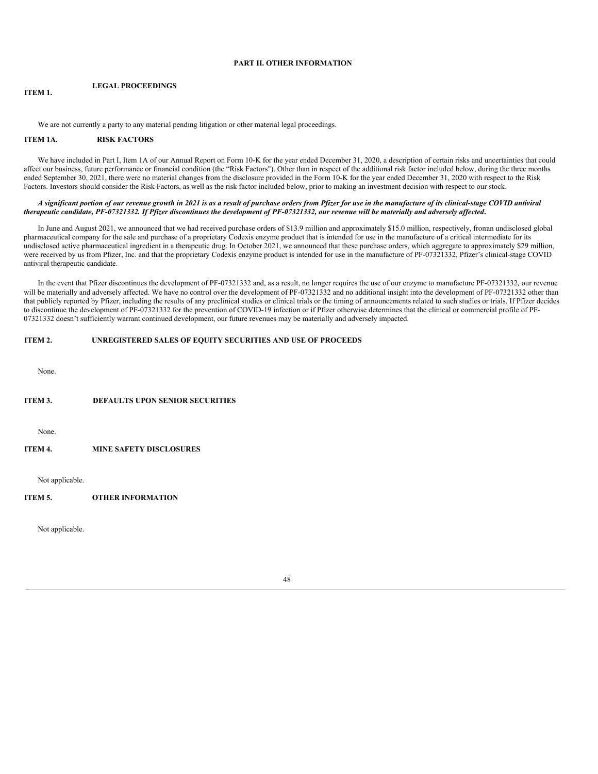# **PART II. OTHER INFORMATION**

#### <span id="page-47-0"></span>**ITEM 1. LEGAL PROCEEDINGS**

We are not currently a party to any material pending litigation or other material legal proceedings.

# <span id="page-47-1"></span>**ITEM 1A. RISK FACTORS**

We have included in Part I, Item 1A of our Annual Report on Form 10-K for the year ended December 31, 2020, a description of certain risks and uncertainties that could affect our business, future performance or financial condition (the "Risk Factors"). Other than in respect of the additional risk factor included below, during the three months ended September 30, 2021, there were no material changes from the disclosure provided in the Form 10-K for the year ended December 31, 2020 with respect to the Risk Factors. Investors should consider the Risk Factors, as well as the risk factor included below, prior to making an investment decision with respect to our stock.

# A significant portion of our revenue growth in 2021 is as a result of purchase orders from Pfizer for use in the manufacture of its clinical-stage COVID antiviral therapeutic candidate, PF-07321332. If Pfizer discontinues the development of PF-07321332, our revenue will be materially and adversely affected.

In June and August 2021, we announced that we had received purchase orders of \$13.9 million and approximately \$15.0 million, respectively, froman undisclosed global pharmaceutical company for the sale and purchase of a proprietary Codexis enzyme product that is intended for use in the manufacture of a critical intermediate for its undisclosed active pharmaceutical ingredient in a therapeutic drug. In October 2021, we announced that these purchase orders, which aggregate to approximately \$29 million, were received by us from Pfizer, Inc. and that the proprietary Codexis enzyme product is intended for use in the manufacture of PF-07321332, Pfizer's clinical-stage COVID antiviral therapeutic candidate.

In the event that Pfizer discontinues the development of PF-07321332 and, as a result, no longer requires the use of our enzyme to manufacture PF-07321332, our revenue will be materially and adversely affected. We have no control over the development of PF-07321332 and no additional insight into the development of PF-07321332 other than that publicly reported by Pfizer, including the results of any preclinical studies or clinical trials or the timing of announcements related to such studies or trials. If Pfizer decides to discontinue the development of PF-07321332 for the prevention of COVID-19 infection or if Pfizer otherwise determines that the clinical or commercial profile of PF-07321332 doesn't sufficiently warrant continued development, our future revenues may be materially and adversely impacted.

# <span id="page-47-2"></span>**ITEM 2. UNREGISTERED SALES OF EQUITY SECURITIES AND USE OF PROCEEDS**

None.

## <span id="page-47-3"></span>**ITEM 3. DEFAULTS UPON SENIOR SECURITIES**

None.

# <span id="page-47-4"></span>**ITEM 4. MINE SAFETY DISCLOSURES**

Not applicable.

# <span id="page-47-5"></span>**ITEM 5. OTHER INFORMATION**

<span id="page-47-6"></span>Not applicable.

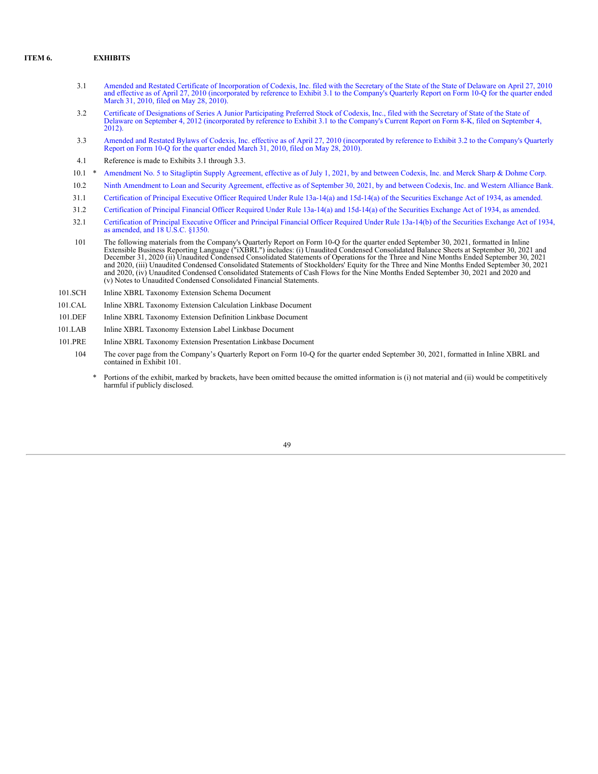# **ITEM 6. EXHIBITS**

- 3.1 Amended and Restated Certificate of [Incorporation](http://www.sec.gov/Archives/edgar/data/1200375/000095013010000138/dex31.htm) of Codexis, Inc. filed with the Secretary of the State of the State of Delaware on April 27, 2010 and effective as of April 27, 2010 (incorporated by reference to Exhibit 3.1 to the Company's Quarterly Report on Form 10-Q for the quarter ended March 31, 2010, filed on May 28, 2010).
- 3.2 Certificate of Designations of Series A Junior Participating Preferred Stock of Codexis, Inc., filed with the Secretary of State of the State of Delaware on September 4, 2012 [\(incorporated](http://www.sec.gov/Archives/edgar/data/1200375/000119312512378221/d405085dex31.htm) by reference to Exhibit 3.1 to the Company's Current Report on Form 8-K, filed on September 4, 2012).
- 3.3 Amended and Restated Bylaws of Codexis, Inc. effective as of April 27, 2010 [\(incorporated](http://www.sec.gov/Archives/edgar/data/1200375/000095013010000138/dex32.htm) by reference to Exhibit 3.2 to the Company's Quarterly Report on Form 10-Q for the quarter ended March 31, 2010, filed on May 28
- 4.1 Reference is made to Exhibits 3.1 through 3.3.
- 10.1 \* [Amendment](#page-52-0) No. 5 to Sitagliptin Supply Agreement, effective as of July 1, 2021, by and between Codexis, Inc. and Merck Sharp & Dohme Corp.
- 10.2 Ninth [Amendment](#page-57-0) to Loan and Security Agreement, effective as of September 30, 2021, by and between Codexis, Inc. and Western Alliance Bank.
- 31.1 [Certification](#page-59-0) of Principal Executive Officer Required Under Rule 13a-14(a) and 15d-14(a) of the Securities Exchange Act of 1934, as amended.
- 31.2 [Certification](#page-60-0) of Principal Financial Officer Required Under Rule 13a-14(a) and 15d-14(a) of the Securities Exchange Act of 1934, as amended.
- 32.1 [Certification](#page-61-0) of Principal Executive Officer and Principal Financial Officer Required Under Rule 13a-14(b) of the Securities Exchange Act of 1934, as amended, and 18 U.S.C. §1350.
- 101 The following materials from the Company's Quarterly Report on Form 10-Q for the quarter ended September 30, 2021, formatted in Inline<br>Extensible Business Reporting Language ("iXBRL") includes: (i) Unaudited Condensed December 31, 2020 (ii) Unaudited Condensed Consolidated Statements of Operations for the Three and Nine Months Ended September 30, 2021 and 2020, (iii) Unaudited Condensed Consolidated Statements of Stockholders' Equity for the Three and Nine Months Ended September 30, 2021 and 2020, (iv) Unaudited Condensed Consolidated Statements of Cash Flows for the Nine Months Ended September 30, 2021 and 2020 and (v) Notes to Unaudited Condensed Consolidated Financial Statements.
- 101.SCH Inline XBRL Taxonomy Extension Schema Document
- 101.CAL Inline XBRL Taxonomy Extension Calculation Linkbase Document
- 101.DEF Inline XBRL Taxonomy Extension Definition Linkbase Document
- 101.LAB Inline XBRL Taxonomy Extension Label Linkbase Document
- <span id="page-48-0"></span>101.PRE Inline XBRL Taxonomy Extension Presentation Linkbase Document
	- 104 The cover page from the Company's Quarterly Report on Form 10-Q for the quarter ended September 30, 2021, formatted in Inline XBRL and contained in Exhibit 101.
		- Portions of the exhibit, marked by brackets, have been omitted because the omitted information is (i) not material and (ii) would be competitively harmful if publicly disclosed.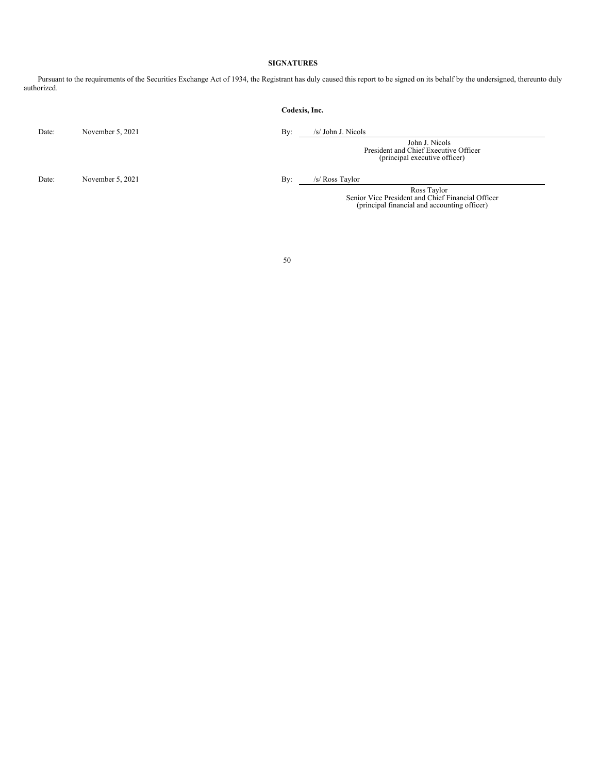# **SIGNATURES**

Pursuant to the requirements of the Securities Exchange Act of 1934, the Registrant has duly caused this report to be signed on its behalf by the undersigned, thereunto duly authorized.

|       |                  | Codexis, Inc. |                                                                                                                  |
|-------|------------------|---------------|------------------------------------------------------------------------------------------------------------------|
| Date: | November 5, 2021 | By:           | /s/ John J. Nicols                                                                                               |
|       |                  |               | John J. Nicols<br>President and Chief Executive Officer<br>(principal executive officer)                         |
| Date: | November 5, 2021 | By:           | /s/ Ross Taylor                                                                                                  |
|       |                  |               | Ross Taylor<br>Senior Vice President and Chief Financial Officer<br>(principal financial and accounting officer) |
|       |                  |               |                                                                                                                  |
|       |                  |               |                                                                                                                  |
|       |                  | 50            |                                                                                                                  |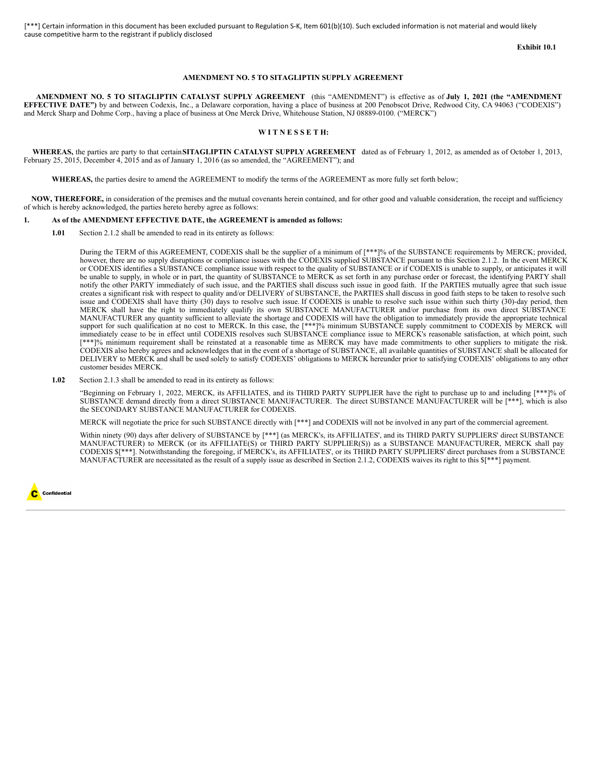**Exhibit 10.1**

#### **AMENDMENT NO. 5 TO SITAGLIPTIN SUPPLY AGREEMENT**

**AMENDMENT NO. 5 TO SITAGLIPTIN CATALYST SUPPLY AGREEMENT** (this "AMENDMENT") is effective as of **July 1, 2021 (the "AMENDMENT EFFECTIVE DATE")** by and between Codexis, Inc., a Delaware corporation, having a place of business at 200 Penobscot Drive, Redwood City, CA 94063 ("CODEXIS") and Merck Sharp and Dohme Corp., having a place of business at One Merck Drive, Whitehouse Station, NJ 08889-0100. ("MERCK")

#### **W I T N E S S E T H:**

**WHEREAS,** the parties are party to that certain**SITAGLIPTIN CATALYST SUPPLY AGREEMENT** dated as of February 1, 2012, as amended as of October 1, 2013, February 25, 2015, December 4, 2015 and as of January 1, 2016 (as so amended, the "AGREEMENT"); and

**WHEREAS,** the parties desire to amend the AGREEMENT to modify the terms of the AGREEMENT as more fully set forth below;

**NOW, THEREFORE,** in consideration of the premises and the mutual covenants herein contained, and for other good and valuable consideration, the receipt and sufficiency of which is hereby acknowledged, the parties hereto hereby agree as follows:

# **1. As of the AMENDMENT EFFECTIVE DATE, the AGREEMENT is amended as follows:**

**1.01** Section 2.1.2 shall be amended to read in its entirety as follows:

During the TERM of this AGREEMENT, CODEXIS shall be the supplier of a minimum of [\*\*\*]% of the SUBSTANCE requirements by MERCK; provided, however, there are no supply disruptions or compliance issues with the CODEXIS supplied SUBSTANCE pursuant to this Section 2.1.2. In the event MERCK or CODEXIS identifies a SUBSTANCE compliance issue with respect to the quality of SUBSTANCE or if CODEXIS is unable to supply, or anticipates it will be unable to supply, in whole or in part, the quantity of SUBSTANCE to MERCK as set forth in any purchase order or forecast, the identifying PARTY shall notify the other PARTY immediately of such issue, and the PARTIES shall discuss such issue in good faith. If the PARTIES mutually agree that such issue creates a significant risk with respect to quality and/or DELIVERY of SUBSTANCE, the PARTIES shall discuss in good faith steps to be taken to resolve such issue and CODEXIS shall have thirty (30) days to resolve such issue. If CODEXIS is unable to resolve such issue within such thirty (30)-day period, then MERCK shall have the right to immediately qualify its own SUBSTANCE MANUFACTURER and/or purchase from its own direct SUBSTANCE MANUFACTURER any quantity sufficient to alleviate the shortage and CODEXIS will have the obligation to immediately provide the appropriate technical support for such qualification at no cost to MERCK. In this case, the [\*\*\*]% minimum SUBSTANCE supply commitment to CODEXIS by MERCK will immediately cease to be in effect until CODEXIS resolves such SUBSTANCE compliance issue to MERCK's reasonable satisfaction, at which point, such [\*\*\*]% minimum requirement shall be reinstated at a reasonable time as MERCK may have made commitments to other suppliers to mitigate the risk. CODEXIS also hereby agrees and acknowledges that in the event of a shortage of SUBSTANCE, all available quantities of SUBSTANCE shall be allocated for DELIVERY to MERCK and shall be used solely to satisfy CODEXIS' obligations to MERCK hereunder prior to satisfying CODEXIS' obligations to any other customer besides MERCK.

**1.02** Section 2.1.3 shall be amended to read in its entirety as follows:

"Beginning on February 1, 2022, MERCK, its AFFILIATES, and its THIRD PARTY SUPPLIER have the right to purchase up to and including [\*\*\*]% of SUBSTANCE demand directly from a direct SUBSTANCE MANUFACTURER. The direct SUBSTANCE MANUFACTURER will be [\*\*\*], which is also the SECONDARY SUBSTANCE MANUFACTURER for CODEXIS.

MERCK will negotiate the price for such SUBSTANCE directly with [\*\*\*] and CODEXIS will not be involved in any part of the commercial agreement.

Within ninety (90) days after delivery of SUBSTANCE by [\*\*\*] (as MERCK's, its AFFILIATES', and its THIRD PARTY SUPPLIERS' direct SUBSTANCE MANUFACTURER) to MERCK (or its AFFILIATE(S) or THIRD PARTY SUPPLIER(S)) as a SUBSTANCE MANUFACTURER, MERCK shall pay CODEXIS \$[\*\*\*]. Notwithstanding the foregoing, if MERCK's, its AFFILIATES', or its THIRD PARTY SUPPLIERS' direct purchases from a SUBSTANCE MANUFACTURER are necessitated as the result of a supply issue as described in Section 2.1.2, CODEXIS waives its right to this \$[\*\*\*] payment.

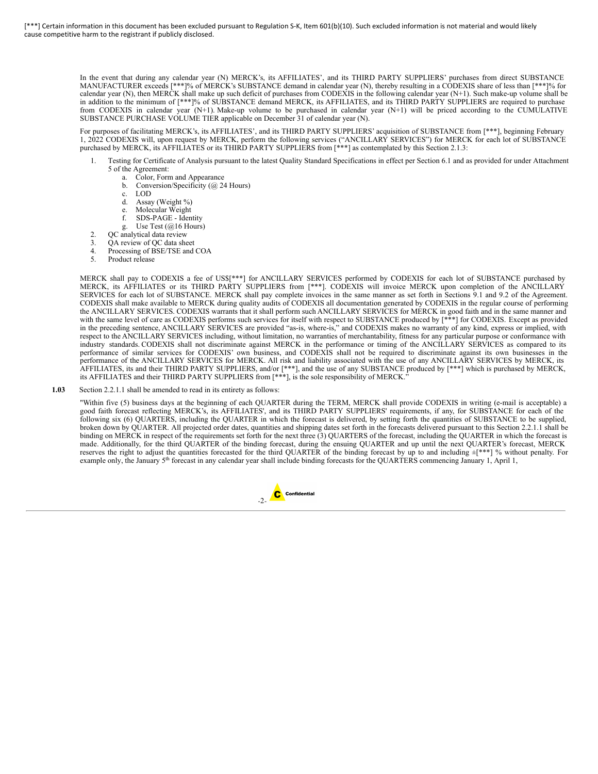> In the event that during any calendar year (N) MERCK's, its AFFILIATES', and its THIRD PARTY SUPPLIERS' purchases from direct SUBSTANCE MANUFACTURER exceeds [\*\*\*]% of MERCK's SUBSTANCE demand in calendar year (N), thereby resulting in a CODEXIS share of less than [\*\*\*]% for calendar year (N), then MERCK shall make up such deficit of purchases from CODEXIS in the following calendar year (N+1). Such make-up volume shall be in addition to the minimum of [\*\*\*]% of SUBSTANCE demand MERCK, its AFFILIATES, and its THIRD PARTY SUPPLIERS are required to purchase from CODEXIS in calendar year (N+1). Make-up volume to be purchased in calendar year (N+1) will be priced according to the CUMULATIVE SUBSTANCE PURCHASE VOLUME TIER applicable on December 31 of calendar year (N).

> For purposes of facilitating MERCK's, its AFFILIATES', and its THIRD PARTY SUPPLIERS' acquisition of SUBSTANCE from [\*\*\*], beginning February 1, 2022 CODEXIS will, upon request by MERCK, perform the following services ("ANCILLARY SERVICES") for MERCK for each lot of SUBSTANCE purchased by MERCK, its AFFILIATES or its THIRD PARTY SUPPLIERS from [\*\*\*] as contemplated by this Section 2.1.3:

- 1. Testing for Certificate of Analysis pursuant to the latest Quality Standard Specifications in effect per Section 6.1 and as provided for under Attachment 5 of the Agreement:
	- a. Color, Form and Appearance
		- b. Conversion/Specificity (@ 24 Hours)
		- c. LOD
		- d. Assay (Weight %)
		-
		- e. Molecular Weight<br>f SDS-PAGE Iden SDS-PAGE - Identity
	- g. Use Test (@16 Hours)
	-
- 2. QC analytical data review<br>3. QA review of QC data she
- 3. QA review of QC data sheet<br>4 Processing of BSE/TSE and Processing of BSE/TSE and COA
- 5. Product release

MERCK shall pay to CODEXIS a fee of US\$[\*\*\*] for ANCILLARY SERVICES performed by CODEXIS for each lot of SUBSTANCE purchased by MERCK, its AFFILIATES or its THIRD PARTY SUPPLIERS from [\*\*\*]. CODEXIS will invoice MERCK upon completion of the ANCILLARY SERVICES for each lot of SUBSTANCE. MERCK shall pay complete invoices in the same manner as set forth in Sections 9.1 and 9.2 of the Agreement. CODEXIS shall make available to MERCK during quality audits of CODEXIS all documentation generated by CODEXIS in the regular course of performing the ANCILLARY SERVICES. CODEXIS warrants that it shall perform such ANCILLARY SERVICES for MERCK in good faith and in the same manner and with the same level of care as CODEXIS performs such services for itself with respect to SUBSTANCE produced by [\*\*\*] for CODEXIS. Except as provided in the preceding sentence, ANCILLARY SERVICES are provided "as-is, where-is," and CODEXIS makes no warranty of any kind, express or implied, with respect to the ANCILLARY SERVICES including, without limitation, no warranties of merchantability, fitness for any particular purpose or conformance with industry standards. CODEXIS shall not discriminate against MERCK in the performance or timing of the ANCILLARY SERVICES as compared to its performance of similar services for CODEXIS' own business, and CODEXIS shall not be required to discriminate against its own businesses in the performance of the ANCILLARY SERVICES for MERCK. All risk and liability associated with the use of any ANCILLARY SERVICES by MERCK, its AFFILIATES, its and their THIRD PARTY SUPPLIERS, and/or [\*\*\*], and the use of any SUBSTANCE produced by [\*\*\*] which is purchased by MERCK, its AFFILIATES and their THIRD PARTY SUPPLIERS from [\*\*\*], is the sole responsibility of MERCK."

**1.03** Section 2.2.1.1 shall be amended to read in its entirety as follows:

"Within five (5) business days at the beginning of each QUARTER during the TERM, MERCK shall provide CODEXIS in writing (e-mail is acceptable) a good faith forecast reflecting MERCK's, its AFFILIATES', and its THIRD PARTY SUPPLIERS' requirements, if any, for SUBSTANCE for each of the following six (6) QUARTERS, including the QUARTER in which the forecast is delivered, by setting forth the quantities of SUBSTANCE to be supplied, broken down by QUARTER. All projected order dates, quantities and shipping dates set forth in the forecasts delivered pursuant to this Section 2.2.1.1 shall be binding on MERCK in respect of the requirements set forth for the next three (3) QUARTERS of the forecast, including the QUARTER in which the forecast is made. Additionally, for the third QUARTER of the binding forecast, during the ensuing QUARTER and up until the next QUARTER's forecast, MERCK reserves the right to adjust the quantities forecasted for the third QUARTER of the binding forecast by up to and including  $\pm$ [\*\*\*] % without penalty. For example only, the January 5<sup>th</sup> forecast in any calendar year shall include binding forecasts for the QUARTERS commencing January 1, April 1,

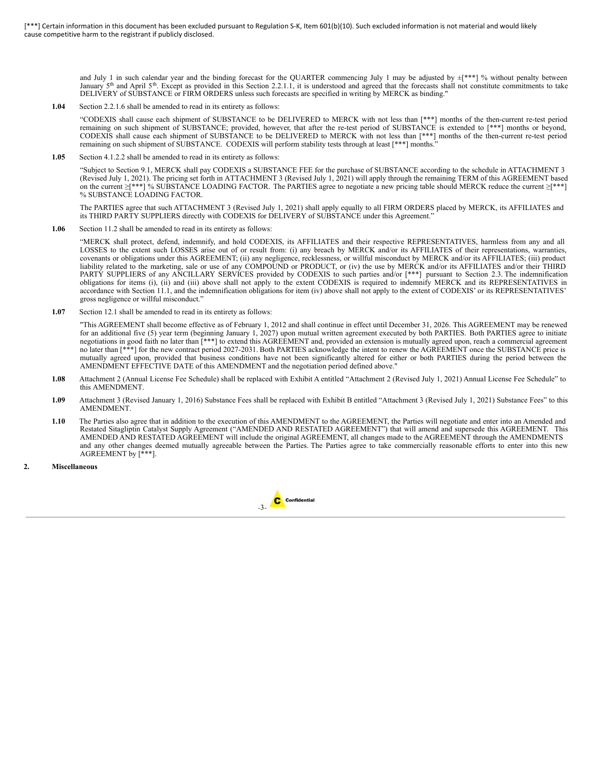<span id="page-52-0"></span>and July 1 in such calendar year and the binding forecast for the QUARTER commencing July 1 may be adjusted by  $\pm$ [\*\*\*] % without penalty between January 5<sup>th</sup> and April 5<sup>th</sup>. Except as provided in this Section 2.2.1.1, it is understood and agreed that the forecasts shall not constitute commitments to take DELIVERY of SUBSTANCE or FIRM ORDERS unless such forecasts are specified in writing by MERCK as binding."

**1.04** Section 2.2.1.6 shall be amended to read in its entirety as follows:

"CODEXIS shall cause each shipment of SUBSTANCE to be DELIVERED to MERCK with not less than [\*\*\*] months of the then-current re-test period remaining on such shipment of SUBSTANCE; provided, however, that after the re-test period of SUBSTANCE is extended to [\*\*\*] months or beyond, CODEXIS shall cause each shipment of SUBSTANCE to be DELIVERED to MERCK with not less than [\*\*\*] months of the then-current re-test period remaining on such shipment of SUBSTANCE. CODEXIS will perform stability tests through at least [\*\*\*] months."

**1.05** Section 4.1.2.2 shall be amended to read in its entirety as follows:

"Subject to Section 9.1, MERCK shall pay CODEXIS a SUBSTANCE FEE for the purchase of SUBSTANCE according to the schedule in ATTACHMENT 3 (Revised July 1, 2021). The pricing set forth in ATTACHMENT 3 (Revised July 1, 2021) will apply through the remaining TERM of this AGREEMENT based on the current ≥[\*\*\*] % SUBSTANCE LOADING FACTOR. The PARTIES agree to negotiate a new pricing table should MERCK reduce the current ≥[\*\*\*] % SUBSTANCE LOADING FACTOR.

The PARTIES agree that such ATTACHMENT 3 (Revised July 1, 2021) shall apply equally to all FIRM ORDERS placed by MERCK, its AFFILIATES and its THIRD PARTY SUPPLIERS directly with CODEXIS for DELIVERY of SUBSTANCE under this Agreement."

**1.06** Section 11.2 shall be amended to read in its entirety as follows:

"MERCK shall protect, defend, indemnify, and hold CODEXIS, its AFFILIATES and their respective REPRESENTATIVES, harmless from any and all LOSSES to the extent such LOSSES arise out of or result from: (i) any breach by MERCK and/or its AFFILIATES of their representations, warranties, covenants or obligations under this AGREEMENT; (ii) any negligence, recklessness, or willful misconduct by MERCK and/or its AFFILIATES; (iii) product liability related to the marketing, sale or use of any COMPOUND or PRODUCT, or (iv) the use by MERCK and/or its AFFILIATES and/or their THIRD PARTY SUPPLIERS of any ANCILLARY SERVICES provided by CODEXIS to such parties and/or [\*\*\*] pursuant to Section 2.3. The indemnification obligations for items (i), (ii) and (iii) above shall not apply to the extent CODEXIS is required to indemnify MERCK and its REPRESENTATIVES in accordance with Section 11.1, and the indemnification obligations for item (iv) above shall not apply to the extent of CODEXIS' or its REPRESENTATIVES' gross negligence or willful misconduct."

**1.07** Section 12.1 shall be amended to read in its entirety as follows:

"This AGREEMENT shall become effective as of February 1, 2012 and shall continue in effect until December 31, 2026. This AGREEMENT may be renewed for an additional five (5) year term (beginning January 1, 2027) upon mutual written agreement executed by both PARTIES. Both PARTIES agree to initiate negotiations in good faith no later than [\*\*\*] to extend this AGREEMENT and, provided an extension is mutually agreed upon, reach a commercial agreement no later than [\*\*\*] for the new contract period 2027-2031. Both PARTIES acknowledge the intent to renew the AGREEMENT once the SUBSTANCE price is mutually agreed upon, provided that business conditions have not been significantly altered for either or both PARTIES during the period between the AMENDMENT EFFECTIVE DATE of this AMENDMENT and the negotiation period defined above."

- **1.08** Attachment 2 (Annual License Fee Schedule) shall be replaced with Exhibit A entitled "Attachment 2 (Revised July 1, 2021) Annual License Fee Schedule" to this AMENDMENT.
- **1.09** Attachment 3 (Revised January 1, 2016) Substance Fees shall be replaced with Exhibit B entitled "Attachment 3 (Revised July 1, 2021) Substance Fees" to this AMENDMENT.
- **1.10** The Parties also agree that in addition to the execution of this AMENDMENT to the AGREEMENT, the Parties will negotiate and enter into an Amended and Restated Sitagliptin Catalyst Supply Agreement ("AMENDED AND RESTATED AGREEMENT") that will amend and supersede this AGREEMENT. This AMENDED AND RESTATED AGREEMENT will include the original AGREEMENT, all changes made to the AGREEMENT through the AMENDMENTS and any other changes deemed mutually agreeable between the Parties. The Parties agree to take commercially reasonable efforts to enter into this new AGREEMENT by [\*\*\*].
- **2. Miscellaneous**

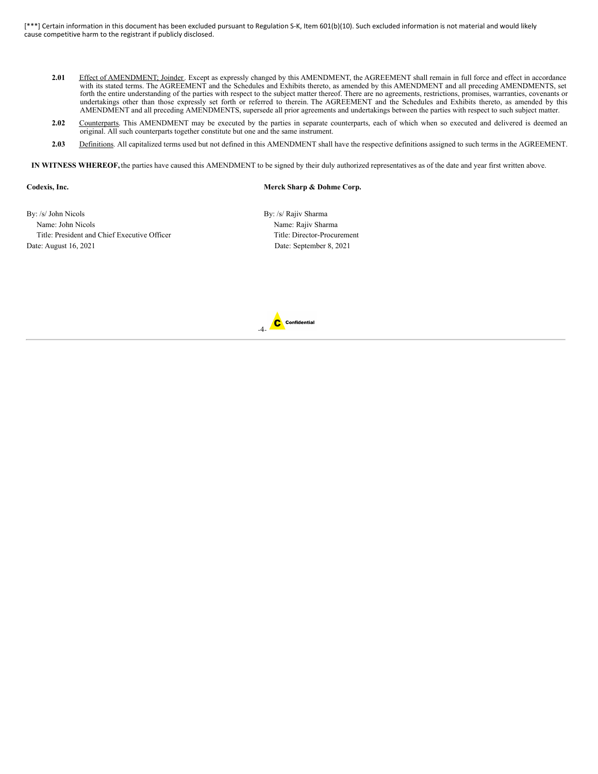- **2.01** Effect of AMENDMENT; Joinder. Except as expressly changed by this AMENDMENT, the AGREEMENT shall remain in full force and effect in accordance with its stated terms. The AGREEMENT and the Schedules and Exhibits thereto, as amended by this AMENDMENT and all preceding AMENDMENTS, set forth the entire understanding of the parties with respect to the subject matter thereof. There are no agreements, restrictions, promises, warranties, covenants or undertakings other than those expressly set forth or referred to therein. The AGREEMENT and the Schedules and Exhibits thereto, as amended by this AMENDMENT and all preceding AMENDMENTS, supersede all prior agreements and undertakings between the parties with respect to such subject matter.
- 2.02 Counterparts. This AMENDMENT may be executed by the parties in separate counterparts, each of which when so executed and delivered is deemed an original. All such counterparts together constitute but one and the same instrument.
- 2.03 Definitions. All capitalized terms used but not defined in this AMENDMENT shall have the respective definitions assigned to such terms in the AGREEMENT.

**IN WITNESS WHEREOF,** the parties have caused this AMENDMENT to be signed by their duly authorized representatives as of the date and year first written above.

# **Codexis, Inc. Merck Sharp & Dohme Corp.**

By: /s/ John Nicols By: /s/ Rajiv Sharma Name: John Nicols Name: Rajiv Sharma Title: President and Chief Executive Officer Title: Director-Procurement Date: August 16, 2021 Date: September 8, 2021

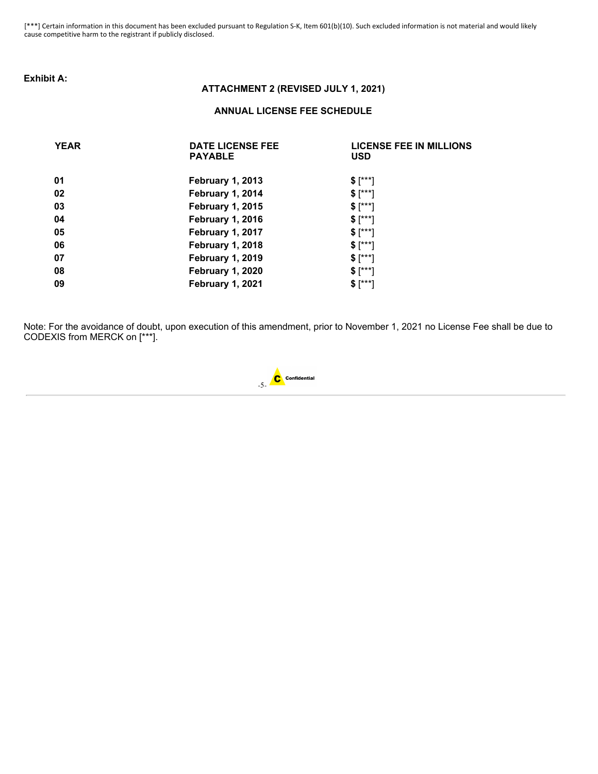# **Exhibit A:**

# **ATTACHMENT 2 (REVISED JULY 1, 2021)**

# **ANNUAL LICENSE FEE SCHEDULE**

| <b>YEAR</b> | <b>DATE LICENSE FEE</b><br><b>PAYABLE</b> | <b>LICENSE FEE IN MILLIONS</b><br><b>USD</b> |
|-------------|-------------------------------------------|----------------------------------------------|
| 01          | <b>February 1, 2013</b>                   | $$[^{***}]$                                  |
| 02          | February 1, 2014                          | $$[^{***}]$                                  |
| 03          | <b>February 1, 2015</b>                   | $$[^{***}]$                                  |
| 04          | <b>February 1, 2016</b>                   | $$[^{***}]$                                  |
| 05          | <b>February 1, 2017</b>                   | $$[^{***}]$                                  |
| 06          | <b>February 1, 2018</b>                   | $$[^{***}]$                                  |
| 07          | <b>February 1, 2019</b>                   | $$[^{***}]$                                  |
| 08          | <b>February 1, 2020</b>                   | $$[^{***}]$                                  |
| 09          | <b>February 1, 2021</b>                   | $$[^{***}]$                                  |

Note: For the avoidance of doubt, upon execution of this amendment, prior to November 1, 2021 no License Fee shall be due to CODEXIS from MERCK on [\*\*\*].

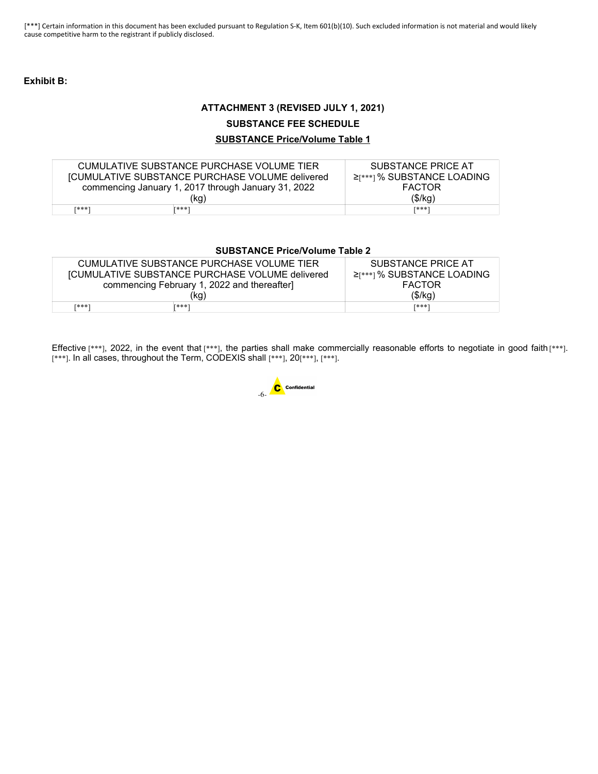# **Exhibit B:**

# **ATTACHMENT 3 (REVISED JULY 1, 2021)**

# **SUBSTANCE FEE SCHEDULE**

# **SUBSTANCE Price/Volume Table 1**

| CUMULATIVE SUBSTANCE PURCHASE VOLUME TIER              |              | SUBSTANCE PRICE AT               |
|--------------------------------------------------------|--------------|----------------------------------|
| <b>[CUMULATIVE SUBSTANCE PURCHASE VOLUME delivered</b> |              | $\geq$ [***] % SUBSTANCE LOADING |
| commencing January 1, 2017 through January 31, 2022    |              | <b>FACTOR</b>                    |
|                                                        | (kg)         | (\$/kg)                          |
| <b>F***1</b>                                           | <b>F***1</b> | <b>F***1</b>                     |

# **SUBSTANCE Price/Volume Table 2**

| CUMULATIVE SUBSTANCE PURCHASE VOLUME TIER              | SUBSTANCE PRICE AT               |
|--------------------------------------------------------|----------------------------------|
| <b>[CUMULATIVE SUBSTANCE PURCHASE VOLUME delivered</b> | $\geq$ [***] % SUBSTANCE LOADING |
| commencing February 1, 2022 and thereafter             | <b>FACTOR</b>                    |
| (kg)                                                   | (\$/kg)                          |
| <b>F***1</b><br><b>F***1</b>                           | <b>「***</b>                      |

Effective [\*\*\*], 2022, in the event that [\*\*\*], the parties shall make commercially reasonable efforts to negotiate in good faith [\*\*\*]. [\*\*\*]. In all cases, throughout the Term, CODEXIS shall [\*\*\*], 20[\*\*\*], [\*\*\*].

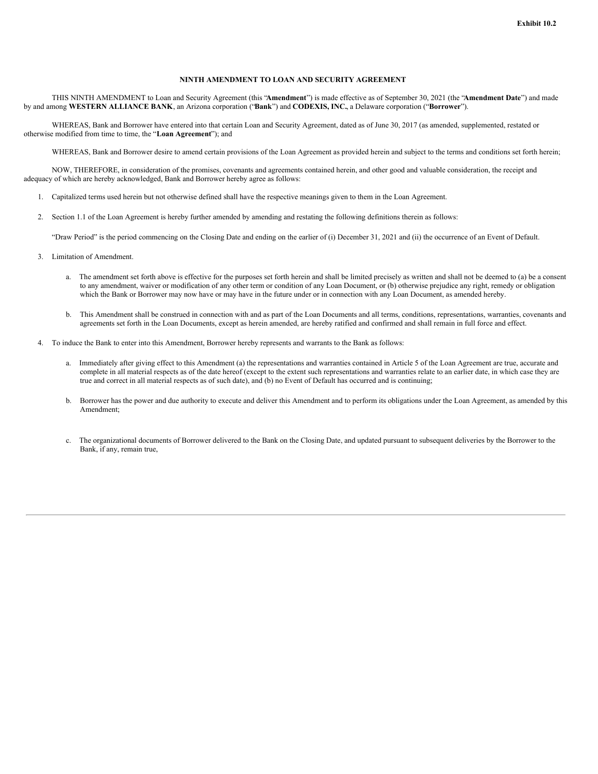# **NINTH AMENDMENT TO LOAN AND SECURITY AGREEMENT**

THIS NINTH AMENDMENT to Loan and Security Agreement (this "**Amendment**") is made effective as of September 30, 2021 (the "**Amendment Date**") and made by and among **WESTERN ALLIANCE BANK**, an Arizona corporation ("**Bank**") and **CODEXIS, INC.**, a Delaware corporation ("**Borrower**").

WHEREAS, Bank and Borrower have entered into that certain Loan and Security Agreement, dated as of June 30, 2017 (as amended, supplemented, restated or otherwise modified from time to time, the "**Loan Agreement**"); and

WHEREAS, Bank and Borrower desire to amend certain provisions of the Loan Agreement as provided herein and subject to the terms and conditions set forth herein;

NOW, THEREFORE, in consideration of the promises, covenants and agreements contained herein, and other good and valuable consideration, the receipt and adequacy of which are hereby acknowledged, Bank and Borrower hereby agree as follows:

- 1. Capitalized terms used herein but not otherwise defined shall have the respective meanings given to them in the Loan Agreement.
- 2. Section 1.1 of the Loan Agreement is hereby further amended by amending and restating the following definitions therein as follows:

"Draw Period" is the period commencing on the Closing Date and ending on the earlier of (i) December 31, 2021 and (ii) the occurrence of an Event of Default.

- 3. Limitation of Amendment.
	- a. The amendment set forth above is effective for the purposes set forth herein and shall be limited precisely as written and shall not be deemed to (a) be a consent to any amendment, waiver or modification of any other term or condition of any Loan Document, or (b) otherwise prejudice any right, remedy or obligation which the Bank or Borrower may now have or may have in the future under or in connection with any Loan Document, as amended hereby.
	- b. This Amendment shall be construed in connection with and as part of the Loan Documents and all terms, conditions, representations, warranties, covenants and agreements set forth in the Loan Documents, except as herein amended, are hereby ratified and confirmed and shall remain in full force and effect.
- 4. To induce the Bank to enter into this Amendment, Borrower hereby represents and warrants to the Bank as follows:
	- a. Immediately after giving effect to this Amendment (a) the representations and warranties contained in Article 5 of the Loan Agreement are true, accurate and complete in all material respects as of the date hereof (except to the extent such representations and warranties relate to an earlier date, in which case they are true and correct in all material respects as of such date), and (b) no Event of Default has occurred and is continuing;
	- b. Borrower has the power and due authority to execute and deliver this Amendment and to perform its obligations under the Loan Agreement, as amended by this Amendment;
	- c. The organizational documents of Borrower delivered to the Bank on the Closing Date, and updated pursuant to subsequent deliveries by the Borrower to the Bank, if any, remain true,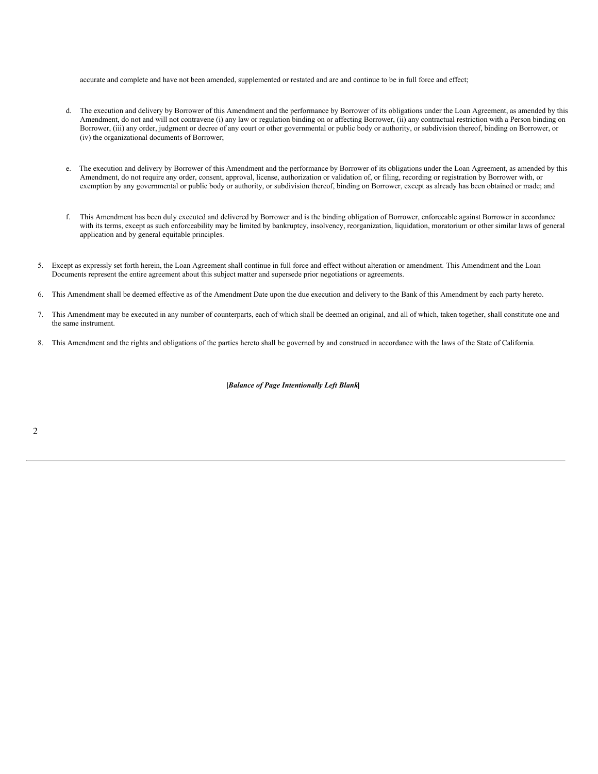<span id="page-57-0"></span>accurate and complete and have not been amended, supplemented or restated and are and continue to be in full force and effect;

- d. The execution and delivery by Borrower of this Amendment and the performance by Borrower of its obligations under the Loan Agreement, as amended by this Amendment, do not and will not contravene (i) any law or regulation binding on or affecting Borrower, (ii) any contractual restriction with a Person binding on Borrower, (iii) any order, judgment or decree of any court or other governmental or public body or authority, or subdivision thereof, binding on Borrower, or (iv) the organizational documents of Borrower;
- e. The execution and delivery by Borrower of this Amendment and the performance by Borrower of its obligations under the Loan Agreement, as amended by this Amendment, do not require any order, consent, approval, license, authorization or validation of, or filing, recording or registration by Borrower with, or exemption by any governmental or public body or authority, or subdivision thereof, binding on Borrower, except as already has been obtained or made; and
- f. This Amendment has been duly executed and delivered by Borrower and is the binding obligation of Borrower, enforceable against Borrower in accordance with its terms, except as such enforceability may be limited by bankruptcy, insolvency, reorganization, liquidation, moratorium or other similar laws of general application and by general equitable principles.
- 5. Except as expressly set forth herein, the Loan Agreement shall continue in full force and effect without alteration or amendment. This Amendment and the Loan Documents represent the entire agreement about this subject matter and supersede prior negotiations or agreements.
- 6. This Amendment shall be deemed effective as of the Amendment Date upon the due execution and delivery to the Bank of this Amendment by each party hereto.
- 7. This Amendment may be executed in any number of counterparts, each of which shall be deemed an original, and all of which, taken together, shall constitute one and the same instrument.
- 8. This Amendment and the rights and obligations of the parties hereto shall be governed by and construed in accordance with the laws of the State of California.

# **[***Balance of Page Intentionally Left Blank***]**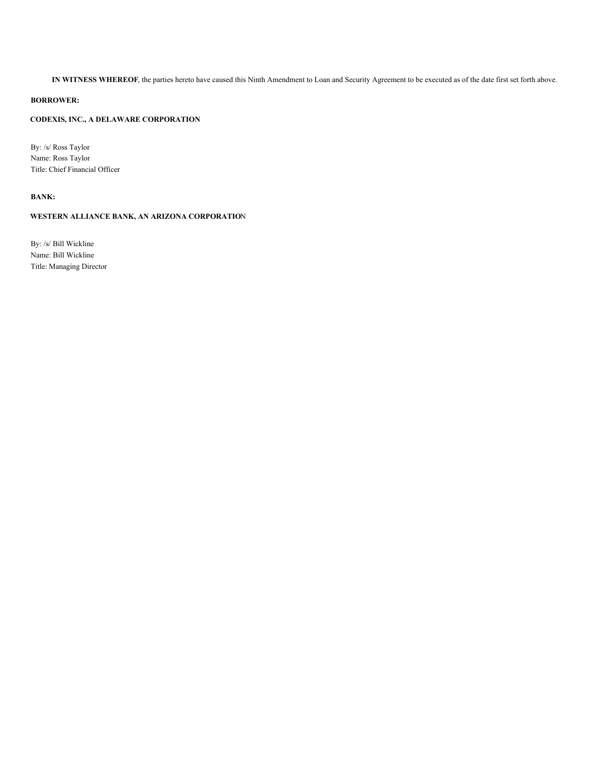**IN WITNESS WHEREOF**, the parties hereto have caused this Ninth Amendment to Loan and Security Agreement to be executed as of the date first set forth above.

# **BORROWER:**

# **CODEXIS, INC., A DELAWARE CORPORATION**

By: /s/ Ross Taylor Name: Ross Taylor Title: Chief Financial Officer

# **BANK:**

# **WESTERN ALLIANCE BANK, AN ARIZONA CORPORATIO**N

By: /s/ Bill Wickline Name: Bill Wickline Title: Managing Director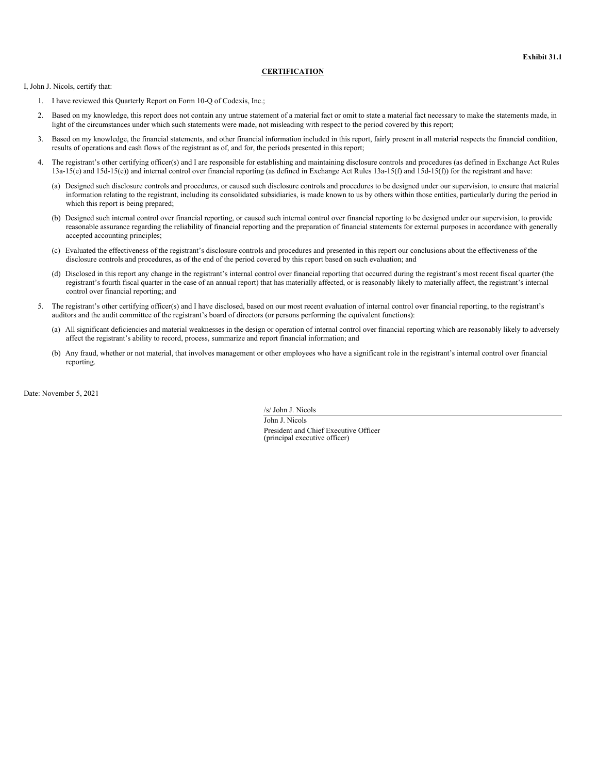# **CERTIFICATION**

<span id="page-59-0"></span>I, John J. Nicols, certify that:

- 1. I have reviewed this Quarterly Report on Form 10-Q of Codexis, Inc.;
- 2. Based on my knowledge, this report does not contain any untrue statement of a material fact or omit to state a material fact necessary to make the statements made, in light of the circumstances under which such statements were made, not misleading with respect to the period covered by this report;
- 3. Based on my knowledge, the financial statements, and other financial information included in this report, fairly present in all material respects the financial condition, results of operations and cash flows of the registrant as of, and for, the periods presented in this report;
- 4. The registrant's other certifying officer(s) and I are responsible for establishing and maintaining disclosure controls and procedures (as defined in Exchange Act Rules 13a-15(e) and 15d-15(e)) and internal control over financial reporting (as defined in Exchange Act Rules 13a-15(f) and 15d-15(f)) for the registrant and have:
	- (a) Designed such disclosure controls and procedures, or caused such disclosure controls and procedures to be designed under our supervision, to ensure that material information relating to the registrant, including its consolidated subsidiaries, is made known to us by others within those entities, particularly during the period in which this report is being prepared;
	- (b) Designed such internal control over financial reporting, or caused such internal control over financial reporting to be designed under our supervision, to provide reasonable assurance regarding the reliability of financial reporting and the preparation of financial statements for external purposes in accordance with generally accepted accounting principles;
	- (c) Evaluated the effectiveness of the registrant's disclosure controls and procedures and presented in this report our conclusions about the effectiveness of the disclosure controls and procedures, as of the end of the period covered by this report based on such evaluation; and
	- (d) Disclosed in this report any change in the registrant's internal control over financial reporting that occurred during the registrant's most recent fiscal quarter (the registrant's fourth fiscal quarter in the case of an annual report) that has materially affected, or is reasonably likely to materially affect, the registrant's internal control over financial reporting; and
- 5. The registrant's other certifying officer(s) and I have disclosed, based on our most recent evaluation of internal control over financial reporting, to the registrant's auditors and the audit committee of the registrant's board of directors (or persons performing the equivalent functions):
	- (a) All significant deficiencies and material weaknesses in the design or operation of internal control over financial reporting which are reasonably likely to adversely affect the registrant's ability to record, process, summarize and report financial information; and
	- (b) Any fraud, whether or not material, that involves management or other employees who have a significant role in the registrant's internal control over financial reporting.

Date: November 5, 2021

/s/ John J. Nicols

John J. Nicols President and Chief Executive Officer (principal executive officer)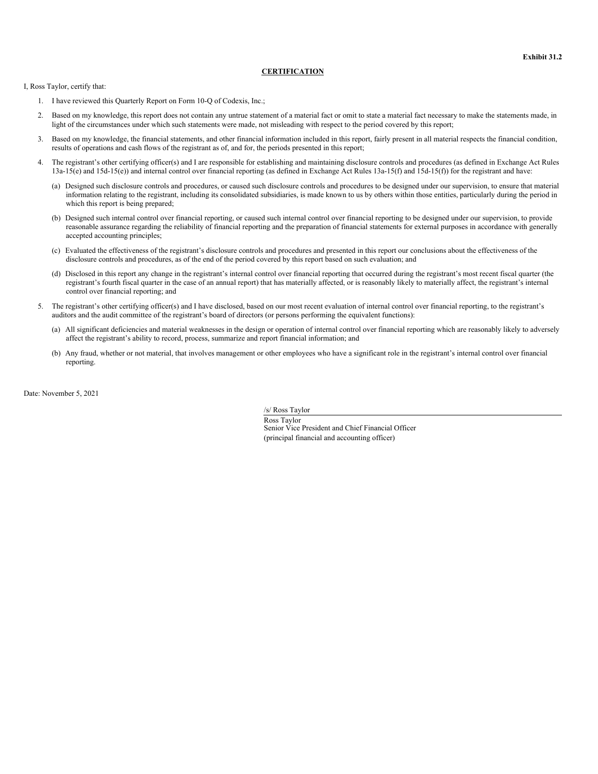# **CERTIFICATION**

<span id="page-60-0"></span>I, Ross Taylor, certify that:

- 1. I have reviewed this Quarterly Report on Form 10-Q of Codexis, Inc.;
- 2. Based on my knowledge, this report does not contain any untrue statement of a material fact or omit to state a material fact necessary to make the statements made, in light of the circumstances under which such statements were made, not misleading with respect to the period covered by this report;
- 3. Based on my knowledge, the financial statements, and other financial information included in this report, fairly present in all material respects the financial condition, results of operations and cash flows of the registrant as of, and for, the periods presented in this report;
- The registrant's other certifying officer(s) and I are responsible for establishing and maintaining disclosure controls and procedures (as defined in Exchange Act Rules 13a-15(e) and 15d-15(e)) and internal control over financial reporting (as defined in Exchange Act Rules 13a-15(f) and 15d-15(f)) for the registrant and have:
	- (a) Designed such disclosure controls and procedures, or caused such disclosure controls and procedures to be designed under our supervision, to ensure that material information relating to the registrant, including its consolidated subsidiaries, is made known to us by others within those entities, particularly during the period in which this report is being prepared;
	- (b) Designed such internal control over financial reporting, or caused such internal control over financial reporting to be designed under our supervision, to provide reasonable assurance regarding the reliability of financial reporting and the preparation of financial statements for external purposes in accordance with generally accepted accounting principles;
	- (c) Evaluated the effectiveness of the registrant's disclosure controls and procedures and presented in this report our conclusions about the effectiveness of the disclosure controls and procedures, as of the end of the period covered by this report based on such evaluation; and
	- (d) Disclosed in this report any change in the registrant's internal control over financial reporting that occurred during the registrant's most recent fiscal quarter (the registrant's fourth fiscal quarter in the case of an annual report) that has materially affected, or is reasonably likely to materially affect, the registrant's internal control over financial reporting; and
- 5. The registrant's other certifying officer(s) and I have disclosed, based on our most recent evaluation of internal control over financial reporting, to the registrant's auditors and the audit committee of the registrant's board of directors (or persons performing the equivalent functions):
	- (a) All significant deficiencies and material weaknesses in the design or operation of internal control over financial reporting which are reasonably likely to adversely affect the registrant's ability to record, process, summarize and report financial information; and
	- (b) Any fraud, whether or not material, that involves management or other employees who have a significant role in the registrant's internal control over financial reporting.

Date: November 5, 2021

/s/ Ross Taylor

Ross Taylor Senior Vice President and Chief Financial Officer (principal financial and accounting officer)